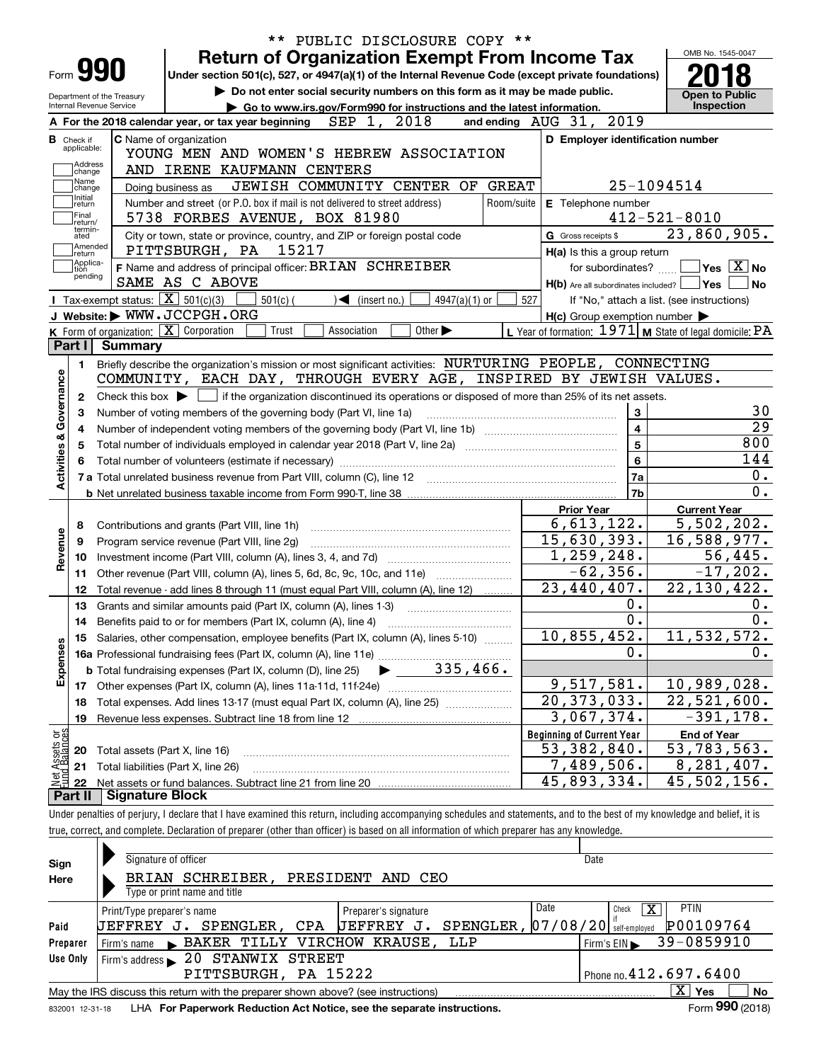|                                                      |                | <b>Return of Organization Exempt From Income Tax</b>                                                                                                           |            |                              |                                                                             |               |            |                                                     |                             | OMB No. 1545-0047                                          |
|------------------------------------------------------|----------------|----------------------------------------------------------------------------------------------------------------------------------------------------------------|------------|------------------------------|-----------------------------------------------------------------------------|---------------|------------|-----------------------------------------------------|-----------------------------|------------------------------------------------------------|
| Form <b>990</b>                                      |                | Under section 501(c), 527, or 4947(a)(1) of the Internal Revenue Code (except private foundations)                                                             |            |                              |                                                                             |               |            |                                                     |                             |                                                            |
| Department of the Treasury                           |                |                                                                                                                                                                |            |                              | Do not enter social security numbers on this form as it may be made public. |               |            |                                                     |                             | <b>Open to Public</b>                                      |
| Internal Revenue Service                             |                | A For the 2018 calendar year, or tax year beginning                                                                                                            |            | SEP 1, 2018                  | Go to www.irs.gov/Form990 for instructions and the latest information.      |               |            | and ending AUG 31, 2019                             |                             | <b>Inspection</b>                                          |
|                                                      |                | <b>C</b> Name of organization                                                                                                                                  |            |                              |                                                                             |               |            |                                                     |                             | D Employer identification number                           |
| <b>B</b> Check if<br>applicable:                     |                | YOUNG MEN AND WOMEN'S HEBREW ASSOCIATION                                                                                                                       |            |                              |                                                                             |               |            |                                                     |                             |                                                            |
| Address<br>change                                    |                | AND IRENE KAUFMANN CENTERS                                                                                                                                     |            |                              |                                                                             |               |            |                                                     |                             |                                                            |
| Name<br>change                                       |                | Doing business as                                                                                                                                              |            |                              | JEWISH COMMUNITY CENTER OF                                                  |               | GREAT      |                                                     | 25-1094514                  |                                                            |
| Initial<br>return                                    |                | Number and street (or P.O. box if mail is not delivered to street address)                                                                                     |            |                              |                                                                             |               | Room/suite | E Telephone number                                  |                             |                                                            |
| Final<br>return/                                     |                | 5738 FORBES AVENUE, BOX 81980                                                                                                                                  |            |                              |                                                                             |               |            |                                                     |                             | $412 - 521 - 8010$                                         |
| termin-<br>ated                                      |                | City or town, state or province, country, and ZIP or foreign postal code                                                                                       |            |                              |                                                                             |               |            | G Gross receipts \$                                 |                             | 23,860,905.                                                |
| Amended<br>∣return                                   |                | PITTSBURGH, PA                                                                                                                                                 | 15217      |                              |                                                                             |               |            |                                                     | H(a) Is this a group return |                                                            |
| Applica-<br>tion                                     |                | F Name and address of principal officer: BRIAN SCHREIBER                                                                                                       |            |                              |                                                                             |               |            |                                                     | for subordinates?           | $\sqrt{}$ Yes $\sqrt{}$ X $\sqrt{}$ No                     |
| pending                                              |                | SAME AS C ABOVE                                                                                                                                                |            |                              |                                                                             |               |            |                                                     |                             | $H(b)$ Are all subordinates included? $\Box$ Yes  <br>l No |
|                                                      |                | Tax-exempt status: $\boxed{\mathbf{X}}$ 501(c)(3)                                                                                                              | $501(c)$ ( | $\triangleleft$ (insert no.) |                                                                             | 4947(a)(1) or | 527        |                                                     |                             | If "No," attach a list. (see instructions)                 |
|                                                      |                | J Website: WWW.JCCPGH.ORG                                                                                                                                      |            |                              |                                                                             |               |            | $H(c)$ Group exemption number $\blacktriangleright$ |                             |                                                            |
|                                                      |                | K Form of organization: $X$ Corporation                                                                                                                        | Trust      | Association                  | Other $\blacktriangleright$                                                 |               |            |                                                     |                             | L Year of formation: $1971$ M State of legal domicile: PA  |
|                                                      | Part I Summary |                                                                                                                                                                |            |                              |                                                                             |               |            |                                                     |                             |                                                            |
| 1.                                                   |                | Briefly describe the organization's mission or most significant activities: NURTURING PEOPLE, CONNECTING                                                       |            |                              |                                                                             |               |            |                                                     |                             |                                                            |
|                                                      |                | COMMUNITY, EACH DAY, THROUGH EVERY AGE, INSPIRED BY JEWISH VALUES.                                                                                             |            |                              |                                                                             |               |            |                                                     |                             |                                                            |
| 2                                                    |                | Check this box $\blacktriangleright$ $\blacksquare$ if the organization discontinued its operations or disposed of more than 25% of its net assets.            |            |                              |                                                                             |               |            |                                                     |                             |                                                            |
|                                                      |                |                                                                                                                                                                |            |                              |                                                                             |               |            |                                                     |                             |                                                            |
| з                                                    |                |                                                                                                                                                                |            |                              |                                                                             |               |            |                                                     | 3                           |                                                            |
| 4                                                    |                | Number of voting members of the governing body (Part VI, line 1a)                                                                                              |            |                              |                                                                             |               |            |                                                     | $\overline{\mathbf{4}}$     |                                                            |
| 5                                                    |                |                                                                                                                                                                |            |                              |                                                                             |               |            |                                                     | $5\phantom{a}$              | 800                                                        |
|                                                      |                |                                                                                                                                                                |            |                              |                                                                             |               |            |                                                     | 6                           | 144                                                        |
|                                                      |                |                                                                                                                                                                |            |                              |                                                                             |               |            |                                                     | 7a                          |                                                            |
|                                                      |                |                                                                                                                                                                |            |                              |                                                                             |               |            |                                                     | 7b                          |                                                            |
|                                                      |                |                                                                                                                                                                |            |                              |                                                                             |               |            | <b>Prior Year</b>                                   |                             | <b>Current Year</b>                                        |
| 8                                                    |                | Contributions and grants (Part VIII, line 1h)                                                                                                                  |            |                              |                                                                             |               |            | 6,613,122.                                          |                             | $\overline{5,502}, 202.$                                   |
| 9                                                    |                | Program service revenue (Part VIII, line 2g)                                                                                                                   |            |                              |                                                                             |               |            | 15,630,393.                                         |                             | 16,588,977.                                                |
| 10                                                   |                |                                                                                                                                                                |            |                              |                                                                             |               |            | 1, 259, 248.                                        |                             | 56, 445.                                                   |
| 11                                                   |                |                                                                                                                                                                |            |                              |                                                                             |               |            |                                                     | $-62,356.$                  | $-17,202.$                                                 |
| 12                                                   |                | Other revenue (Part VIII, column (A), lines 5, 6d, 8c, 9c, 10c, and 11e)<br>Total revenue - add lines 8 through 11 (must equal Part VIII, column (A), line 12) |            |                              |                                                                             |               |            | 23,440,407.                                         |                             | 22, 130, 422.                                              |
| 13                                                   |                |                                                                                                                                                                |            |                              |                                                                             |               |            |                                                     | $0$ .                       |                                                            |
| 14                                                   |                | Grants and similar amounts paid (Part IX, column (A), lines 1-3)                                                                                               |            |                              |                                                                             |               |            |                                                     | 0.                          |                                                            |
|                                                      |                |                                                                                                                                                                |            |                              |                                                                             |               |            | 10, 855, 452.                                       |                             |                                                            |
|                                                      |                | 15 Salaries, other compensation, employee benefits (Part IX, column (A), lines 5-10)                                                                           |            |                              |                                                                             |               |            |                                                     | 0.                          | 11, 532, 572.                                              |
|                                                      |                | <b>b</b> Total fundraising expenses (Part IX, column (D), line 25)                                                                                             |            |                              | $335,466$ .                                                                 |               |            |                                                     |                             |                                                            |
|                                                      |                |                                                                                                                                                                |            |                              |                                                                             |               |            | 9,517,581.                                          |                             |                                                            |
| Activities & Governance<br>Revenue<br>Expenses<br>17 |                |                                                                                                                                                                |            |                              |                                                                             |               |            |                                                     |                             | 10,989,028.                                                |
| 18<br>19                                             |                | Total expenses. Add lines 13-17 (must equal Part IX, column (A), line 25)<br>Revenue less expenses. Subtract line 18 from line 12                              |            |                              |                                                                             |               |            | $\overline{20, 373, 033}$ .<br>3,067,374.           |                             | 22,521,600.<br>$-391, 178.$                                |
|                                                      |                |                                                                                                                                                                |            |                              |                                                                             |               |            |                                                     |                             |                                                            |
| 20                                                   |                |                                                                                                                                                                |            |                              |                                                                             |               |            | <b>Beginning of Current Year</b><br>53, 382, 840.   |                             | <b>End of Year</b>                                         |
| 21                                                   |                | Total assets (Part X, line 16)                                                                                                                                 |            |                              |                                                                             |               |            |                                                     |                             | 53,783,563.<br>8,281,407.                                  |
| t Assets or<br>d Balances<br>鲳<br>22                 |                | Total liabilities (Part X, line 26)                                                                                                                            |            |                              |                                                                             |               |            | 7,489,506.<br>45,893,334.                           |                             | 45,502,156.                                                |

| Sign<br>Here | Signature of officer<br>BRIAN SCHREIBER,<br>PRESIDENT AND CEO                                              | Date                       |  |  |  |  |  |  |
|--------------|------------------------------------------------------------------------------------------------------------|----------------------------|--|--|--|--|--|--|
|              | Type or print name and title                                                                               |                            |  |  |  |  |  |  |
|              | Date<br>Print/Type preparer's name<br>Preparer's signature                                                 | <b>PTIN</b><br>x<br>Check  |  |  |  |  |  |  |
| Paid         | $SPENGLER$ , $07/08/20$ self-employed<br>SPENGLER, CPA<br><b>JEFFREY J.</b><br><b>UEFFREY J.</b>           | P00109764                  |  |  |  |  |  |  |
| Preparer     | BAKER TILLY VIRCHOW KRAUSE.<br>LLP<br>Firm's name                                                          | 39-0859910<br>Firm's $EIN$ |  |  |  |  |  |  |
| Use Only     | 20 STANWIX STREET<br>Firm's address                                                                        |                            |  |  |  |  |  |  |
|              | PITTSBURGH, PA 15222                                                                                       | Phone no. $412.697.6400$   |  |  |  |  |  |  |
|              | x<br><b>Yes</b><br>May the IRS discuss this return with the preparer shown above? (see instructions)<br>No |                            |  |  |  |  |  |  |
|              |                                                                                                            | $000 \div 0.00$            |  |  |  |  |  |  |

832001\_12-31-18 LHA **For Paperwork Reduction Act Notice, see the separate instructions.** Form 990 (2018)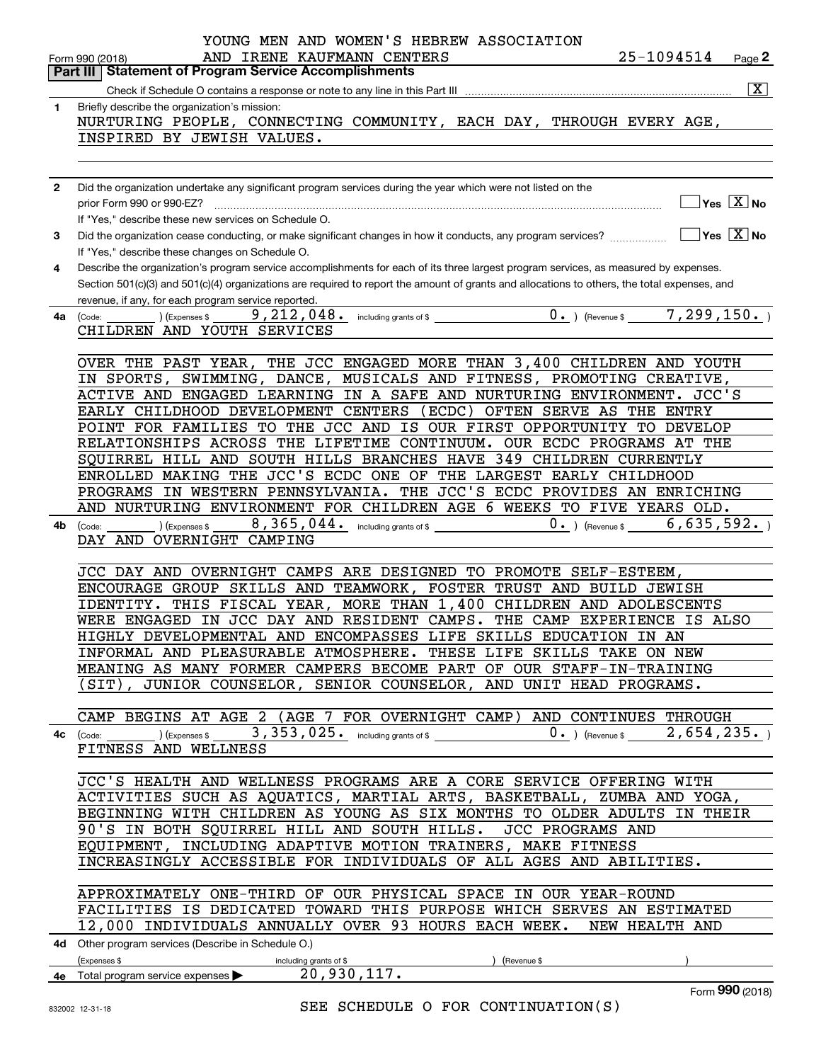|              | YOUNG MEN AND WOMEN'S HEBREW ASSOCIATION                                                                                                                                                                                                                                                                                                                                                                                              |
|--------------|---------------------------------------------------------------------------------------------------------------------------------------------------------------------------------------------------------------------------------------------------------------------------------------------------------------------------------------------------------------------------------------------------------------------------------------|
|              | 25-1094514<br>IRENE KAUFMANN CENTERS<br>AND<br>Page 2<br>Form 990 (2018)<br><b>Part III   Statement of Program Service Accomplishments</b>                                                                                                                                                                                                                                                                                            |
|              | $\overline{\mathbf{x}}$                                                                                                                                                                                                                                                                                                                                                                                                               |
| 1            | Briefly describe the organization's mission:                                                                                                                                                                                                                                                                                                                                                                                          |
|              | NURTURING PEOPLE, CONNECTING COMMUNITY, EACH DAY, THROUGH EVERY AGE,                                                                                                                                                                                                                                                                                                                                                                  |
|              | INSPIRED BY JEWISH VALUES.                                                                                                                                                                                                                                                                                                                                                                                                            |
|              |                                                                                                                                                                                                                                                                                                                                                                                                                                       |
|              |                                                                                                                                                                                                                                                                                                                                                                                                                                       |
| $\mathbf{2}$ | Did the organization undertake any significant program services during the year which were not listed on the                                                                                                                                                                                                                                                                                                                          |
|              | $\overline{\mathsf{Yes}\mathrel{\hspace{0.05cm}\mathbf{X}}$ No<br>$\begin{bmatrix} \begin{bmatrix} 0 & 0 & 0 \\ 0 & 0 & 0 \\ 0 & 0 & 0 \\ 0 & 0 & 0 \\ 0 & 0 & 0 \\ 0 & 0 & 0 \\ 0 & 0 & 0 \\ 0 & 0 & 0 & 0 \\ 0 & 0 & 0 & 0 \\ 0 & 0 & 0 & 0 \\ 0 & 0 & 0 & 0 & 0 \\ 0 & 0 & 0 & 0 & 0 \\ 0 & 0 & 0 & 0 & 0 \\ 0 & 0 & 0 & 0 & 0 & 0 \\ 0 & 0 & 0 & 0 & 0 & 0 \\ 0 & 0 & 0 & 0 & 0 & 0 \\ 0 & 0 & 0 & $<br>prior Form 990 or 990-EZ? |
|              | If "Yes," describe these new services on Schedule O.                                                                                                                                                                                                                                                                                                                                                                                  |
| 3            | $\overline{Y}$ es $\overline{X}$ No<br>Did the organization cease conducting, or make significant changes in how it conducts, any program services?                                                                                                                                                                                                                                                                                   |
|              | If "Yes," describe these changes on Schedule O.                                                                                                                                                                                                                                                                                                                                                                                       |
| 4            | Describe the organization's program service accomplishments for each of its three largest program services, as measured by expenses.                                                                                                                                                                                                                                                                                                  |
|              | Section 501(c)(3) and 501(c)(4) organizations are required to report the amount of grants and allocations to others, the total expenses, and                                                                                                                                                                                                                                                                                          |
|              | revenue, if any, for each program service reported.<br>$0.$ ) (Revenue \$7, 299, 150.)                                                                                                                                                                                                                                                                                                                                                |
| 4a           | (Code:<br>(Expenses \$<br>CHILDREN AND YOUTH SERVICES                                                                                                                                                                                                                                                                                                                                                                                 |
|              |                                                                                                                                                                                                                                                                                                                                                                                                                                       |
|              | OVER THE PAST YEAR, THE JCC ENGAGED MORE THAN 3,400 CHILDREN AND YOUTH                                                                                                                                                                                                                                                                                                                                                                |
|              | SWIMMING, DANCE, MUSICALS AND FITNESS, PROMOTING CREATIVE,<br>IN SPORTS,                                                                                                                                                                                                                                                                                                                                                              |
|              | ACTIVE AND ENGAGED LEARNING IN A SAFE AND NURTURING ENVIRONMENT. JCC'S                                                                                                                                                                                                                                                                                                                                                                |
|              | EARLY CHILDHOOD DEVELOPMENT CENTERS<br>(ECDC) OFTEN SERVE AS THE ENTRY                                                                                                                                                                                                                                                                                                                                                                |
|              | POINT FOR FAMILIES TO THE JCC AND IS OUR FIRST OPPORTUNITY TO DEVELOP                                                                                                                                                                                                                                                                                                                                                                 |
|              | RELATIONSHIPS ACROSS THE LIFETIME CONTINUUM. OUR ECDC PROGRAMS AT THE                                                                                                                                                                                                                                                                                                                                                                 |
|              | SQUIRREL HILL AND SOUTH HILLS BRANCHES HAVE 349 CHILDREN CURRENTLY                                                                                                                                                                                                                                                                                                                                                                    |
|              | ENROLLED MAKING THE JCC'S ECDC ONE OF THE LARGEST EARLY CHILDHOOD                                                                                                                                                                                                                                                                                                                                                                     |
|              | PROGRAMS IN WESTERN PENNSYLVANIA. THE JCC'S ECDC PROVIDES AN ENRICHING                                                                                                                                                                                                                                                                                                                                                                |
|              | AND NURTURING ENVIRONMENT FOR CHILDREN AGE 6 WEEKS TO FIVE YEARS OLD.                                                                                                                                                                                                                                                                                                                                                                 |
| 4b           | 6,635,592.<br>$0.$ ) (Revenue \$<br>(Code:<br>(Expenses \$                                                                                                                                                                                                                                                                                                                                                                            |
|              | DAY AND OVERNIGHT CAMPING                                                                                                                                                                                                                                                                                                                                                                                                             |
|              | JCC DAY AND OVERNIGHT CAMPS ARE DESIGNED TO PROMOTE SELF-ESTEEM,                                                                                                                                                                                                                                                                                                                                                                      |
|              | ENCOURAGE GROUP SKILLS AND TEAMWORK, FOSTER TRUST AND BUILD JEWISH                                                                                                                                                                                                                                                                                                                                                                    |
|              | THIS FISCAL YEAR, MORE THAN 1,400 CHILDREN AND ADOLESCENTS<br>IDENTITY.                                                                                                                                                                                                                                                                                                                                                               |
|              | WERE ENGAGED IN JCC DAY AND RESIDENT CAMPS.<br>THE CAMP EXPERIENCE IS ALSO                                                                                                                                                                                                                                                                                                                                                            |
|              | HIGHLY DEVELOPMENTAL AND ENCOMPASSES LIFE SKILLS EDUCATION IN AN                                                                                                                                                                                                                                                                                                                                                                      |
|              | INFORMAL AND PLEASURABLE ATMOSPHERE. THESE LIFE SKILLS TAKE ON NEW                                                                                                                                                                                                                                                                                                                                                                    |
|              | MEANING AS MANY FORMER CAMPERS BECOME PART OF OUR STAFF-IN-TRAINING                                                                                                                                                                                                                                                                                                                                                                   |
|              | (SIT), JUNIOR COUNSELOR, SENIOR COUNSELOR, AND UNIT HEAD PROGRAMS.                                                                                                                                                                                                                                                                                                                                                                    |
|              |                                                                                                                                                                                                                                                                                                                                                                                                                                       |
|              | CAMP BEGINS AT AGE 2 (AGE 7 FOR OVERNIGHT CAMP) AND CONTINUES THROUGH                                                                                                                                                                                                                                                                                                                                                                 |
|              | 4c $(\text{Code:}\_\_)$ $(\text{Expenses $},\_3,353,025.)$ including grants of \$                                                                                                                                                                                                                                                                                                                                                     |
|              | FITNESS AND WELLNESS                                                                                                                                                                                                                                                                                                                                                                                                                  |
|              | JCC'S HEALTH AND WELLNESS PROGRAMS ARE A CORE SERVICE OFFERING WITH                                                                                                                                                                                                                                                                                                                                                                   |
|              | ACTIVITIES SUCH AS AQUATICS, MARTIAL ARTS, BASKETBALL, ZUMBA AND YOGA,                                                                                                                                                                                                                                                                                                                                                                |
|              | BEGINNING WITH CHILDREN AS YOUNG AS SIX MONTHS TO OLDER ADULTS IN THEIR                                                                                                                                                                                                                                                                                                                                                               |
|              | 90'S IN BOTH SQUIRREL HILL AND SOUTH HILLS. JCC PROGRAMS AND                                                                                                                                                                                                                                                                                                                                                                          |
|              | EQUIPMENT, INCLUDING ADAPTIVE MOTION TRAINERS, MAKE FITNESS                                                                                                                                                                                                                                                                                                                                                                           |
|              | INCREASINGLY ACCESSIBLE FOR INDIVIDUALS OF ALL AGES AND ABILITIES.                                                                                                                                                                                                                                                                                                                                                                    |
|              |                                                                                                                                                                                                                                                                                                                                                                                                                                       |
|              | APPROXIMATELY ONE-THIRD OF OUR PHYSICAL SPACE IN OUR YEAR-ROUND                                                                                                                                                                                                                                                                                                                                                                       |
|              | FACILITIES IS DEDICATED TOWARD THIS PURPOSE WHICH SERVES AN ESTIMATED                                                                                                                                                                                                                                                                                                                                                                 |
|              | 12,000 INDIVIDUALS ANNUALLY OVER 93 HOURS EACH WEEK. NEW HEALTH AND                                                                                                                                                                                                                                                                                                                                                                   |
|              | 4d Other program services (Describe in Schedule O.)                                                                                                                                                                                                                                                                                                                                                                                   |
|              | (Expenses \$<br>) (Revenue \$<br><u> 1980 - Johann Barn, mars ann an t-</u><br>including grants of \$                                                                                                                                                                                                                                                                                                                                 |
|              | 4e Total program service expenses 20,930,117.                                                                                                                                                                                                                                                                                                                                                                                         |
|              | $F_{\text{Orm}}990(2018)$                                                                                                                                                                                                                                                                                                                                                                                                             |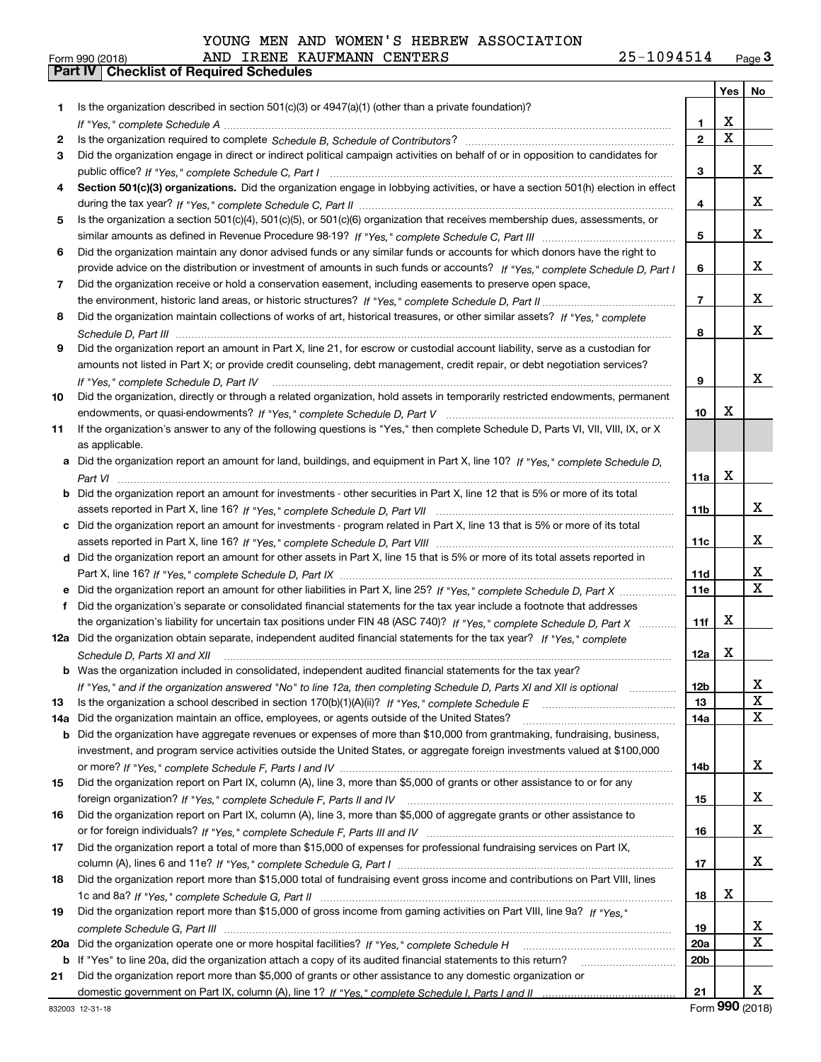| YOUNG MEN AND WOMEN'S HEBREW ASSOCIATION |  |  |  |
|------------------------------------------|--|--|--|
|------------------------------------------|--|--|--|

|         |                                                                                                                                                                                                                             |                 | Yes   No    |                              |
|---------|-----------------------------------------------------------------------------------------------------------------------------------------------------------------------------------------------------------------------------|-----------------|-------------|------------------------------|
| 1       | Is the organization described in section $501(c)(3)$ or $4947(a)(1)$ (other than a private foundation)?                                                                                                                     |                 |             |                              |
|         |                                                                                                                                                                                                                             | 1.              | Х           |                              |
| 2       |                                                                                                                                                                                                                             | $\mathbf{2}$    | $\mathbf X$ |                              |
| 3       | Did the organization engage in direct or indirect political campaign activities on behalf of or in opposition to candidates for                                                                                             |                 |             |                              |
|         |                                                                                                                                                                                                                             | 3               |             | x                            |
| 4       | Section 501(c)(3) organizations. Did the organization engage in lobbying activities, or have a section 501(h) election in effect                                                                                            |                 |             |                              |
|         |                                                                                                                                                                                                                             | 4               |             | x                            |
| 5       | Is the organization a section 501(c)(4), 501(c)(5), or 501(c)(6) organization that receives membership dues, assessments, or                                                                                                |                 |             |                              |
|         |                                                                                                                                                                                                                             | 5               |             | x                            |
| 6       | Did the organization maintain any donor advised funds or any similar funds or accounts for which donors have the right to                                                                                                   |                 |             |                              |
|         | provide advice on the distribution or investment of amounts in such funds or accounts? If "Yes," complete Schedule D, Part I                                                                                                | 6               |             | x                            |
| 7       | Did the organization receive or hold a conservation easement, including easements to preserve open space,                                                                                                                   |                 |             |                              |
|         |                                                                                                                                                                                                                             | $\overline{7}$  |             | x                            |
| 8       | Did the organization maintain collections of works of art, historical treasures, or other similar assets? If "Yes," complete                                                                                                |                 |             |                              |
|         |                                                                                                                                                                                                                             | 8               |             | x                            |
| 9       | Did the organization report an amount in Part X, line 21, for escrow or custodial account liability, serve as a custodian for                                                                                               |                 |             |                              |
|         | amounts not listed in Part X; or provide credit counseling, debt management, credit repair, or debt negotiation services?                                                                                                   |                 |             |                              |
|         | If "Yes." complete Schedule D. Part IV                                                                                                                                                                                      | 9               |             | x                            |
| 10      | Did the organization, directly or through a related organization, hold assets in temporarily restricted endowments, permanent                                                                                               |                 |             |                              |
|         |                                                                                                                                                                                                                             | 10              | х           |                              |
| 11      | If the organization's answer to any of the following questions is "Yes," then complete Schedule D, Parts VI, VII, VIII, IX, or X                                                                                            |                 |             |                              |
|         | as applicable.                                                                                                                                                                                                              |                 |             |                              |
|         | Did the organization report an amount for land, buildings, and equipment in Part X, line 10? If "Yes," complete Schedule D.                                                                                                 |                 |             |                              |
|         |                                                                                                                                                                                                                             | 11a             | х           |                              |
|         | Did the organization report an amount for investments - other securities in Part X, line 12 that is 5% or more of its total                                                                                                 |                 |             |                              |
|         |                                                                                                                                                                                                                             | 11 <sub>b</sub> |             | x                            |
|         | Did the organization report an amount for investments - program related in Part X, line 13 that is 5% or more of its total                                                                                                  |                 |             |                              |
|         |                                                                                                                                                                                                                             | 11c             |             | x                            |
|         | d Did the organization report an amount for other assets in Part X, line 15 that is 5% or more of its total assets reported in                                                                                              |                 |             |                              |
|         |                                                                                                                                                                                                                             | 11d             |             | X<br>$\overline{\mathbf{x}}$ |
|         | Did the organization report an amount for other liabilities in Part X, line 25? If "Yes," complete Schedule D, Part X                                                                                                       | <b>11e</b>      |             |                              |
| f       | Did the organization's separate or consolidated financial statements for the tax year include a footnote that addresses                                                                                                     |                 |             |                              |
|         | the organization's liability for uncertain tax positions under FIN 48 (ASC 740)? If "Yes," complete Schedule D, Part X                                                                                                      | 11f             | х           |                              |
|         | 12a Did the organization obtain separate, independent audited financial statements for the tax year? If "Yes," complete                                                                                                     |                 |             |                              |
|         | Schedule D, Parts XI and XII                                                                                                                                                                                                | 12a             | x           |                              |
|         | <b>b</b> Was the organization included in consolidated, independent audited financial statements for the tax year?                                                                                                          |                 |             |                              |
|         | If "Yes," and if the organization answered "No" to line 12a, then completing Schedule D, Parts XI and XII is optional                                                                                                       | 12 <sub>b</sub> |             | $\mathbf{A}$                 |
| 13      | Is the organization a school described in section 170(b)(1)(A)(ii)? If "Yes," complete Schedule E                                                                                                                           | 13              |             | X                            |
| 14a     | Did the organization maintain an office, employees, or agents outside of the United States?                                                                                                                                 | 14a             |             | X                            |
| b       | Did the organization have aggregate revenues or expenses of more than \$10,000 from grantmaking, fundraising, business,                                                                                                     |                 |             |                              |
|         | investment, and program service activities outside the United States, or aggregate foreign investments valued at \$100,000                                                                                                  |                 |             | X                            |
|         | Did the organization report on Part IX, column (A), line 3, more than \$5,000 of grants or other assistance to or for any                                                                                                   | 14b             |             |                              |
| 15      |                                                                                                                                                                                                                             |                 |             |                              |
|         | Did the organization report on Part IX, column (A), line 3, more than \$5,000 of aggregate grants or other assistance to                                                                                                    | 15              |             | X                            |
| 16      |                                                                                                                                                                                                                             |                 |             | X                            |
|         |                                                                                                                                                                                                                             | 16              |             |                              |
| 17      | Did the organization report a total of more than \$15,000 of expenses for professional fundraising services on Part IX,                                                                                                     |                 |             | x                            |
|         | Did the organization report more than \$15,000 total of fundraising event gross income and contributions on Part VIII, lines                                                                                                | 17              |             |                              |
| 18      |                                                                                                                                                                                                                             |                 | х           |                              |
|         | Did the organization report more than \$15,000 of gross income from gaming activities on Part VIII, line 9a? If "Yes."                                                                                                      | 18              |             |                              |
| 19      |                                                                                                                                                                                                                             |                 |             | X                            |
|         |                                                                                                                                                                                                                             | 19              |             | X                            |
| 20a     |                                                                                                                                                                                                                             | <b>20a</b>      |             |                              |
| b<br>21 | If "Yes" to line 20a, did the organization attach a copy of its audited financial statements to this return?<br>Did the organization report more than \$5,000 of grants or other assistance to any domestic organization or | 20 <sub>b</sub> |             |                              |
|         |                                                                                                                                                                                                                             | 21              |             | x                            |
|         |                                                                                                                                                                                                                             |                 |             |                              |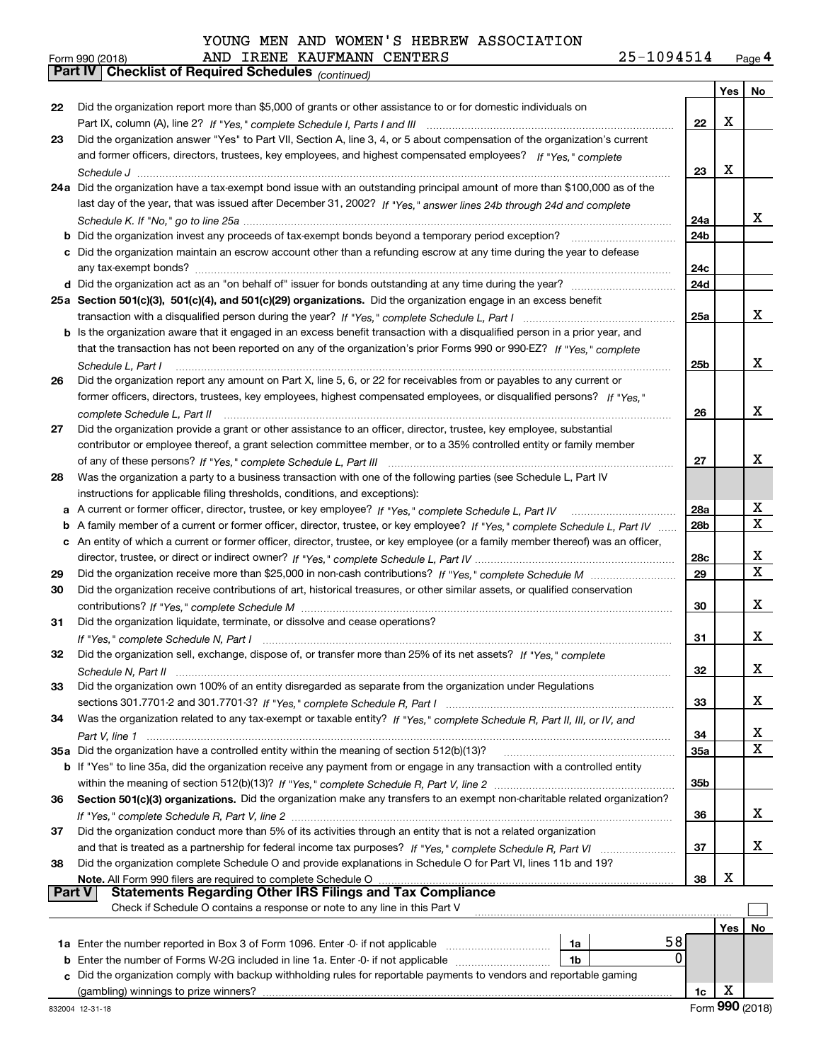| YOUNG MEN AND WOMEN'S HEBREW ASSOCIATION |  |  |  |  |  |  |  |
|------------------------------------------|--|--|--|--|--|--|--|
|------------------------------------------|--|--|--|--|--|--|--|

*(continued)*

# Form 990 (2018) Page **4Part IV Checklist of Required Schedules** AND IRENE KAUFMANN CENTERS 25-1094514

|               |                                                                                                                                                           |                 | Yes          | No                           |
|---------------|-----------------------------------------------------------------------------------------------------------------------------------------------------------|-----------------|--------------|------------------------------|
| 22            | Did the organization report more than \$5,000 of grants or other assistance to or for domestic individuals on                                             |                 |              |                              |
|               |                                                                                                                                                           | 22              | X            |                              |
| 23            | Did the organization answer "Yes" to Part VII, Section A, line 3, 4, or 5 about compensation of the organization's current                                |                 |              |                              |
|               | and former officers, directors, trustees, key employees, and highest compensated employees? If "Yes," complete                                            |                 |              |                              |
|               |                                                                                                                                                           | 23              | X            |                              |
|               | 24a Did the organization have a tax-exempt bond issue with an outstanding principal amount of more than \$100,000 as of the                               |                 |              |                              |
|               | last day of the year, that was issued after December 31, 2002? If "Yes," answer lines 24b through 24d and complete                                        |                 |              |                              |
|               |                                                                                                                                                           | 24a             |              | x                            |
|               |                                                                                                                                                           | 24b             |              |                              |
|               | c Did the organization maintain an escrow account other than a refunding escrow at any time during the year to defease                                    |                 |              |                              |
|               |                                                                                                                                                           | 24c             |              |                              |
|               |                                                                                                                                                           | 24d             |              |                              |
|               | 25a Section 501(c)(3), 501(c)(4), and 501(c)(29) organizations. Did the organization engage in an excess benefit                                          |                 |              |                              |
|               |                                                                                                                                                           | 25a             |              | X                            |
|               | b Is the organization aware that it engaged in an excess benefit transaction with a disqualified person in a prior year, and                              |                 |              |                              |
|               | that the transaction has not been reported on any of the organization's prior Forms 990 or 990-EZ? If "Yes," complete                                     |                 |              |                              |
|               | Schedule L, Part I                                                                                                                                        | 25 <sub>b</sub> |              | X                            |
| 26            | Did the organization report any amount on Part X, line 5, 6, or 22 for receivables from or payables to any current or                                     |                 |              |                              |
|               | former officers, directors, trustees, key employees, highest compensated employees, or disqualified persons? If "Yes "                                    |                 |              |                              |
|               | complete Schedule L, Part II                                                                                                                              | 26              |              | X                            |
| 27            | Did the organization provide a grant or other assistance to an officer, director, trustee, key employee, substantial                                      |                 |              |                              |
|               | contributor or employee thereof, a grant selection committee member, or to a 35% controlled entity or family member                                       |                 |              |                              |
|               |                                                                                                                                                           | 27              |              | x                            |
| 28            | Was the organization a party to a business transaction with one of the following parties (see Schedule L, Part IV                                         |                 |              |                              |
|               | instructions for applicable filing thresholds, conditions, and exceptions):                                                                               |                 |              |                              |
| a             |                                                                                                                                                           | <b>28a</b>      |              | X<br>X                       |
| b             | A family member of a current or former officer, director, trustee, or key employee? If "Yes," complete Schedule L, Part IV                                | 28b             |              |                              |
|               | c An entity of which a current or former officer, director, trustee, or key employee (or a family member thereof) was an officer,                         |                 |              |                              |
|               |                                                                                                                                                           | 28c             |              | X<br>$\overline{\mathbf{X}}$ |
| 29            |                                                                                                                                                           | 29              |              |                              |
| 30            | Did the organization receive contributions of art, historical treasures, or other similar assets, or qualified conservation                               |                 |              | X                            |
|               |                                                                                                                                                           | 30              |              |                              |
| 31            | Did the organization liquidate, terminate, or dissolve and cease operations?                                                                              |                 |              | x                            |
|               | If "Yes," complete Schedule N, Part I<br>Did the organization sell, exchange, dispose of, or transfer more than 25% of its net assets? If "Yes," complete | 31              |              |                              |
| 32            |                                                                                                                                                           | 32              |              | x                            |
|               | Did the organization own 100% of an entity disregarded as separate from the organization under Regulations                                                |                 |              |                              |
| 33            |                                                                                                                                                           | 33              |              | X                            |
| 34            |                                                                                                                                                           |                 |              |                              |
|               | Was the organization related to any tax-exempt or taxable entity? If "Yes," complete Schedule R, Part II, III, or IV, and                                 | 34              |              | x                            |
|               | 35a Did the organization have a controlled entity within the meaning of section 512(b)(13)?                                                               | 35a             |              | X                            |
|               | b If "Yes" to line 35a, did the organization receive any payment from or engage in any transaction with a controlled entity                               |                 |              |                              |
|               |                                                                                                                                                           | 35b             |              |                              |
| 36            | Section 501(c)(3) organizations. Did the organization make any transfers to an exempt non-charitable related organization?                                |                 |              |                              |
|               |                                                                                                                                                           | 36              |              | x                            |
| 37            | Did the organization conduct more than 5% of its activities through an entity that is not a related organization                                          |                 |              |                              |
|               |                                                                                                                                                           | 37              |              | X                            |
| 38            | Did the organization complete Schedule O and provide explanations in Schedule O for Part VI, lines 11b and 19?                                            |                 |              |                              |
|               | Note. All Form 990 filers are required to complete Schedule O                                                                                             | 38              | X            |                              |
| <b>Part V</b> | <b>Statements Regarding Other IRS Filings and Tax Compliance</b>                                                                                          |                 |              |                              |
|               | Check if Schedule O contains a response or note to any line in this Part V                                                                                |                 |              |                              |
|               |                                                                                                                                                           |                 | Yes          | No                           |
|               | 58<br>1a Enter the number reported in Box 3 of Form 1096. Enter -0- if not applicable<br>1a                                                               |                 |              |                              |
|               | 0<br>1 <sub>b</sub><br><b>b</b> Enter the number of Forms W-2G included in line 1a. Enter -0- if not applicable                                           |                 |              |                              |
|               | c Did the organization comply with backup withholding rules for reportable payments to vendors and reportable gaming                                      |                 |              |                              |
|               | (gambling) winnings to prize winners?                                                                                                                     | 1c              | X            |                              |
|               |                                                                                                                                                           |                 | $\mathbf{a}$ |                              |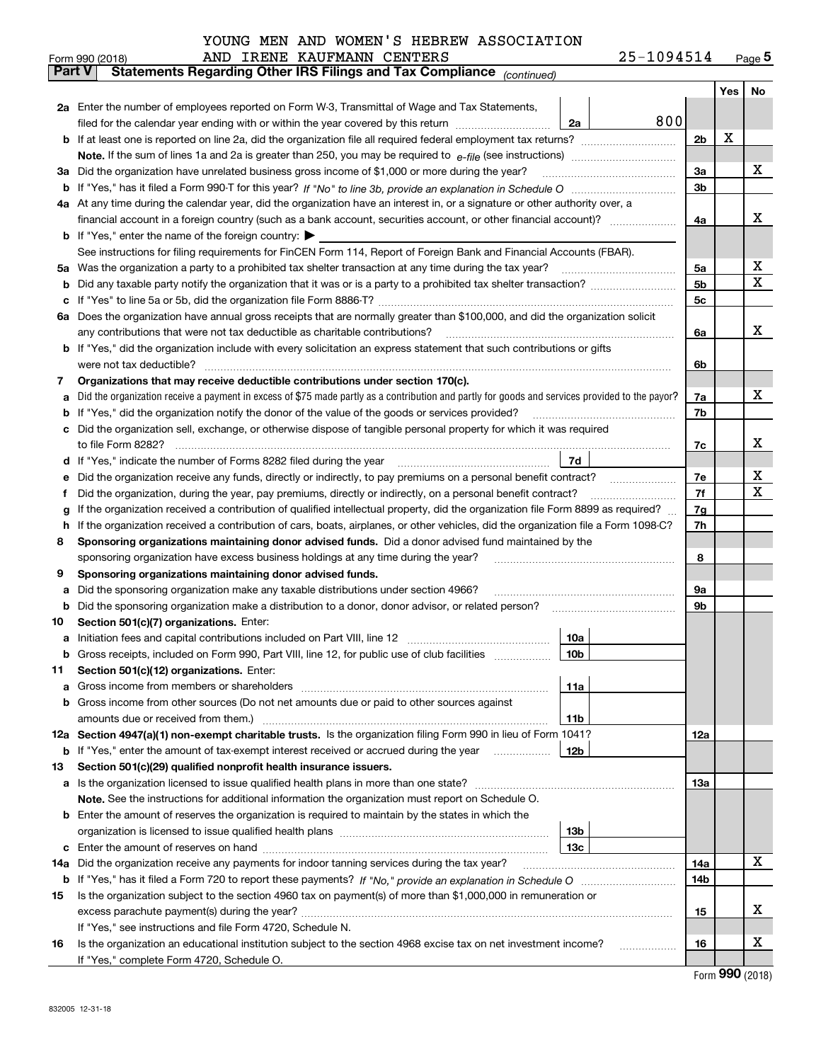| -1094514<br>Page $5$ |
|----------------------|
|----------------------|

|               | 25-1094514<br>AND IRENE KAUFMANN CENTERS<br>Form 990 (2018)                                                                                     |                |     | $_{\text{Page}}$ 5 |  |  |
|---------------|-------------------------------------------------------------------------------------------------------------------------------------------------|----------------|-----|--------------------|--|--|
| <b>Part V</b> | Statements Regarding Other IRS Filings and Tax Compliance (continued)                                                                           |                |     |                    |  |  |
|               |                                                                                                                                                 |                | Yes | No                 |  |  |
|               | 2a Enter the number of employees reported on Form W-3, Transmittal of Wage and Tax Statements,                                                  |                |     |                    |  |  |
|               | 800<br>filed for the calendar year ending with or within the year covered by this return<br>2a                                                  |                |     |                    |  |  |
| b             |                                                                                                                                                 | 2 <sub>b</sub> | x   |                    |  |  |
|               |                                                                                                                                                 |                |     | x                  |  |  |
| За            | Did the organization have unrelated business gross income of \$1,000 or more during the year?                                                   |                |     |                    |  |  |
| b             |                                                                                                                                                 | 3 <sub>b</sub> |     |                    |  |  |
|               | 4a At any time during the calendar year, did the organization have an interest in, or a signature or other authority over, a                    |                |     |                    |  |  |
|               |                                                                                                                                                 | 4a             |     | x                  |  |  |
|               | <b>b</b> If "Yes," enter the name of the foreign country: $\blacktriangleright$                                                                 |                |     |                    |  |  |
|               | See instructions for filing requirements for FinCEN Form 114, Report of Foreign Bank and Financial Accounts (FBAR).                             |                |     |                    |  |  |
| 5a            | Was the organization a party to a prohibited tax shelter transaction at any time during the tax year?                                           | 5a             |     | х                  |  |  |
| b             |                                                                                                                                                 | 5 <sub>b</sub> |     | х                  |  |  |
| с             |                                                                                                                                                 | 5c             |     |                    |  |  |
|               | 6a Does the organization have annual gross receipts that are normally greater than \$100,000, and did the organization solicit                  |                |     |                    |  |  |
|               | any contributions that were not tax deductible as charitable contributions?                                                                     | 6a             |     | x                  |  |  |
| b             | If "Yes," did the organization include with every solicitation an express statement that such contributions or gifts                            |                |     |                    |  |  |
|               | were not tax deductible?                                                                                                                        | 6b             |     |                    |  |  |
| 7             | Organizations that may receive deductible contributions under section 170(c).                                                                   |                |     |                    |  |  |
| а             | Did the organization receive a payment in excess of \$75 made partly as a contribution and partly for goods and services provided to the payor? | 7a             |     | x                  |  |  |
| b             | If "Yes," did the organization notify the donor of the value of the goods or services provided?                                                 | 7b             |     |                    |  |  |
| c             | Did the organization sell, exchange, or otherwise dispose of tangible personal property for which it was required                               |                |     |                    |  |  |
|               |                                                                                                                                                 | 7c             |     | x                  |  |  |
| d             | 7d                                                                                                                                              |                |     |                    |  |  |
| е             | Did the organization receive any funds, directly or indirectly, to pay premiums on a personal benefit contract?                                 | 7e<br>7f       |     | х<br>х             |  |  |
|               | Did the organization, during the year, pay premiums, directly or indirectly, on a personal benefit contract?<br>f                               |                |     |                    |  |  |
| g             | If the organization received a contribution of qualified intellectual property, did the organization file Form 8899 as required?                | 7g             |     |                    |  |  |
| h             | If the organization received a contribution of cars, boats, airplanes, or other vehicles, did the organization file a Form 1098-C?              | 7h             |     |                    |  |  |
| 8             | Sponsoring organizations maintaining donor advised funds. Did a donor advised fund maintained by the                                            |                |     |                    |  |  |
|               | sponsoring organization have excess business holdings at any time during the year?                                                              | 8              |     |                    |  |  |
| 9             | Sponsoring organizations maintaining donor advised funds.                                                                                       |                |     |                    |  |  |
| а             | Did the sponsoring organization make any taxable distributions under section 4966?                                                              | 9а             |     |                    |  |  |
| b             | Did the sponsoring organization make a distribution to a donor, donor advisor, or related person?                                               | 9b             |     |                    |  |  |
| 10            | Section 501(c)(7) organizations. Enter:                                                                                                         |                |     |                    |  |  |
| а             | 10a<br>10 <sub>b</sub>                                                                                                                          |                |     |                    |  |  |
|               | Gross receipts, included on Form 990, Part VIII, line 12, for public use of club facilities                                                     |                |     |                    |  |  |
| 11            | Section 501(c)(12) organizations. Enter:                                                                                                        |                |     |                    |  |  |
| a             | 11a<br>Gross income from members or shareholders<br>Gross income from other sources (Do not net amounts due or paid to other sources against    |                |     |                    |  |  |
| b             | 11 <sub>b</sub><br>amounts due or received from them.)                                                                                          |                |     |                    |  |  |
|               | 12a Section 4947(a)(1) non-exempt charitable trusts. Is the organization filing Form 990 in lieu of Form 1041?                                  | 12a            |     |                    |  |  |
|               | 12b<br><b>b</b> If "Yes," enter the amount of tax-exempt interest received or accrued during the year                                           |                |     |                    |  |  |
| 13            | Section 501(c)(29) qualified nonprofit health insurance issuers.                                                                                |                |     |                    |  |  |
| a             | Is the organization licensed to issue qualified health plans in more than one state?                                                            | 13а            |     |                    |  |  |
|               | Note. See the instructions for additional information the organization must report on Schedule O.                                               |                |     |                    |  |  |
| b             | Enter the amount of reserves the organization is required to maintain by the states in which the                                                |                |     |                    |  |  |
|               | 13 <sub>b</sub>                                                                                                                                 |                |     |                    |  |  |
| с             | 13 <sub>c</sub>                                                                                                                                 |                |     |                    |  |  |
| 14a           | Did the organization receive any payments for indoor tanning services during the tax year?                                                      | 14a            |     | x                  |  |  |
|               |                                                                                                                                                 | 14b            |     |                    |  |  |
| 15            | Is the organization subject to the section 4960 tax on payment(s) of more than \$1,000,000 in remuneration or                                   |                |     |                    |  |  |
|               | excess parachute payment(s) during the year?                                                                                                    | 15             |     | x                  |  |  |
|               | If "Yes," see instructions and file Form 4720, Schedule N.                                                                                      |                |     |                    |  |  |
| 16            | Is the organization an educational institution subject to the section 4968 excise tax on net investment income?                                 | 16             |     | х                  |  |  |
|               | If "Yes," complete Form 4720, Schedule O.                                                                                                       |                |     |                    |  |  |
|               |                                                                                                                                                 |                |     |                    |  |  |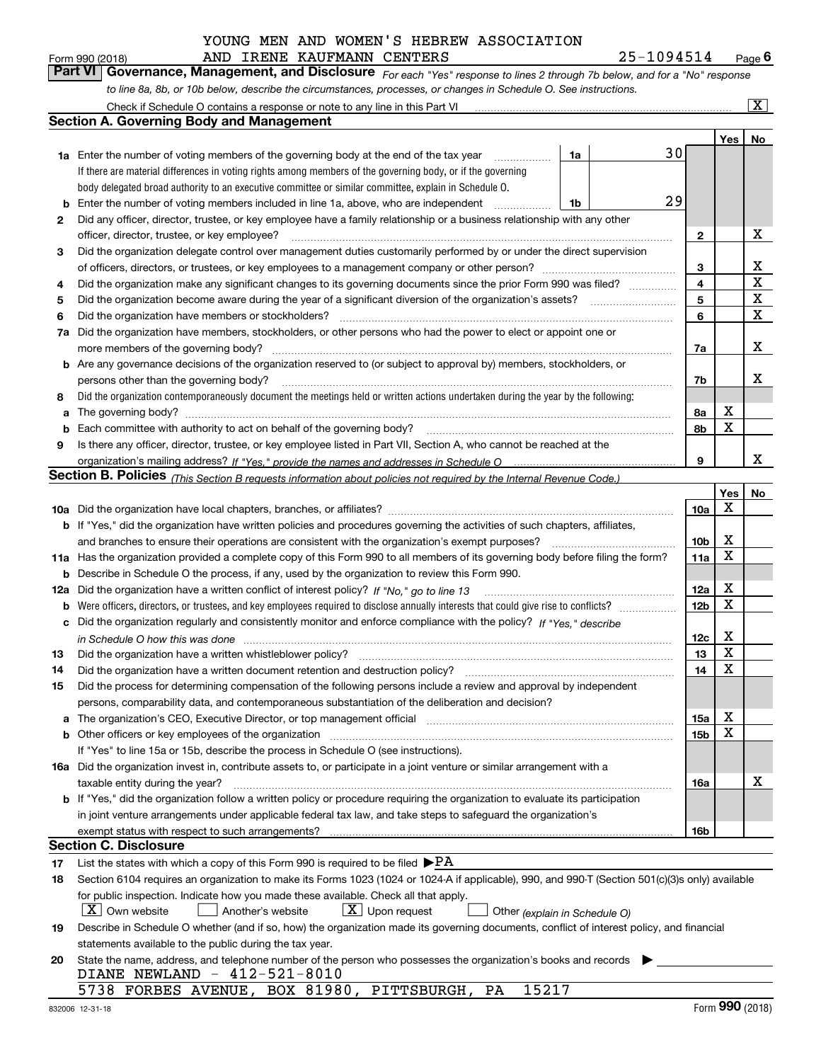| Form 990 (2018) |  | AND IRENE KAUFMANN CENTERS |                                                                                                                  | 25-1094514                                                                                                                    | $P_{\text{aqe}}$ 6 |
|-----------------|--|----------------------------|------------------------------------------------------------------------------------------------------------------|-------------------------------------------------------------------------------------------------------------------------------|--------------------|
|                 |  |                            |                                                                                                                  | Part VI   Governance, Management, and Disclosure For each "Yes" response to lines 2 through 7b below, and for a "No" response |                    |
|                 |  |                            | to line 8a, 8b, or 10b below, describe the circumstances, processes, or changes in Schedule O. See instructions. |                                                                                                                               |                    |

|     | Check if Schedule O contains a response or note to any line in this Part VI                                                                                                                                                                               |    |  |                              |             | $\overline{\mathbf{x}}$ |
|-----|-----------------------------------------------------------------------------------------------------------------------------------------------------------------------------------------------------------------------------------------------------------|----|--|------------------------------|-------------|-------------------------|
|     | <b>Section A. Governing Body and Management</b>                                                                                                                                                                                                           |    |  |                              |             |                         |
|     |                                                                                                                                                                                                                                                           |    |  |                              | Yes         | No                      |
|     | <b>1a</b> Enter the number of voting members of the governing body at the end of the tax year                                                                                                                                                             | 1a |  | 30                           |             |                         |
|     | If there are material differences in voting rights among members of the governing body, or if the governing                                                                                                                                               |    |  |                              |             |                         |
|     | body delegated broad authority to an executive committee or similar committee, explain in Schedule O.                                                                                                                                                     |    |  |                              |             |                         |
| b   | Enter the number of voting members included in line 1a, above, who are independent                                                                                                                                                                        | 1b |  | 29                           |             |                         |
| 2   | Did any officer, director, trustee, or key employee have a family relationship or a business relationship with any other                                                                                                                                  |    |  |                              |             |                         |
|     | officer, director, trustee, or key employee?                                                                                                                                                                                                              |    |  | $\mathbf{2}$                 |             | X                       |
| 3   | Did the organization delegate control over management duties customarily performed by or under the direct supervision                                                                                                                                     |    |  |                              |             |                         |
|     |                                                                                                                                                                                                                                                           |    |  |                              |             |                         |
| 4   | Did the organization make any significant changes to its governing documents since the prior Form 990 was filed?                                                                                                                                          |    |  | 3<br>$\overline{\mathbf{4}}$ |             | х<br>$\mathbf X$        |
| 5   |                                                                                                                                                                                                                                                           |    |  | 5                            |             | X                       |
| 6   | Did the organization have members or stockholders?                                                                                                                                                                                                        |    |  | 6                            |             | X                       |
| 7a  | Did the organization have members, stockholders, or other persons who had the power to elect or appoint one or                                                                                                                                            |    |  |                              |             |                         |
|     | more members of the governing body?                                                                                                                                                                                                                       |    |  | 7a                           |             | X                       |
| b   | Are any governance decisions of the organization reserved to (or subject to approval by) members, stockholders, or                                                                                                                                        |    |  |                              |             |                         |
|     | persons other than the governing body?                                                                                                                                                                                                                    |    |  | 7b                           |             | x                       |
| 8   | Did the organization contemporaneously document the meetings held or written actions undertaken during the year by the following:                                                                                                                         |    |  |                              |             |                         |
|     |                                                                                                                                                                                                                                                           |    |  |                              | X           |                         |
| a   | Each committee with authority to act on behalf of the governing body?                                                                                                                                                                                     |    |  | 8a<br>8b                     | x           |                         |
| b   |                                                                                                                                                                                                                                                           |    |  |                              |             |                         |
| 9   | Is there any officer, director, trustee, or key employee listed in Part VII, Section A, who cannot be reached at the                                                                                                                                      |    |  | 9                            |             | x                       |
|     |                                                                                                                                                                                                                                                           |    |  |                              |             |                         |
|     | <b>Section B. Policies</b> (This Section B requests information about policies not required by the Internal Revenue Code.)                                                                                                                                |    |  |                              |             |                         |
|     |                                                                                                                                                                                                                                                           |    |  |                              | Yes<br>X    | No                      |
|     | <b>b</b> If "Yes," did the organization have written policies and procedures governing the activities of such chapters, affiliates,                                                                                                                       |    |  | 10a                          |             |                         |
|     | and branches to ensure their operations are consistent with the organization's exempt purposes?                                                                                                                                                           |    |  | 10 <sub>b</sub>              | X           |                         |
|     | Has the organization provided a complete copy of this Form 990 to all members of its governing body before filing the form?                                                                                                                               |    |  | 11a                          | $\mathbf X$ |                         |
| 11a |                                                                                                                                                                                                                                                           |    |  |                              |             |                         |
| b   | Describe in Schedule O the process, if any, used by the organization to review this Form 990.                                                                                                                                                             |    |  |                              | X           |                         |
| 12a | Did the organization have a written conflict of interest policy? If "No," go to line 13                                                                                                                                                                   |    |  | 12a<br>12 <sub>b</sub>       | X           |                         |
| b   | Were officers, directors, or trustees, and key employees required to disclose annually interests that could give rise to conflicts?<br>Did the organization regularly and consistently monitor and enforce compliance with the policy? If "Yes." describe |    |  |                              |             |                         |
| c   |                                                                                                                                                                                                                                                           |    |  |                              | X           |                         |
|     |                                                                                                                                                                                                                                                           |    |  | 12c                          | $\mathbf X$ |                         |
| 13  | Did the organization have a written whistleblower policy?                                                                                                                                                                                                 |    |  | 13                           | $\mathbf X$ |                         |
| 14  | Did the organization have a written document retention and destruction policy?                                                                                                                                                                            |    |  | 14                           |             |                         |
| 15  | Did the process for determining compensation of the following persons include a review and approval by independent                                                                                                                                        |    |  |                              |             |                         |
|     | persons, comparability data, and contemporaneous substantiation of the deliberation and decision?                                                                                                                                                         |    |  |                              | х           |                         |
| а   | The organization's CEO, Executive Director, or top management official manufactured content of the organization's CEO, Executive Director, or top management official                                                                                     |    |  | 15a<br>15b                   | X           |                         |
| b   | Other officers or key employees of the organization<br>If "Yes" to line 15a or 15b, describe the process in Schedule O (see instructions).                                                                                                                |    |  |                              |             |                         |
|     | 16a Did the organization invest in, contribute assets to, or participate in a joint venture or similar arrangement with a                                                                                                                                 |    |  |                              |             |                         |
|     | taxable entity during the year?                                                                                                                                                                                                                           |    |  | 16a                          |             | X                       |
|     | b If "Yes," did the organization follow a written policy or procedure requiring the organization to evaluate its participation                                                                                                                            |    |  |                              |             |                         |
|     | in joint venture arrangements under applicable federal tax law, and take steps to safeguard the organization's                                                                                                                                            |    |  |                              |             |                         |
|     | exempt status with respect to such arrangements?                                                                                                                                                                                                          |    |  | 16b                          |             |                         |
|     | <b>Section C. Disclosure</b>                                                                                                                                                                                                                              |    |  |                              |             |                         |
| 17  | List the states with which a copy of this Form 990 is required to be filed $\blacktriangleright$ PA                                                                                                                                                       |    |  |                              |             |                         |
| 18  | Section 6104 requires an organization to make its Forms 1023 (1024 or 1024-A if applicable), 990, and 990-T (Section 501(c)(3)s only) available                                                                                                           |    |  |                              |             |                         |
|     | for public inspection. Indicate how you made these available. Check all that apply.                                                                                                                                                                       |    |  |                              |             |                         |
|     | $X$ Own website<br>$X$ Upon request<br>Another's website<br>Other (explain in Schedule O)                                                                                                                                                                 |    |  |                              |             |                         |
| 19  | Describe in Schedule O whether (and if so, how) the organization made its governing documents, conflict of interest policy, and financial                                                                                                                 |    |  |                              |             |                         |
|     | statements available to the public during the tax year.                                                                                                                                                                                                   |    |  |                              |             |                         |
| 20  | State the name, address, and telephone number of the person who possesses the organization's books and records                                                                                                                                            |    |  |                              |             |                         |
|     | DIANE NEWLAND - 412-521-8010                                                                                                                                                                                                                              |    |  |                              |             |                         |
|     | 5738 FORBES AVENUE, BOX 81980, PITTSBURGH,<br>15217<br>PA                                                                                                                                                                                                 |    |  |                              |             |                         |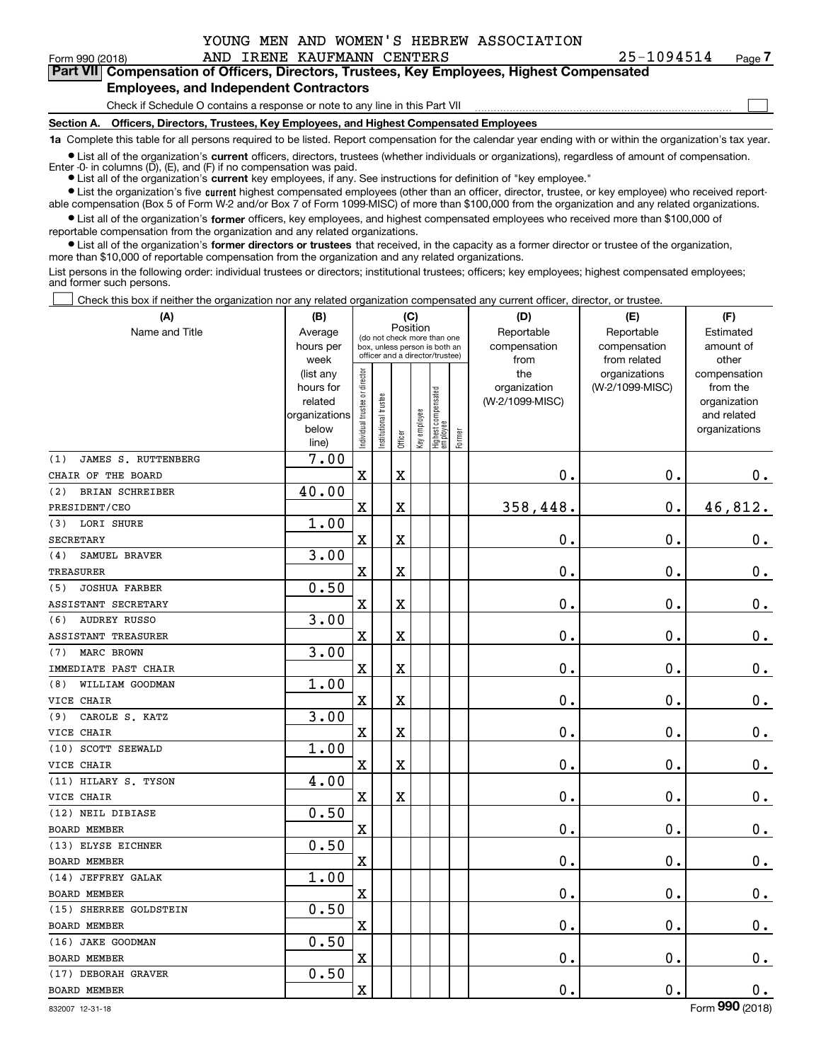|  |  |  | YOUNG MEN AND WOMEN'S HEBREW ASSOCIATION |
|--|--|--|------------------------------------------|
|  |  |  |                                          |

| 25-1094514 | Pag |
|------------|-----|
|------------|-----|

 $\mathcal{L}^{\text{max}}$ 

| Form 990 (2018) |                                               | AND IRENE KAUFMANN CENTERS | 25-1094514                                                                                 | Page 7 |
|-----------------|-----------------------------------------------|----------------------------|--------------------------------------------------------------------------------------------|--------|
|                 |                                               |                            | Part VII Compensation of Officers, Directors, Trustees, Key Employees, Highest Compensated |        |
|                 | <b>Employees, and Independent Contractors</b> |                            |                                                                                            |        |

Check if Schedule O contains a response or note to any line in this Part VII

**Section A. Officers, Directors, Trustees, Key Employees, and Highest Compensated Employees**

**1a**  Complete this table for all persons required to be listed. Report compensation for the calendar year ending with or within the organization's tax year.

**•** List all of the organization's current officers, directors, trustees (whether individuals or organizations), regardless of amount of compensation. Enter -0- in columns  $(D)$ ,  $(E)$ , and  $(F)$  if no compensation was paid.

● List all of the organization's **current** key employees, if any. See instructions for definition of "key employee."

**•** List the organization's five current highest compensated employees (other than an officer, director, trustee, or key employee) who received reportable compensation (Box 5 of Form W-2 and/or Box 7 of Form 1099-MISC) of more than \$100,000 from the organization and any related organizations.

 $\bullet$  List all of the organization's **former** officers, key employees, and highest compensated employees who received more than \$100,000 of reportable compensation from the organization and any related organizations.

**•** List all of the organization's former directors or trustees that received, in the capacity as a former director or trustee of the organization, more than \$10,000 of reportable compensation from the organization and any related organizations.

List persons in the following order: individual trustees or directors; institutional trustees; officers; key employees; highest compensated employees; and former such persons.

Check this box if neither the organization nor any related organization compensated any current officer, director, or trustee.  $\mathcal{L}^{\text{max}}$ 

| (A)                         | (B)                                                                  |                                                                                                                     |                      | (C)                                |                                            |                                   |        | (D)                                    | (E)                              | (F)                                                                      |
|-----------------------------|----------------------------------------------------------------------|---------------------------------------------------------------------------------------------------------------------|----------------------|------------------------------------|--------------------------------------------|-----------------------------------|--------|----------------------------------------|----------------------------------|--------------------------------------------------------------------------|
| Name and Title              | Average<br>hours per                                                 | Position<br>(do not check more than one<br>box, unless person is both an<br>officer and a director/trustee)<br>week |                      | Reportable<br>compensation<br>from | Reportable<br>compensation<br>from related | Estimated<br>amount of<br>other   |        |                                        |                                  |                                                                          |
|                             | (list any<br>hours for<br>related<br>organizations<br>below<br>line) | n dividual trustee or director                                                                                      | nstitutional trustee | Officer                            | key employee                               | Highest compensated<br>  employee | Former | the<br>organization<br>(W-2/1099-MISC) | organizations<br>(W-2/1099-MISC) | compensation<br>from the<br>organization<br>and related<br>organizations |
| JAMES S. RUTTENBERG<br>(1)  | 7.00                                                                 |                                                                                                                     |                      |                                    |                                            |                                   |        |                                        |                                  |                                                                          |
| CHAIR OF THE BOARD          |                                                                      | $\mathbf X$                                                                                                         |                      | X                                  |                                            |                                   |        | $\mathbf 0$ .                          | 0.                               | 0.                                                                       |
| BRIAN SCHREIBER<br>(2)      | 40.00                                                                |                                                                                                                     |                      |                                    |                                            |                                   |        |                                        |                                  |                                                                          |
| PRESIDENT/CEO               |                                                                      | X                                                                                                                   |                      | X                                  |                                            |                                   |        | 358,448.                               | $\mathbf 0$ .                    | 46,812.                                                                  |
| LORI SHURE<br>(3)           | 1.00                                                                 |                                                                                                                     |                      |                                    |                                            |                                   |        |                                        |                                  |                                                                          |
| <b>SECRETARY</b>            |                                                                      | $\mathbf x$                                                                                                         |                      | X                                  |                                            |                                   |        | $\mathbf 0$ .                          | $\mathbf 0$ .                    | $0_{.}$                                                                  |
| SAMUEL BRAVER<br>(4)        | 3.00                                                                 |                                                                                                                     |                      |                                    |                                            |                                   |        |                                        |                                  |                                                                          |
| <b>TREASURER</b>            |                                                                      | $\mathbf X$                                                                                                         |                      | X                                  |                                            |                                   |        | $\mathbf 0$ .                          | $\mathbf 0$ .                    | $\mathbf 0$ .                                                            |
| <b>JOSHUA FARBER</b><br>(5) | 0.50                                                                 |                                                                                                                     |                      |                                    |                                            |                                   |        |                                        |                                  |                                                                          |
| ASSISTANT SECRETARY         |                                                                      | $\mathbf X$                                                                                                         |                      | X                                  |                                            |                                   |        | $\mathbf 0$ .                          | $\mathbf 0$ .                    | $\mathbf 0$ .                                                            |
| (6)<br><b>AUDREY RUSSO</b>  | 3.00                                                                 |                                                                                                                     |                      |                                    |                                            |                                   |        |                                        |                                  |                                                                          |
| ASSISTANT TREASURER         |                                                                      | $\mathbf X$                                                                                                         |                      | X                                  |                                            |                                   |        | $\mathbf 0$ .                          | $\mathbf 0$ .                    | $\mathbf 0$ .                                                            |
| MARC BROWN<br>(7)           | 3.00                                                                 |                                                                                                                     |                      |                                    |                                            |                                   |        |                                        |                                  |                                                                          |
| IMMEDIATE PAST CHAIR        |                                                                      | $\mathbf X$                                                                                                         |                      | X                                  |                                            |                                   |        | $\mathbf 0$ .                          | $\mathbf 0$ .                    | $\mathbf 0$ .                                                            |
| WILLIAM GOODMAN<br>(8)      | 1.00                                                                 |                                                                                                                     |                      |                                    |                                            |                                   |        |                                        |                                  |                                                                          |
| VICE CHAIR                  |                                                                      | $\mathbf X$                                                                                                         |                      | X                                  |                                            |                                   |        | $\mathbf 0$ .                          | $\mathbf 0$ .                    | $\mathbf 0$ .                                                            |
| CAROLE S. KATZ<br>(9)       | 3.00                                                                 |                                                                                                                     |                      |                                    |                                            |                                   |        |                                        |                                  |                                                                          |
| VICE CHAIR                  |                                                                      | $\mathbf X$                                                                                                         |                      | X                                  |                                            |                                   |        | $\mathbf 0$ .                          | $\mathbf 0$ .                    | $\mathbf 0$ .                                                            |
| (10) SCOTT SEEWALD          | 1.00                                                                 |                                                                                                                     |                      |                                    |                                            |                                   |        |                                        |                                  |                                                                          |
| VICE CHAIR                  |                                                                      | $\mathbf X$                                                                                                         |                      | X                                  |                                            |                                   |        | $\mathbf 0$ .                          | $\mathbf 0$ .                    | $\mathbf 0$ .                                                            |
| (11) HILARY S. TYSON        | 4.00                                                                 |                                                                                                                     |                      |                                    |                                            |                                   |        |                                        |                                  |                                                                          |
| VICE CHAIR                  |                                                                      | $\mathbf X$                                                                                                         |                      | X                                  |                                            |                                   |        | $\mathbf 0$ .                          | $\mathbf 0$ .                    | $\mathbf 0$ .                                                            |
| (12) NEIL DIBIASE           | 0.50                                                                 |                                                                                                                     |                      |                                    |                                            |                                   |        |                                        |                                  |                                                                          |
| <b>BOARD MEMBER</b>         |                                                                      | $\mathbf X$                                                                                                         |                      |                                    |                                            |                                   |        | $\mathbf 0$ .                          | $\mathbf 0$ .                    | $\mathbf 0$ .                                                            |
| (13) ELYSE EICHNER          | 0.50                                                                 |                                                                                                                     |                      |                                    |                                            |                                   |        |                                        |                                  |                                                                          |
| <b>BOARD MEMBER</b>         |                                                                      | $\mathbf X$                                                                                                         |                      |                                    |                                            |                                   |        | $\mathbf 0$ .                          | $\mathbf 0$ .                    | $\mathbf 0$ .                                                            |
| (14) JEFFREY GALAK          | 1.00                                                                 |                                                                                                                     |                      |                                    |                                            |                                   |        |                                        |                                  |                                                                          |
| <b>BOARD MEMBER</b>         |                                                                      | $\mathbf X$                                                                                                         |                      |                                    |                                            |                                   |        | $\mathbf 0$ .                          | $\mathbf 0$ .                    | $\mathbf 0$ .                                                            |
| (15) SHERREE GOLDSTEIN      | 0.50                                                                 |                                                                                                                     |                      |                                    |                                            |                                   |        |                                        |                                  |                                                                          |
| <b>BOARD MEMBER</b>         |                                                                      | $\mathbf X$                                                                                                         |                      |                                    |                                            |                                   |        | $\mathbf 0$ .                          | $\mathbf 0$ .                    | $\mathbf 0$ .                                                            |
| (16) JAKE GOODMAN           | 0.50                                                                 |                                                                                                                     |                      |                                    |                                            |                                   |        |                                        |                                  |                                                                          |
| <b>BOARD MEMBER</b>         |                                                                      | $\mathbf X$                                                                                                         |                      |                                    |                                            |                                   |        | $\mathbf 0$ .                          | $\mathbf 0$ .                    | $0_{.}$                                                                  |
| (17) DEBORAH GRAVER         | 0.50                                                                 |                                                                                                                     |                      |                                    |                                            |                                   |        |                                        |                                  |                                                                          |
| <b>BOARD MEMBER</b>         |                                                                      | $\mathbf X$                                                                                                         |                      |                                    |                                            |                                   |        | $\mathbf 0$ .                          | $\mathbf 0$ .                    | $\mathbf 0$ .                                                            |

832007 12-31-18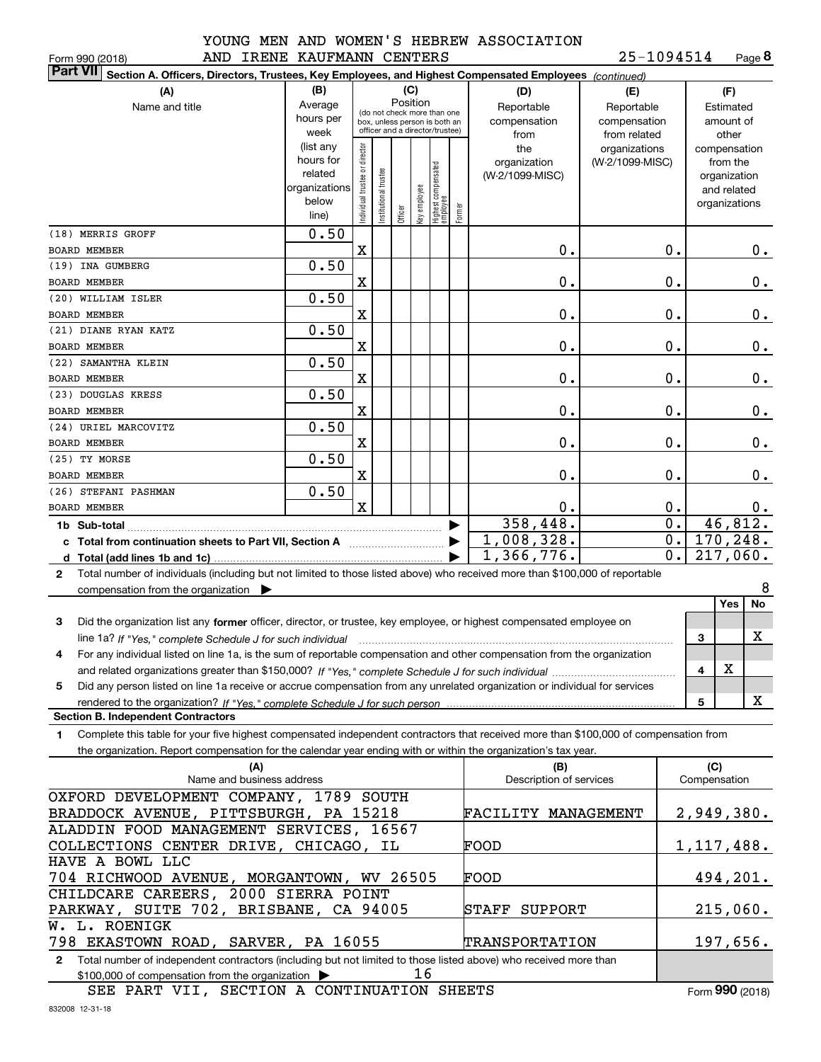| IOOMG MEN |        |
|-----------|--------|
| ----      | ------ |

**8**25-1094514

| AND IRENE KAUFMANN CENTERS<br>Form 990 (2018)                                                                                                   |               |                               |                       |                                         |              |                                 |        |                         | 25-1094514      |                  |              | Page 8             |
|-------------------------------------------------------------------------------------------------------------------------------------------------|---------------|-------------------------------|-----------------------|-----------------------------------------|--------------|---------------------------------|--------|-------------------------|-----------------|------------------|--------------|--------------------|
| <b>Part VII</b><br>Section A. Officers, Directors, Trustees, Key Employees, and Highest Compensated Employees (continued)                       |               |                               |                       |                                         |              |                                 |        |                         |                 |                  |              |                    |
| (A)                                                                                                                                             | (B)           |                               |                       | (C)                                     |              |                                 |        | (D)                     | (E)             |                  |              | (F)                |
| Name and title                                                                                                                                  | Average       |                               |                       | Position<br>(do not check more than one |              |                                 |        | Reportable              | Reportable      |                  |              | Estimated          |
|                                                                                                                                                 | hours per     |                               |                       | box, unless person is both an           |              |                                 |        | compensation            | compensation    |                  |              | amount of          |
|                                                                                                                                                 | week          |                               |                       | officer and a director/trustee)         |              |                                 |        | from                    | from related    |                  |              | other              |
|                                                                                                                                                 | (list any     |                               |                       |                                         |              |                                 |        | the                     | organizations   |                  |              | compensation       |
|                                                                                                                                                 | hours for     |                               |                       |                                         |              |                                 |        | organization            | (W-2/1099-MISC) |                  |              | from the           |
|                                                                                                                                                 | related       |                               |                       |                                         |              |                                 |        | (W-2/1099-MISC)         |                 |                  |              | organization       |
|                                                                                                                                                 | organizations |                               |                       |                                         |              |                                 |        |                         |                 |                  |              | and related        |
|                                                                                                                                                 | below         | ndividual trustee or director | Institutional trustee | Officer                                 | Key employee | Highest compensated<br>employee | Former |                         |                 |                  |              | organizations      |
|                                                                                                                                                 | line)         |                               |                       |                                         |              |                                 |        |                         |                 |                  |              |                    |
| (18) MERRIS GROFF<br><b>BOARD MEMBER</b>                                                                                                        | 0.50          | X                             |                       |                                         |              |                                 |        | 0.                      |                 | $\mathbf 0$ .    |              | 0.                 |
| (19) INA GUMBERG                                                                                                                                | 0.50          |                               |                       |                                         |              |                                 |        |                         |                 |                  |              |                    |
| <b>BOARD MEMBER</b>                                                                                                                             |               | $\mathbf X$                   |                       |                                         |              |                                 |        | 0.                      |                 | $\mathbf 0$ .    |              | 0.                 |
| (20) WILLIAM ISLER                                                                                                                              | 0.50          |                               |                       |                                         |              |                                 |        |                         |                 |                  |              |                    |
| <b>BOARD MEMBER</b>                                                                                                                             |               | $\mathbf X$                   |                       |                                         |              |                                 |        | 0.                      |                 | $\mathbf 0$ .    |              | 0.                 |
| (21) DIANE RYAN KATZ                                                                                                                            | 0.50          |                               |                       |                                         |              |                                 |        |                         |                 |                  |              |                    |
| <b>BOARD MEMBER</b>                                                                                                                             |               | $\mathbf X$                   |                       |                                         |              |                                 |        | 0.                      |                 | $\mathbf 0$ .    |              | 0.                 |
| (22) SAMANTHA KLEIN                                                                                                                             | 0.50          |                               |                       |                                         |              |                                 |        |                         |                 |                  |              |                    |
| <b>BOARD MEMBER</b>                                                                                                                             |               | $\mathbf X$                   |                       |                                         |              |                                 |        | 0.                      |                 | $\mathbf 0$ .    |              | 0.                 |
| (23) DOUGLAS KRESS                                                                                                                              | 0.50          |                               |                       |                                         |              |                                 |        |                         |                 |                  |              |                    |
| <b>BOARD MEMBER</b>                                                                                                                             |               | $\mathbf X$                   |                       |                                         |              |                                 |        | 0.                      |                 | $\mathbf 0$ .    |              | 0.                 |
| (24) URIEL MARCOVITZ                                                                                                                            | 0.50          |                               |                       |                                         |              |                                 |        |                         |                 |                  |              |                    |
| <b>BOARD MEMBER</b><br>(25) TY MORSE                                                                                                            | 0.50          | $\mathbf X$                   |                       |                                         |              |                                 |        | 0.                      |                 | $\mathbf 0$ .    |              | 0.                 |
| <b>BOARD MEMBER</b>                                                                                                                             |               | $\mathbf X$                   |                       |                                         |              |                                 |        | 0.                      |                 | $\mathbf 0$ .    |              | 0.                 |
| (26) STEFANI PASHMAN                                                                                                                            | 0.50          |                               |                       |                                         |              |                                 |        |                         |                 |                  |              |                    |
| <b>BOARD MEMBER</b>                                                                                                                             |               | $\mathbf{x}$                  |                       |                                         |              |                                 |        | 0.                      |                 | 0.               |              | 0.                 |
| 1b Sub-total                                                                                                                                    |               |                               |                       |                                         |              |                                 |        | 358,448.                |                 | $\overline{0}$ . |              | 46,812.            |
| c Total from continuation sheets to Part VII, Section A <b>witch the Continuum</b>                                                              |               |                               |                       |                                         |              |                                 |        | 1,008,328.              |                 | $\overline{0}$ . |              | 170,248.           |
|                                                                                                                                                 |               |                               |                       |                                         |              |                                 |        | 1,366,776.              |                 | $\overline{0}$ . |              | 217,060.           |
| Total number of individuals (including but not limited to those listed above) who received more than \$100,000 of reportable<br>$\mathbf{2}$    |               |                               |                       |                                         |              |                                 |        |                         |                 |                  |              |                    |
| compensation from the organization $\blacktriangleright$                                                                                        |               |                               |                       |                                         |              |                                 |        |                         |                 |                  |              | 8                  |
|                                                                                                                                                 |               |                               |                       |                                         |              |                                 |        |                         |                 |                  |              | Yes<br>No          |
| Did the organization list any former officer, director, or trustee, key employee, or highest compensated employee on<br>3                       |               |                               |                       |                                         |              |                                 |        |                         |                 |                  |              |                    |
| line 1a? If "Yes," complete Schedule J for such individual manufactured contained and the 1a? If "Yes," complete Schedule J for such individual |               |                               |                       |                                         |              |                                 |        |                         |                 |                  | 3            | х                  |
| For any individual listed on line 1a, is the sum of reportable compensation and other compensation from the organization                        |               |                               |                       |                                         |              |                                 |        |                         |                 |                  |              |                    |
|                                                                                                                                                 |               |                               |                       |                                         |              |                                 |        |                         |                 |                  | 4            | х                  |
| Did any person listed on line 1a receive or accrue compensation from any unrelated organization or individual for services<br>5                 |               |                               |                       |                                         |              |                                 |        |                         |                 |                  | 5            | x                  |
| <b>Section B. Independent Contractors</b>                                                                                                       |               |                               |                       |                                         |              |                                 |        |                         |                 |                  |              |                    |
| Complete this table for your five highest compensated independent contractors that received more than \$100,000 of compensation from<br>1.      |               |                               |                       |                                         |              |                                 |        |                         |                 |                  |              |                    |
| the organization. Report compensation for the calendar year ending with or within the organization's tax year.                                  |               |                               |                       |                                         |              |                                 |        |                         |                 |                  |              |                    |
| (A)                                                                                                                                             |               |                               |                       |                                         |              |                                 |        | (B)                     |                 |                  | (C)          |                    |
| Name and business address                                                                                                                       |               |                               |                       |                                         |              |                                 |        | Description of services |                 |                  | Compensation |                    |
| OXFORD DEVELOPMENT COMPANY, 1789 SOUTH                                                                                                          |               |                               |                       |                                         |              |                                 |        |                         |                 |                  |              |                    |
| BRADDOCK AVENUE, PITTSBURGH, PA 15218                                                                                                           |               |                               |                       |                                         |              |                                 |        | FACILITY MANAGEMENT     |                 |                  |              | 2,949,380 <b>.</b> |
| ALADDIN FOOD MANAGEMENT SERVICES, 16567                                                                                                         |               |                               |                       |                                         |              |                                 |        |                         |                 |                  |              |                    |
| COLLECTIONS CENTER DRIVE, CHICAGO, IL<br>HAVE A BOWL LLC                                                                                        |               |                               |                       |                                         |              |                                 |        | FOOD                    |                 |                  |              | 1,117,488.         |
| 704 RICHWOOD AVENUE, MORGANTOWN, WV 26505                                                                                                       |               |                               |                       |                                         |              |                                 |        | FOOD                    |                 |                  |              | 494,201.           |
| CHILDCARE CAREERS, 2000 SIERRA POINT                                                                                                            |               |                               |                       |                                         |              |                                 |        |                         |                 |                  |              |                    |
| PARKWAY, SUITE 702, BRISBANE, CA 94005                                                                                                          |               |                               |                       |                                         |              |                                 |        | STAFF<br>SUPPORT        |                 |                  |              | 215,060.           |
| W. L. ROENIGK                                                                                                                                   |               |                               |                       |                                         |              |                                 |        |                         |                 |                  |              |                    |
| 798 EKASTOWN ROAD, SARVER, PA 16055                                                                                                             |               |                               |                       |                                         |              |                                 |        | TRANSPORTATION          |                 |                  |              | 197,656.           |
| 2 Total number of independent contractors (including but not limited to those listed above) who received more than                              |               |                               |                       |                                         |              |                                 |        |                         |                 |                  |              |                    |

\$100,000 of compensation from the organization 16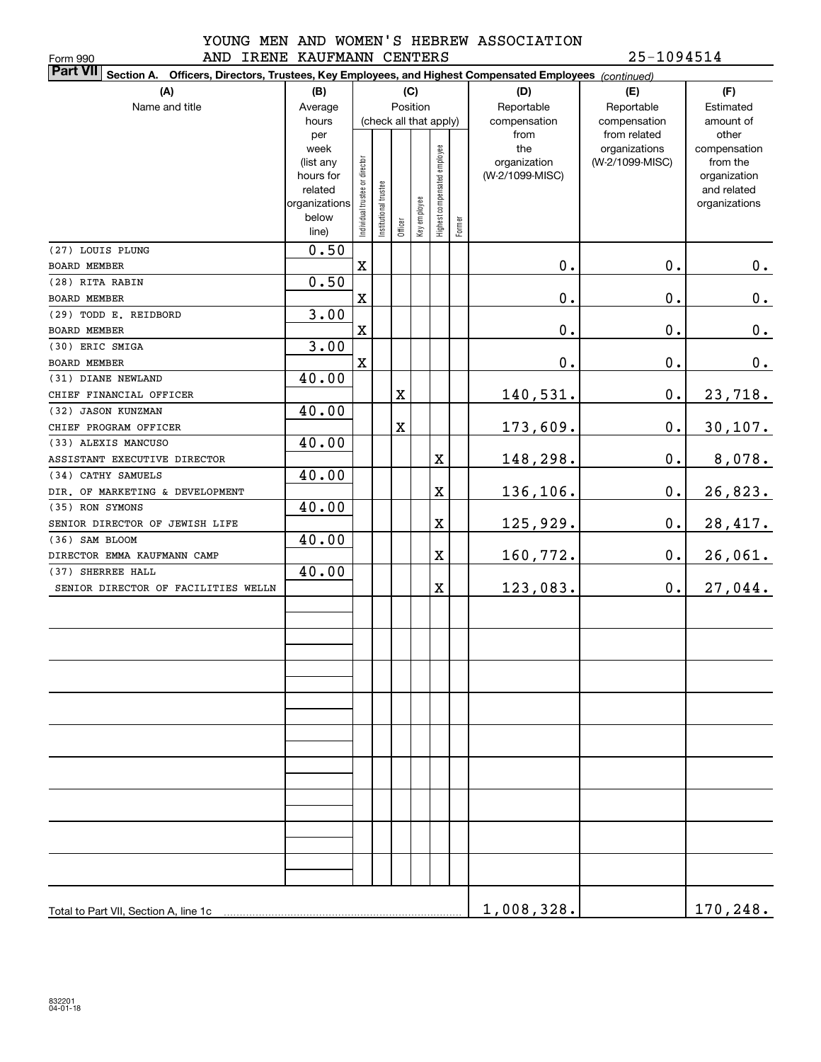Form 990

#### YOUNG MEN AND WOMEN'S HEBREW ASSOCIATION AND IRENE KAUFMANN CENTERS 25-1094514

| <b>Part VII</b> Section A. Officers, Directors, Trustees, Key Employees, and Highest Compensated Employees (continued) |                   |                                |                        |         |              |                              |        |                     |                                  |                          |
|------------------------------------------------------------------------------------------------------------------------|-------------------|--------------------------------|------------------------|---------|--------------|------------------------------|--------|---------------------|----------------------------------|--------------------------|
| (A)                                                                                                                    | (B)               |                                |                        |         | (C)          |                              |        | (D)                 | (E)                              | (F)                      |
| Name and title                                                                                                         | Average           |                                |                        |         | Position     |                              |        | Reportable          | Reportable                       | Estimated                |
|                                                                                                                        | hours             |                                | (check all that apply) |         |              |                              |        | compensation        | compensation                     | amount of                |
|                                                                                                                        | per               |                                |                        |         |              |                              |        | from                | from related                     | other                    |
|                                                                                                                        | week<br>(list any |                                |                        |         |              |                              |        | the<br>organization | organizations<br>(W-2/1099-MISC) | compensation<br>from the |
|                                                                                                                        | hours for         |                                |                        |         |              |                              |        | (W-2/1099-MISC)     |                                  | organization             |
|                                                                                                                        | related           |                                |                        |         |              |                              |        |                     |                                  | and related              |
|                                                                                                                        | organizations     |                                |                        |         |              |                              |        |                     |                                  | organizations            |
|                                                                                                                        | below             | Individual trustee or director | Institutional trustee  | Officer | Key employee | Highest compensated employee | Former |                     |                                  |                          |
|                                                                                                                        | line)             |                                |                        |         |              |                              |        |                     |                                  |                          |
| (27) LOUIS PLUNG                                                                                                       | 0.50              |                                |                        |         |              |                              |        |                     |                                  |                          |
| BOARD MEMBER                                                                                                           |                   | X                              |                        |         |              |                              |        | 0.                  | $\mathbf 0$ .                    | $0_{.}$                  |
| (28) RITA RABIN                                                                                                        | 0.50              |                                |                        |         |              |                              |        |                     |                                  |                          |
| BOARD MEMBER                                                                                                           |                   | X                              |                        |         |              |                              |        | $\mathbf 0$ .       | $\mathbf 0$ .                    | $0$ .                    |
| (29) TODD E. REIDBORD                                                                                                  | 3.00              |                                |                        |         |              |                              |        |                     |                                  |                          |
| BOARD MEMBER                                                                                                           |                   | X                              |                        |         |              |                              |        | $\mathbf 0$ .       | $\mathbf 0$ .                    | $0$ .                    |
| (30) ERIC SMIGA                                                                                                        | 3.00              |                                |                        |         |              |                              |        |                     |                                  |                          |
| BOARD MEMBER                                                                                                           |                   | $\mathbf X$                    |                        |         |              |                              |        | $\mathbf 0$ .       | $\mathbf 0$ .                    | $0_{.}$                  |
| (31) DIANE NEWLAND                                                                                                     | 40.00             |                                |                        |         |              |                              |        |                     |                                  |                          |
| CHIEF FINANCIAL OFFICER                                                                                                |                   |                                |                        | X       |              |                              |        | 140,531.            | 0.                               | 23,718.                  |
| (32) JASON KUNZMAN                                                                                                     | 40.00             |                                |                        |         |              |                              |        |                     |                                  |                          |
| CHIEF PROGRAM OFFICER                                                                                                  |                   |                                |                        | X       |              |                              |        | 173,609.            | $\mathbf 0$ .                    | 30,107.                  |
| (33) ALEXIS MANCUSO                                                                                                    | 40.00             |                                |                        |         |              |                              |        |                     |                                  |                          |
| ASSISTANT EXECUTIVE DIRECTOR                                                                                           |                   |                                |                        |         |              | X                            |        | 148,298.            | $\mathbf 0$ .                    | 8,078.                   |
| (34) CATHY SAMUELS                                                                                                     | 40.00             |                                |                        |         |              |                              |        |                     |                                  |                          |
| DIR. OF MARKETING & DEVELOPMENT                                                                                        |                   |                                |                        |         |              | X                            |        | 136,106.            | 0.                               | 26,823.                  |
| (35) RON SYMONS                                                                                                        | 40.00             |                                |                        |         |              |                              |        |                     |                                  |                          |
| SENIOR DIRECTOR OF JEWISH LIFE                                                                                         |                   |                                |                        |         |              | X                            |        | 125,929.            | 0.                               | 28,417.                  |
| (36) SAM BLOOM                                                                                                         | 40.00             |                                |                        |         |              |                              |        |                     |                                  |                          |
| DIRECTOR EMMA KAUFMANN CAMP                                                                                            |                   |                                |                        |         |              | X                            |        | 160,772.            | 0.                               | 26,061.                  |
| (37) SHERREE HALL                                                                                                      | 40.00             |                                |                        |         |              |                              |        |                     |                                  |                          |
| SENIOR DIRECTOR OF FACILITIES WELLN                                                                                    |                   |                                |                        |         |              | X                            |        | 123,083.            | 0.                               | 27,044.                  |
|                                                                                                                        |                   |                                |                        |         |              |                              |        |                     |                                  |                          |
|                                                                                                                        |                   |                                |                        |         |              |                              |        |                     |                                  |                          |
|                                                                                                                        |                   |                                |                        |         |              |                              |        |                     |                                  |                          |
|                                                                                                                        |                   |                                |                        |         |              |                              |        |                     |                                  |                          |
|                                                                                                                        |                   |                                |                        |         |              |                              |        |                     |                                  |                          |
|                                                                                                                        |                   |                                |                        |         |              |                              |        |                     |                                  |                          |
|                                                                                                                        |                   |                                |                        |         |              |                              |        |                     |                                  |                          |
|                                                                                                                        |                   |                                |                        |         |              |                              |        |                     |                                  |                          |
|                                                                                                                        |                   |                                |                        |         |              |                              |        |                     |                                  |                          |
|                                                                                                                        |                   |                                |                        |         |              |                              |        |                     |                                  |                          |
|                                                                                                                        |                   |                                |                        |         |              |                              |        |                     |                                  |                          |
|                                                                                                                        |                   |                                |                        |         |              |                              |        |                     |                                  |                          |
|                                                                                                                        |                   |                                |                        |         |              |                              |        |                     |                                  |                          |
|                                                                                                                        |                   |                                |                        |         |              |                              |        |                     |                                  |                          |
|                                                                                                                        |                   |                                |                        |         |              |                              |        |                     |                                  |                          |
|                                                                                                                        |                   |                                |                        |         |              |                              |        |                     |                                  |                          |
|                                                                                                                        |                   |                                |                        |         |              |                              |        |                     |                                  |                          |
|                                                                                                                        |                   |                                |                        |         |              |                              |        |                     |                                  |                          |
|                                                                                                                        |                   |                                |                        |         |              |                              |        |                     |                                  |                          |
| Total to Part VII, Section A, line 1c                                                                                  |                   |                                |                        |         |              |                              |        | 1,008,328.          |                                  | 170,248.                 |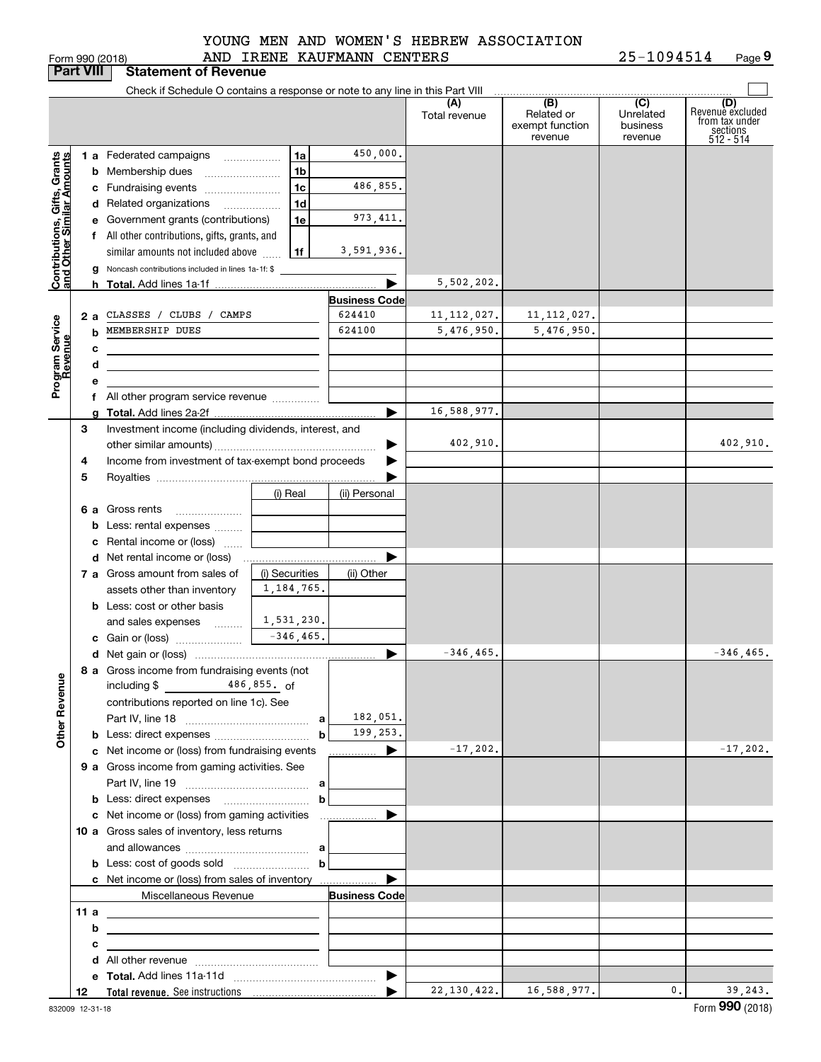|  | orm 990 (2018) |  |
|--|----------------|--|

#### AND IRENE KAUFMANN CENTERS YOUNG MEN AND WOMEN'S HEBREW ASSOCIATION

|                                                           | <b>Part VIII</b> | <b>Statement of Revenue</b>                                                                                            |                |                      |                      |                                                 |                                         |                                                                    |
|-----------------------------------------------------------|------------------|------------------------------------------------------------------------------------------------------------------------|----------------|----------------------|----------------------|-------------------------------------------------|-----------------------------------------|--------------------------------------------------------------------|
|                                                           |                  | Check if Schedule O contains a response or note to any line in this Part VIII                                          |                |                      |                      |                                                 |                                         |                                                                    |
|                                                           |                  |                                                                                                                        |                |                      | (A)<br>Total revenue | (B)<br>Related or<br>exempt function<br>revenue | (C)<br>Unrelated<br>business<br>revenue | (D)<br>Revenuè excluded<br>from tax under<br>sections<br>512 - 514 |
|                                                           |                  | 1 a Federated campaigns                                                                                                | 1a             | 450,000.             |                      |                                                 |                                         |                                                                    |
|                                                           |                  | <b>b</b> Membership dues                                                                                               | 1 <sub>b</sub> |                      |                      |                                                 |                                         |                                                                    |
|                                                           |                  | c Fundraising events                                                                                                   | 1 <sub>c</sub> | 486,855.             |                      |                                                 |                                         |                                                                    |
|                                                           |                  |                                                                                                                        | 1 <sub>d</sub> |                      |                      |                                                 |                                         |                                                                    |
|                                                           |                  | d Related organizations                                                                                                | 1e             | 973, 411.            |                      |                                                 |                                         |                                                                    |
|                                                           |                  | e Government grants (contributions)                                                                                    |                |                      |                      |                                                 |                                         |                                                                    |
|                                                           |                  | f All other contributions, gifts, grants, and                                                                          | 1f             | 3,591,936.           |                      |                                                 |                                         |                                                                    |
| Contributions, Gifts, Grants<br>and Other Similar Amounts |                  | similar amounts not included above<br>g Noncash contributions included in lines 1a-1f: \$                              |                |                      |                      |                                                 |                                         |                                                                    |
|                                                           |                  |                                                                                                                        |                |                      | 5,502,202.           |                                                 |                                         |                                                                    |
|                                                           |                  |                                                                                                                        |                | <b>Business Code</b> |                      |                                                 |                                         |                                                                    |
|                                                           | 2а               | CLASSES / CLUBS / CAMPS                                                                                                |                | 624410               | 11, 112, 027.        | 11, 112, 027.                                   |                                         |                                                                    |
|                                                           | b                | MEMBERSHIP DUES                                                                                                        |                | 624100               | 5,476,950.           | 5,476,950.                                      |                                         |                                                                    |
| Program Service<br>Revenue                                | с                |                                                                                                                        |                |                      |                      |                                                 |                                         |                                                                    |
|                                                           | d                |                                                                                                                        |                |                      |                      |                                                 |                                         |                                                                    |
|                                                           | е                |                                                                                                                        |                |                      |                      |                                                 |                                         |                                                                    |
|                                                           |                  | f All other program service revenue                                                                                    |                |                      |                      |                                                 |                                         |                                                                    |
|                                                           |                  |                                                                                                                        |                | ▶                    | 16,588,977.          |                                                 |                                         |                                                                    |
|                                                           | З                | Investment income (including dividends, interest, and                                                                  |                |                      |                      |                                                 |                                         |                                                                    |
|                                                           |                  |                                                                                                                        |                |                      | 402,910.             |                                                 |                                         | 402,910.                                                           |
|                                                           | 4                | Income from investment of tax-exempt bond proceeds                                                                     |                |                      |                      |                                                 |                                         |                                                                    |
|                                                           | 5                |                                                                                                                        |                |                      |                      |                                                 |                                         |                                                                    |
|                                                           |                  |                                                                                                                        | (i) Real       | (ii) Personal        |                      |                                                 |                                         |                                                                    |
|                                                           |                  | 6 a Gross rents                                                                                                        |                |                      |                      |                                                 |                                         |                                                                    |
|                                                           |                  | <b>b</b> Less: rental expenses                                                                                         |                |                      |                      |                                                 |                                         |                                                                    |
|                                                           |                  | c Rental income or (loss)                                                                                              |                |                      |                      |                                                 |                                         |                                                                    |
|                                                           |                  |                                                                                                                        |                |                      |                      |                                                 |                                         |                                                                    |
|                                                           |                  | 7 a Gross amount from sales of                                                                                         | (i) Securities | (ii) Other           |                      |                                                 |                                         |                                                                    |
|                                                           |                  | assets other than inventory                                                                                            | 1, 184, 765.   |                      |                      |                                                 |                                         |                                                                    |
|                                                           |                  | <b>b</b> Less: cost or other basis                                                                                     |                |                      |                      |                                                 |                                         |                                                                    |
|                                                           |                  | and sales expenses                                                                                                     | 1,531,230.     |                      |                      |                                                 |                                         |                                                                    |
|                                                           |                  |                                                                                                                        |                |                      |                      |                                                 |                                         |                                                                    |
|                                                           |                  |                                                                                                                        |                | ▶                    | $-346, 465.$         |                                                 |                                         | $-346, 465.$                                                       |
|                                                           |                  | 8 a Gross income from fundraising events (not                                                                          |                |                      |                      |                                                 |                                         |                                                                    |
| <b>Other Revenue</b>                                      |                  | $\frac{486,855}{\pi}$ 486,855. of<br>including $$$                                                                     |                |                      |                      |                                                 |                                         |                                                                    |
|                                                           |                  | contributions reported on line 1c). See                                                                                |                |                      |                      |                                                 |                                         |                                                                    |
|                                                           |                  |                                                                                                                        | a              | 182,051.             |                      |                                                 |                                         |                                                                    |
|                                                           |                  |                                                                                                                        | b              | 199,253.             |                      |                                                 |                                         |                                                                    |
|                                                           |                  | c Net income or (loss) from fundraising events                                                                         |                | <u></u> ▶            | $-17,202.$           |                                                 |                                         | $-17, 202.$                                                        |
|                                                           |                  | 9 a Gross income from gaming activities. See                                                                           |                |                      |                      |                                                 |                                         |                                                                    |
|                                                           |                  |                                                                                                                        |                |                      |                      |                                                 |                                         |                                                                    |
|                                                           |                  |                                                                                                                        | b              |                      |                      |                                                 |                                         |                                                                    |
|                                                           |                  | c Net income or (loss) from gaming activities                                                                          |                |                      |                      |                                                 |                                         |                                                                    |
|                                                           |                  | 10 a Gross sales of inventory, less returns                                                                            |                |                      |                      |                                                 |                                         |                                                                    |
|                                                           |                  |                                                                                                                        |                |                      |                      |                                                 |                                         |                                                                    |
|                                                           |                  |                                                                                                                        |                |                      |                      |                                                 |                                         |                                                                    |
|                                                           |                  | c Net income or (loss) from sales of inventory                                                                         |                | ▶                    |                      |                                                 |                                         |                                                                    |
|                                                           |                  | Miscellaneous Revenue                                                                                                  |                | <b>Business Code</b> |                      |                                                 |                                         |                                                                    |
|                                                           | 11a<br>b         | <u> 1989 - Andrea Stadt Britain, amerikansk politiker (</u>                                                            |                |                      |                      |                                                 |                                         |                                                                    |
|                                                           | с                | the control of the control of the control of the control of the control of the control of                              |                |                      |                      |                                                 |                                         |                                                                    |
|                                                           |                  | <u> 1989 - Johann Stein, marwolaethau a bhann an t-Albann an t-Albann an t-Albann an t-Albann an t-Albann an t-Alb</u> |                |                      |                      |                                                 |                                         |                                                                    |
|                                                           |                  |                                                                                                                        |                | ▶                    |                      |                                                 |                                         |                                                                    |
|                                                           | 12               |                                                                                                                        |                |                      | 22, 130, 422.        | 16,588,977.                                     | $\mathbf{0}$ .                          | 39, 243.                                                           |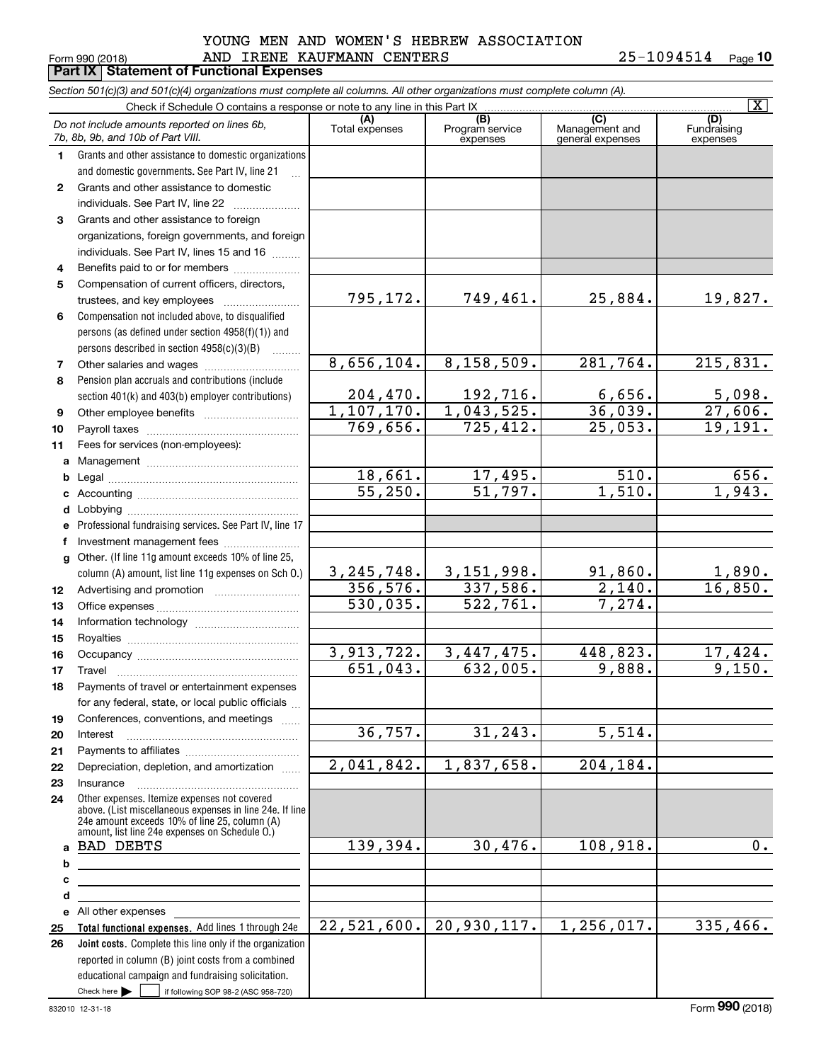#### Form 990 (2018) Page **Part IX Statement of Functional Expenses** AND IRENE KAUFMANN CENTERS 25-1094514 YOUNG MEN AND WOMEN'S HEBREW ASSOCIATION

|              | Section 501(c)(3) and 501(c)(4) organizations must complete all columns. All other organizations must complete column (A).                                                                                  |                          |                                    |                                           |                                |
|--------------|-------------------------------------------------------------------------------------------------------------------------------------------------------------------------------------------------------------|--------------------------|------------------------------------|-------------------------------------------|--------------------------------|
|              | Check if Schedule O contains a response or note to any line in this Part IX                                                                                                                                 |                          |                                    |                                           | $\overline{\mathbf{x}}$        |
|              | Do not include amounts reported on lines 6b,<br>7b, 8b, 9b, and 10b of Part VIII.                                                                                                                           | (A)<br>Total expenses    | (B)<br>Program service<br>expenses | (C)<br>Management and<br>general expenses | (D)<br>Fundraising<br>expenses |
| 1.           | Grants and other assistance to domestic organizations                                                                                                                                                       |                          |                                    |                                           |                                |
|              | and domestic governments. See Part IV, line 21                                                                                                                                                              |                          |                                    |                                           |                                |
| $\mathbf{2}$ | Grants and other assistance to domestic                                                                                                                                                                     |                          |                                    |                                           |                                |
|              | individuals. See Part IV, line 22                                                                                                                                                                           |                          |                                    |                                           |                                |
| 3            | Grants and other assistance to foreign                                                                                                                                                                      |                          |                                    |                                           |                                |
|              | organizations, foreign governments, and foreign                                                                                                                                                             |                          |                                    |                                           |                                |
|              | individuals. See Part IV, lines 15 and 16                                                                                                                                                                   |                          |                                    |                                           |                                |
| 4            | Benefits paid to or for members                                                                                                                                                                             |                          |                                    |                                           |                                |
| 5            | Compensation of current officers, directors,                                                                                                                                                                |                          |                                    |                                           |                                |
|              | trustees, and key employees                                                                                                                                                                                 | 795,172.                 | 749,461.                           | 25,884.                                   | 19,827.                        |
| 6            | Compensation not included above, to disqualified                                                                                                                                                            |                          |                                    |                                           |                                |
|              | persons (as defined under section 4958(f)(1)) and                                                                                                                                                           |                          |                                    |                                           |                                |
|              | persons described in section 4958(c)(3)(B)                                                                                                                                                                  |                          |                                    |                                           |                                |
| 7            | Other salaries and wages                                                                                                                                                                                    | 8,656,104.               | 8,158,509.                         | 281,764.                                  | 215,831.                       |
| 8            | Pension plan accruals and contributions (include                                                                                                                                                            |                          |                                    |                                           |                                |
|              | section 401(k) and 403(b) employer contributions)                                                                                                                                                           | 204, 470.                | 192,716.                           | 6,656.                                    | 5,098.                         |
| 9            |                                                                                                                                                                                                             | 1,107,170.               | 1,043,525.                         | 36,039.                                   | $\overline{27,606}$ .          |
| 10           |                                                                                                                                                                                                             | 769,656.                 | 725, 412.                          | 25,053.                                   | 19, 191.                       |
| 11           | Fees for services (non-employees):                                                                                                                                                                          |                          |                                    |                                           |                                |
| a            |                                                                                                                                                                                                             |                          |                                    |                                           |                                |
| b            |                                                                                                                                                                                                             | 18,661.                  | 17,495.                            | $\overline{510}$ .                        | 656.                           |
| c            |                                                                                                                                                                                                             | $\overline{55,250}$ .    | $\overline{51,797}$ .              | 1,510.                                    | 1,943.                         |
| d            |                                                                                                                                                                                                             |                          |                                    |                                           |                                |
| e            | Professional fundraising services. See Part IV, line 17                                                                                                                                                     |                          |                                    |                                           |                                |
| f            | Investment management fees                                                                                                                                                                                  |                          |                                    |                                           |                                |
| $\mathbf{q}$ | Other. (If line 11g amount exceeds 10% of line 25,                                                                                                                                                          |                          |                                    |                                           |                                |
|              | column (A) amount, list line 11g expenses on Sch O.)                                                                                                                                                        | 3, 245, 748.             | 3,151,998.                         | 91,860.                                   | $\frac{1,890}{16,850}$ .       |
| 12           |                                                                                                                                                                                                             | 356, 576.                | 337,586.                           | 2,140.                                    |                                |
| 13           |                                                                                                                                                                                                             | 530,035.                 | 522,761.                           | 7,274.                                    |                                |
| 14           |                                                                                                                                                                                                             |                          |                                    |                                           |                                |
| 15           |                                                                                                                                                                                                             |                          |                                    |                                           |                                |
| 16           |                                                                                                                                                                                                             | 3,913,722.               | 3, 447, 475.                       | 448,823.                                  | 17,424.                        |
| 17           |                                                                                                                                                                                                             | 651,043.                 | 632,005.                           | 9,888.                                    | 9,150.                         |
| 18           | Payments of travel or entertainment expenses                                                                                                                                                                |                          |                                    |                                           |                                |
|              | for any federal, state, or local public officials                                                                                                                                                           |                          |                                    |                                           |                                |
| 19           | Conferences, conventions, and meetings                                                                                                                                                                      |                          | 31, 243.                           |                                           |                                |
| 20           | Interest                                                                                                                                                                                                    | 36,757.                  |                                    | $\overline{5,514.}$                       |                                |
| 21           |                                                                                                                                                                                                             |                          |                                    |                                           |                                |
| 22           | Depreciation, depletion, and amortization                                                                                                                                                                   | $\overline{2,041,842}$ . | 1,837,658.                         | 204,184.                                  |                                |
| 23           | Insurance                                                                                                                                                                                                   |                          |                                    |                                           |                                |
| 24           | Other expenses. Itemize expenses not covered<br>above. (List miscellaneous expenses in line 24e. If line<br>24e amount exceeds 10% of line 25, column (A)<br>amount, list line 24e expenses on Schedule O.) |                          |                                    |                                           |                                |
| a            | <b>BAD DEBTS</b>                                                                                                                                                                                            | 139,394.                 | 30,476.                            | 108,918.                                  | 0.                             |
| b            |                                                                                                                                                                                                             |                          |                                    |                                           |                                |
| c            |                                                                                                                                                                                                             |                          |                                    |                                           |                                |
| d            | the control of the control of the control of the control of the control of                                                                                                                                  |                          |                                    |                                           |                                |
|              | e All other expenses                                                                                                                                                                                        |                          |                                    |                                           |                                |
| 25           | Total functional expenses. Add lines 1 through 24e                                                                                                                                                          | 22,521,600.              | 20,930,117.                        | 1,256,017.                                | 335,466.                       |
| 26           | Joint costs. Complete this line only if the organization                                                                                                                                                    |                          |                                    |                                           |                                |
|              | reported in column (B) joint costs from a combined                                                                                                                                                          |                          |                                    |                                           |                                |
|              | educational campaign and fundraising solicitation.                                                                                                                                                          |                          |                                    |                                           |                                |
|              | Check here $\blacktriangleright$<br>if following SOP 98-2 (ASC 958-720)                                                                                                                                     |                          |                                    |                                           |                                |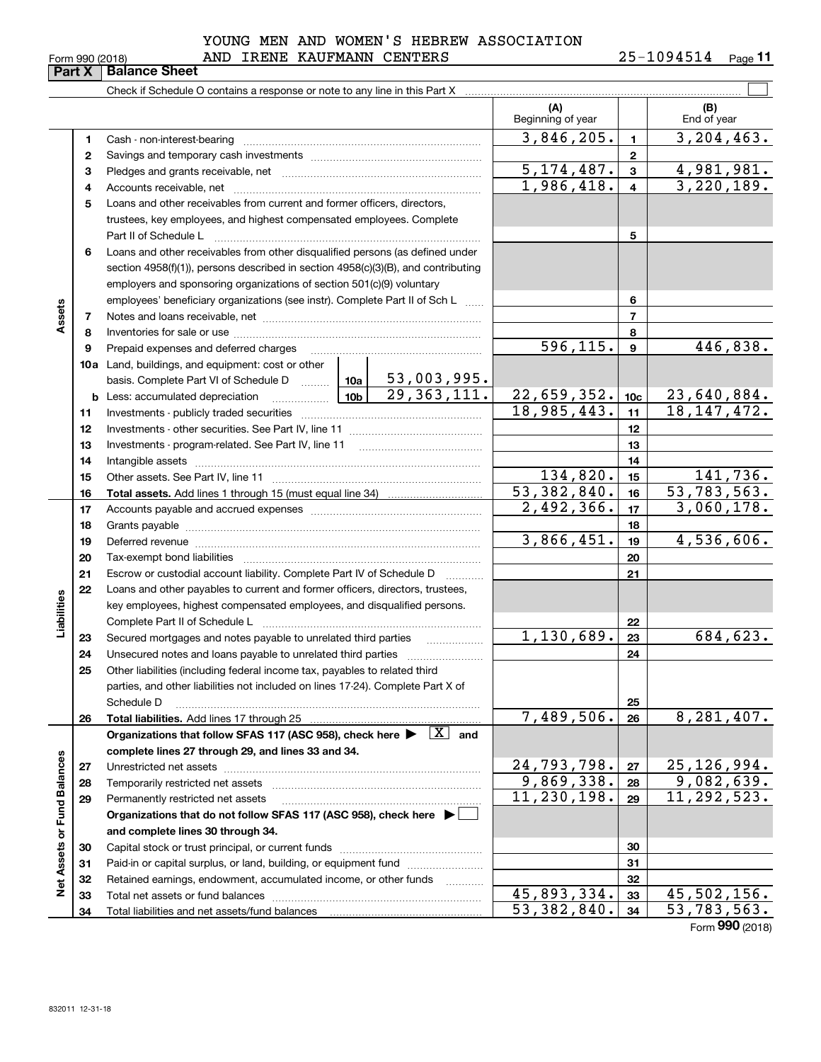|        | Form 990 (2018) | AND IRENE KAUFMANN CENTERS                                                                                                                                                                                                                       |  | 25-1094514<br>Page 1 |                           |                 |                    |  |  |
|--------|-----------------|--------------------------------------------------------------------------------------------------------------------------------------------------------------------------------------------------------------------------------------------------|--|----------------------|---------------------------|-----------------|--------------------|--|--|
|        | Part X          | <b>Balance Sheet</b>                                                                                                                                                                                                                             |  |                      |                           |                 |                    |  |  |
|        |                 |                                                                                                                                                                                                                                                  |  |                      |                           |                 |                    |  |  |
|        |                 |                                                                                                                                                                                                                                                  |  |                      | (A)<br>Beginning of year  |                 | (B)<br>End of year |  |  |
|        | 1               |                                                                                                                                                                                                                                                  |  |                      | 3,846,205.                | $\blacksquare$  | 3,204,463.         |  |  |
|        | 2               |                                                                                                                                                                                                                                                  |  |                      |                           | $\mathbf{2}$    |                    |  |  |
|        | 3               |                                                                                                                                                                                                                                                  |  |                      | $\overline{5,174},487.$   | $\overline{3}$  | 4,981,981.         |  |  |
|        | 4               |                                                                                                                                                                                                                                                  |  |                      | 1,986,418.                | $\overline{4}$  | 3,220,189.         |  |  |
|        | 5               | Loans and other receivables from current and former officers, directors,<br>trustees, key employees, and highest compensated employees. Complete                                                                                                 |  |                      |                           |                 |                    |  |  |
|        |                 | Part II of Schedule L                                                                                                                                                                                                                            |  |                      |                           | 5               |                    |  |  |
|        | 6               | Loans and other receivables from other disqualified persons (as defined under<br>section $4958(f)(1)$ , persons described in section $4958(c)(3)(B)$ , and contributing<br>employers and sponsoring organizations of section 501(c)(9) voluntary |  |                      |                           |                 |                    |  |  |
|        |                 | employees' beneficiary organizations (see instr). Complete Part II of Sch L                                                                                                                                                                      |  |                      | 6                         |                 |                    |  |  |
| Assets | 7               |                                                                                                                                                                                                                                                  |  |                      |                           |                 |                    |  |  |
|        | 8               |                                                                                                                                                                                                                                                  |  |                      |                           | 8               |                    |  |  |
|        | 9               | Prepaid expenses and deferred charges                                                                                                                                                                                                            |  |                      | 596, 115.                 | 9               | 446,838.           |  |  |
|        |                 | <b>10a</b> Land, buildings, and equipment: cost or other<br>basis. Complete Part VI of Schedule D    10a   53,003,995.                                                                                                                           |  |                      |                           |                 |                    |  |  |
|        |                 |                                                                                                                                                                                                                                                  |  | 29, 363, 111.        | 22,659,352.               | 10 <sub>c</sub> | 23,640,884.        |  |  |
|        | 11              |                                                                                                                                                                                                                                                  |  |                      | 18,985,443.               | 11              | 18, 147, 472.      |  |  |
|        | 12              |                                                                                                                                                                                                                                                  |  |                      |                           | 12              |                    |  |  |
|        | 13              | Investments - program-related. See Part IV, line 11                                                                                                                                                                                              |  |                      | 13                        |                 |                    |  |  |
|        | 14              |                                                                                                                                                                                                                                                  |  |                      |                           | 14              |                    |  |  |
|        | 15              |                                                                                                                                                                                                                                                  |  |                      | 134,820.                  | 15              | 141,736.           |  |  |
|        | 16              |                                                                                                                                                                                                                                                  |  |                      | $\overline{53,382,840}$ . | 16              | 53,783,563.        |  |  |

|                      | 15 |                                                                                           | 134,820.                    | 15 | 141,736.                              |
|----------------------|----|-------------------------------------------------------------------------------------------|-----------------------------|----|---------------------------------------|
|                      | 16 |                                                                                           | $\overline{53}$ , 382, 840. | 16 | $\overline{53}, \overline{783}, 563.$ |
|                      | 17 |                                                                                           | 2,492,366.                  | 17 | 3,060,178.                            |
|                      | 18 |                                                                                           |                             | 18 |                                       |
|                      | 19 |                                                                                           | 3,866,451.                  | 19 | 4,536,606.                            |
|                      | 20 |                                                                                           |                             | 20 |                                       |
|                      | 21 | Escrow or custodial account liability. Complete Part IV of Schedule D                     |                             | 21 |                                       |
|                      | 22 | Loans and other payables to current and former officers, directors, trustees,             |                             |    |                                       |
| Liabilities          |    | key employees, highest compensated employees, and disqualified persons.                   |                             |    |                                       |
|                      |    | Complete Part II of Schedule L                                                            |                             | 22 |                                       |
|                      | 23 | Secured mortgages and notes payable to unrelated third parties                            | 1,130,689.                  | 23 | 684,623.                              |
|                      | 24 | Unsecured notes and loans payable to unrelated third parties                              |                             | 24 |                                       |
|                      | 25 | Other liabilities (including federal income tax, payables to related third                |                             |    |                                       |
|                      |    | parties, and other liabilities not included on lines 17-24). Complete Part X of           |                             |    |                                       |
|                      |    | Schedule D                                                                                |                             | 25 |                                       |
|                      | 26 |                                                                                           | 7,489,506.                  | 26 | 8,281,407.                            |
|                      |    | Organizations that follow SFAS 117 (ASC 958), check here $\blacktriangleright \;  X $ and |                             |    |                                       |
|                      |    | complete lines 27 through 29, and lines 33 and 34.                                        |                             |    |                                       |
|                      | 27 | Unrestricted net assets                                                                   | 24,793,798.                 | 27 | 25, 126, 994.                         |
|                      | 28 |                                                                                           | 9,869,338.                  | 28 | 9,082,639.                            |
|                      | 29 | Permanently restricted net assets                                                         | 11,230,198.                 | 29 | 11,292,523.                           |
| <b>Fund Balances</b> |    | Organizations that do not follow SFAS 117 (ASC 958), check here ▶                         |                             |    |                                       |
|                      |    | and complete lines 30 through 34.                                                         |                             |    |                                       |
|                      | 30 |                                                                                           |                             | 30 |                                       |
| Net Assets or        | 31 | Paid-in or capital surplus, or land, building, or equipment fund                          |                             | 31 |                                       |
|                      | 32 | Retained earnings, endowment, accumulated income, or other funds                          |                             | 32 |                                       |
|                      | 33 |                                                                                           | 45,893,334.                 | 33 | 45,502,156.                           |
|                      | 34 |                                                                                           | 53,382,840.                 | 34 | 53,783,563.                           |
|                      |    |                                                                                           |                             |    | Form 990 (2018)                       |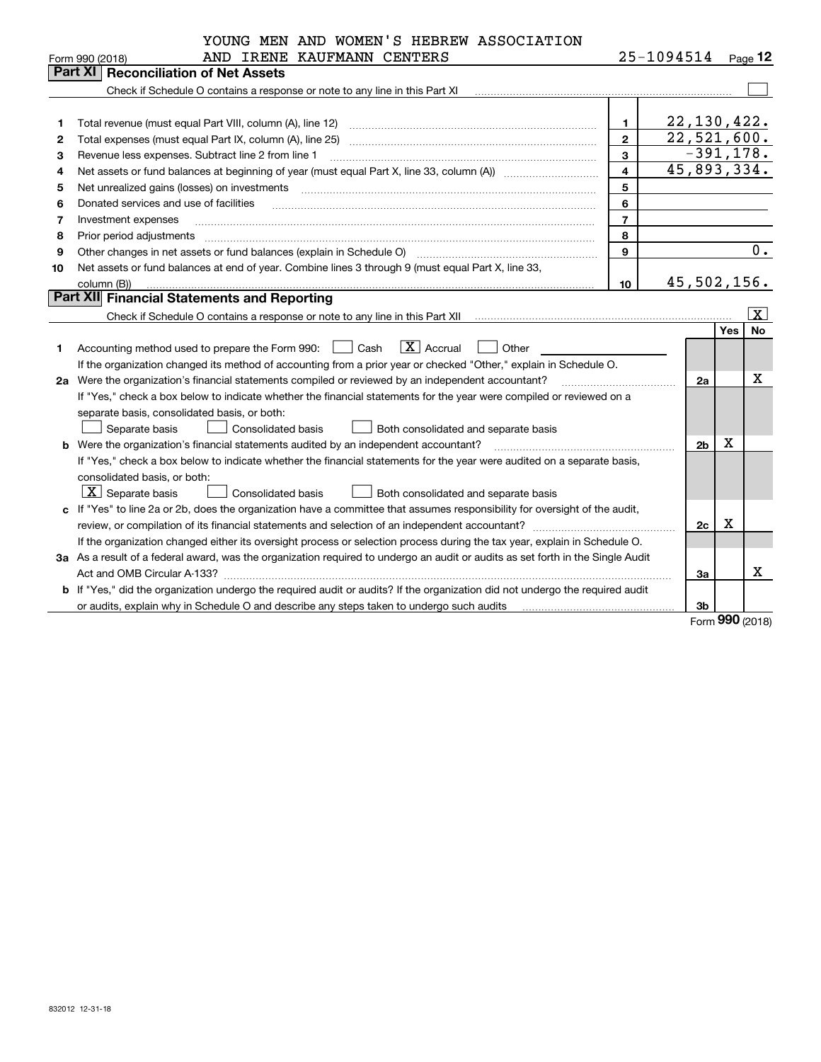|    | YOUNG MEN AND WOMEN'S HEBREW ASSOCIATION                                                                                                                          |                |                        |             |                         |
|----|-------------------------------------------------------------------------------------------------------------------------------------------------------------------|----------------|------------------------|-------------|-------------------------|
|    | AND IRENE KAUFMANN CENTERS<br>Form 990 (2018)                                                                                                                     |                | $25 - 1094514$ Page 12 |             |                         |
|    | <b>Part XI Reconciliation of Net Assets</b>                                                                                                                       |                |                        |             |                         |
|    | Check if Schedule O contains a response or note to any line in this Part XI [11] [12] Check if Schedule O contains a response or note to any line in this Part XI |                |                        |             |                         |
|    |                                                                                                                                                                   |                |                        |             |                         |
| 1  | Total revenue (must equal Part VIII, column (A), line 12)                                                                                                         | $\mathbf{1}$   | 22, 130, 422.          |             |                         |
| 2  | Total expenses (must equal Part IX, column (A), line 25)                                                                                                          | $\mathbf{2}$   | 22,521,600.            |             |                         |
| 3  | Revenue less expenses. Subtract line 2 from line 1                                                                                                                | 3              |                        | $-391,178.$ |                         |
| 4  |                                                                                                                                                                   | 4              | 45,893,334.            |             |                         |
| 5  | Net unrealized gains (losses) on investments                                                                                                                      | 5              |                        |             |                         |
| 6  | Donated services and use of facilities                                                                                                                            | 6              |                        |             |                         |
| 7  | Investment expenses                                                                                                                                               | $\overline{7}$ |                        |             |                         |
| 8  | Prior period adjustments                                                                                                                                          | 8              |                        |             |                         |
| 9  | Other changes in net assets or fund balances (explain in Schedule O)                                                                                              | 9              |                        |             | 0.                      |
| 10 | Net assets or fund balances at end of year. Combine lines 3 through 9 (must equal Part X, line 33,                                                                |                |                        |             |                         |
|    | column (B))                                                                                                                                                       | 10             | 45, 502, 156.          |             |                         |
|    | <b>Part XII Financial Statements and Reporting</b>                                                                                                                |                |                        |             |                         |
|    |                                                                                                                                                                   |                |                        |             | $\overline{\mathbf{x}}$ |
|    |                                                                                                                                                                   |                |                        | Yes         | <b>No</b>               |
| 1  | $ X $ Accrual<br>Cash<br>Other<br>Accounting method used to prepare the Form 990:                                                                                 |                |                        |             |                         |
|    | If the organization changed its method of accounting from a prior year or checked "Other," explain in Schedule O.                                                 |                |                        |             |                         |
| 2a | Were the organization's financial statements compiled or reviewed by an independent accountant?                                                                   |                | 2a                     |             | X                       |
|    | If "Yes," check a box below to indicate whether the financial statements for the year were compiled or reviewed on a                                              |                |                        |             |                         |
|    | separate basis, consolidated basis, or both:                                                                                                                      |                |                        |             |                         |
|    | Separate basis<br>Consolidated basis<br>Both consolidated and separate basis                                                                                      |                |                        |             |                         |
|    | <b>b</b> Were the organization's financial statements audited by an independent accountant?                                                                       |                | 2 <sub>b</sub>         | х           |                         |
|    | If "Yes," check a box below to indicate whether the financial statements for the year were audited on a separate basis,                                           |                |                        |             |                         |
|    | consolidated basis, or both:                                                                                                                                      |                |                        |             |                         |
|    | $\boxed{\textbf{X}}$ Separate basis<br>Consolidated basis<br>Both consolidated and separate basis                                                                 |                |                        |             |                         |
|    | c If "Yes" to line 2a or 2b, does the organization have a committee that assumes responsibility for oversight of the audit,                                       |                |                        |             |                         |
|    |                                                                                                                                                                   |                | 2c                     | X           |                         |
|    | If the organization changed either its oversight process or selection process during the tax year, explain in Schedule O.                                         |                |                        |             |                         |
|    | 3a As a result of a federal award, was the organization required to undergo an audit or audits as set forth in the Single Audit                                   |                |                        |             |                         |
|    |                                                                                                                                                                   |                | 3a                     |             | х                       |
|    | b If "Yes," did the organization undergo the required audit or audits? If the organization did not undergo the required audit                                     |                |                        |             |                         |
|    | or audits, explain why in Schedule O and describe any steps taken to undergo such audits                                                                          |                | 3b                     |             |                         |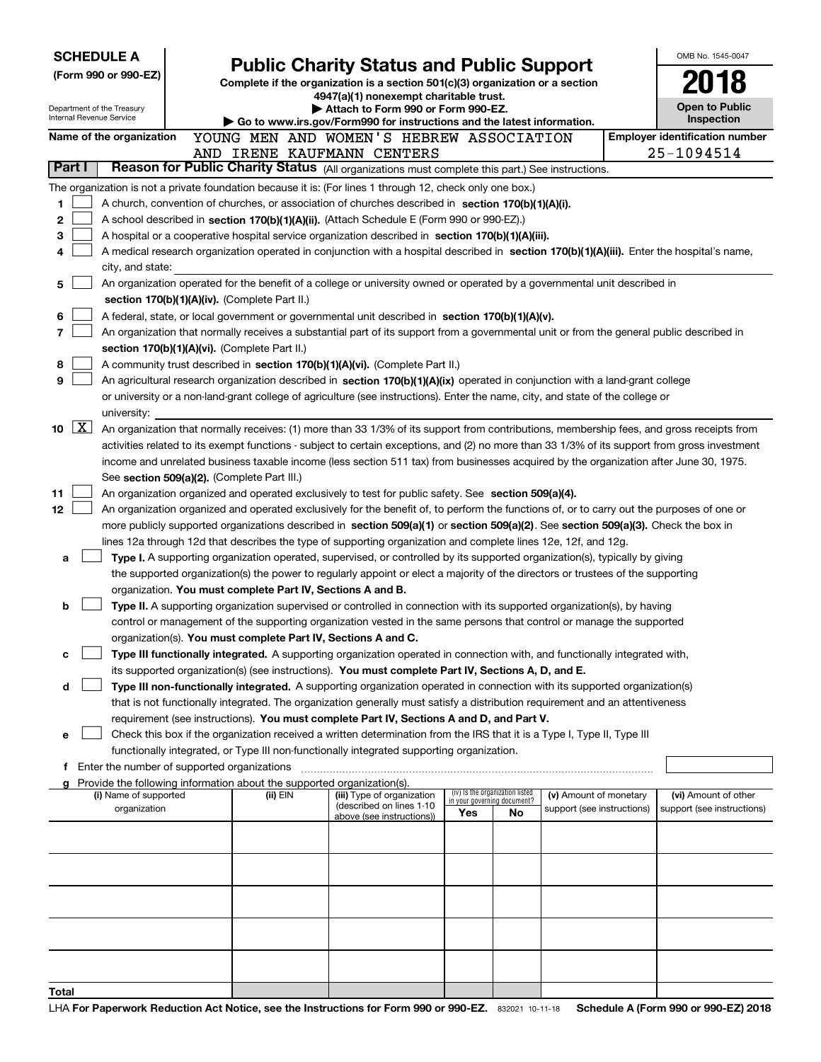| <b>SCHEDULE A</b>                           |                    | <b>Public Charity Status and Public Support</b>        |  |                                                                               |                                                                                                                                                                                                                                                      |                                                                |    | OMB No. 1545-0047          |  |                                       |
|---------------------------------------------|--------------------|--------------------------------------------------------|--|-------------------------------------------------------------------------------|------------------------------------------------------------------------------------------------------------------------------------------------------------------------------------------------------------------------------------------------------|----------------------------------------------------------------|----|----------------------------|--|---------------------------------------|
| (Form 990 or 990-EZ)                        |                    |                                                        |  | Complete if the organization is a section 501(c)(3) organization or a section |                                                                                                                                                                                                                                                      |                                                                |    |                            |  |                                       |
|                                             |                    |                                                        |  |                                                                               | 4947(a)(1) nonexempt charitable trust.                                                                                                                                                                                                               |                                                                |    |                            |  |                                       |
|                                             |                    | Department of the Treasury<br>Internal Revenue Service |  |                                                                               | Attach to Form 990 or Form 990-EZ.                                                                                                                                                                                                                   |                                                                |    |                            |  | <b>Open to Public</b><br>Inspection   |
|                                             |                    | Name of the organization                               |  |                                                                               | Go to www.irs.gov/Form990 for instructions and the latest information.<br>YOUNG MEN AND WOMEN'S HEBREW ASSOCIATION                                                                                                                                   |                                                                |    |                            |  | <b>Employer identification number</b> |
|                                             |                    |                                                        |  |                                                                               | AND IRENE KAUFMANN CENTERS                                                                                                                                                                                                                           |                                                                |    |                            |  | 25-1094514                            |
| Part I                                      |                    |                                                        |  |                                                                               | Reason for Public Charity Status (All organizations must complete this part.) See instructions.                                                                                                                                                      |                                                                |    |                            |  |                                       |
|                                             |                    |                                                        |  |                                                                               | The organization is not a private foundation because it is: (For lines 1 through 12, check only one box.)                                                                                                                                            |                                                                |    |                            |  |                                       |
| 1                                           |                    |                                                        |  |                                                                               | A church, convention of churches, or association of churches described in section 170(b)(1)(A)(i).                                                                                                                                                   |                                                                |    |                            |  |                                       |
| 2                                           |                    |                                                        |  |                                                                               | A school described in section 170(b)(1)(A)(ii). (Attach Schedule E (Form 990 or 990-EZ).)                                                                                                                                                            |                                                                |    |                            |  |                                       |
| 3                                           |                    |                                                        |  |                                                                               | A hospital or a cooperative hospital service organization described in section 170(b)(1)(A)(iii).                                                                                                                                                    |                                                                |    |                            |  |                                       |
| 4                                           |                    |                                                        |  |                                                                               | A medical research organization operated in conjunction with a hospital described in section 170(b)(1)(A)(iii). Enter the hospital's name,                                                                                                           |                                                                |    |                            |  |                                       |
|                                             |                    | city, and state:                                       |  |                                                                               |                                                                                                                                                                                                                                                      |                                                                |    |                            |  |                                       |
| 5                                           |                    |                                                        |  |                                                                               | An organization operated for the benefit of a college or university owned or operated by a governmental unit described in                                                                                                                            |                                                                |    |                            |  |                                       |
|                                             |                    |                                                        |  | section 170(b)(1)(A)(iv). (Complete Part II.)                                 |                                                                                                                                                                                                                                                      |                                                                |    |                            |  |                                       |
| 6                                           |                    |                                                        |  |                                                                               | A federal, state, or local government or governmental unit described in section 170(b)(1)(A)(v).                                                                                                                                                     |                                                                |    |                            |  |                                       |
| 7                                           |                    |                                                        |  | section 170(b)(1)(A)(vi). (Complete Part II.)                                 | An organization that normally receives a substantial part of its support from a governmental unit or from the general public described in                                                                                                            |                                                                |    |                            |  |                                       |
| 8                                           |                    |                                                        |  |                                                                               | A community trust described in section 170(b)(1)(A)(vi). (Complete Part II.)                                                                                                                                                                         |                                                                |    |                            |  |                                       |
| 9                                           |                    |                                                        |  |                                                                               | An agricultural research organization described in section 170(b)(1)(A)(ix) operated in conjunction with a land-grant college                                                                                                                        |                                                                |    |                            |  |                                       |
|                                             |                    |                                                        |  |                                                                               | or university or a non-land-grant college of agriculture (see instructions). Enter the name, city, and state of the college or                                                                                                                       |                                                                |    |                            |  |                                       |
|                                             |                    | university:                                            |  |                                                                               |                                                                                                                                                                                                                                                      |                                                                |    |                            |  |                                       |
| 10                                          | $\boxed{\text{X}}$ |                                                        |  |                                                                               | An organization that normally receives: (1) more than 33 1/3% of its support from contributions, membership fees, and gross receipts from                                                                                                            |                                                                |    |                            |  |                                       |
|                                             |                    |                                                        |  |                                                                               | activities related to its exempt functions - subject to certain exceptions, and (2) no more than 33 1/3% of its support from gross investment                                                                                                        |                                                                |    |                            |  |                                       |
|                                             |                    |                                                        |  |                                                                               | income and unrelated business taxable income (less section 511 tax) from businesses acquired by the organization after June 30, 1975.                                                                                                                |                                                                |    |                            |  |                                       |
|                                             |                    |                                                        |  | See section 509(a)(2). (Complete Part III.)                                   |                                                                                                                                                                                                                                                      |                                                                |    |                            |  |                                       |
| 11                                          |                    |                                                        |  |                                                                               | An organization organized and operated exclusively to test for public safety. See section 509(a)(4).                                                                                                                                                 |                                                                |    |                            |  |                                       |
| 12                                          |                    |                                                        |  |                                                                               | An organization organized and operated exclusively for the benefit of, to perform the functions of, or to carry out the purposes of one or                                                                                                           |                                                                |    |                            |  |                                       |
|                                             |                    |                                                        |  |                                                                               | more publicly supported organizations described in section 509(a)(1) or section 509(a)(2). See section 509(a)(3). Check the box in<br>lines 12a through 12d that describes the type of supporting organization and complete lines 12e, 12f, and 12g. |                                                                |    |                            |  |                                       |
| a                                           |                    |                                                        |  |                                                                               | Type I. A supporting organization operated, supervised, or controlled by its supported organization(s), typically by giving                                                                                                                          |                                                                |    |                            |  |                                       |
|                                             |                    |                                                        |  |                                                                               | the supported organization(s) the power to regularly appoint or elect a majority of the directors or trustees of the supporting                                                                                                                      |                                                                |    |                            |  |                                       |
|                                             |                    |                                                        |  | organization. You must complete Part IV, Sections A and B.                    |                                                                                                                                                                                                                                                      |                                                                |    |                            |  |                                       |
| b                                           |                    |                                                        |  |                                                                               | Type II. A supporting organization supervised or controlled in connection with its supported organization(s), by having                                                                                                                              |                                                                |    |                            |  |                                       |
|                                             |                    |                                                        |  |                                                                               | control or management of the supporting organization vested in the same persons that control or manage the supported                                                                                                                                 |                                                                |    |                            |  |                                       |
|                                             |                    |                                                        |  | organization(s). You must complete Part IV, Sections A and C.                 |                                                                                                                                                                                                                                                      |                                                                |    |                            |  |                                       |
| с                                           |                    |                                                        |  |                                                                               | Type III functionally integrated. A supporting organization operated in connection with, and functionally integrated with,                                                                                                                           |                                                                |    |                            |  |                                       |
|                                             |                    |                                                        |  |                                                                               | its supported organization(s) (see instructions). You must complete Part IV, Sections A, D, and E.                                                                                                                                                   |                                                                |    |                            |  |                                       |
| d                                           |                    |                                                        |  |                                                                               | Type III non-functionally integrated. A supporting organization operated in connection with its supported organization(s)                                                                                                                            |                                                                |    |                            |  |                                       |
|                                             |                    |                                                        |  |                                                                               | that is not functionally integrated. The organization generally must satisfy a distribution requirement and an attentiveness<br>requirement (see instructions). You must complete Part IV, Sections A and D, and Part V.                             |                                                                |    |                            |  |                                       |
| е                                           |                    |                                                        |  |                                                                               | Check this box if the organization received a written determination from the IRS that it is a Type I, Type II, Type III                                                                                                                              |                                                                |    |                            |  |                                       |
|                                             |                    |                                                        |  |                                                                               | functionally integrated, or Type III non-functionally integrated supporting organization.                                                                                                                                                            |                                                                |    |                            |  |                                       |
| Enter the number of supported organizations |                    |                                                        |  |                                                                               |                                                                                                                                                                                                                                                      |                                                                |    |                            |  |                                       |
|                                             |                    |                                                        |  | Provide the following information about the supported organization(s).        |                                                                                                                                                                                                                                                      |                                                                |    |                            |  |                                       |
|                                             |                    | (i) Name of supported                                  |  | (ii) EIN                                                                      | (iii) Type of organization<br>(described on lines 1-10                                                                                                                                                                                               | (iv) Is the organization listed<br>in your governing document? |    | (v) Amount of monetary     |  | (vi) Amount of other                  |
|                                             |                    | organization                                           |  |                                                                               | above (see instructions))                                                                                                                                                                                                                            | Yes                                                            | No | support (see instructions) |  | support (see instructions)            |
|                                             |                    |                                                        |  |                                                                               |                                                                                                                                                                                                                                                      |                                                                |    |                            |  |                                       |
|                                             |                    |                                                        |  |                                                                               |                                                                                                                                                                                                                                                      |                                                                |    |                            |  |                                       |
|                                             |                    |                                                        |  |                                                                               |                                                                                                                                                                                                                                                      |                                                                |    |                            |  |                                       |
|                                             |                    |                                                        |  |                                                                               |                                                                                                                                                                                                                                                      |                                                                |    |                            |  |                                       |
|                                             |                    |                                                        |  |                                                                               |                                                                                                                                                                                                                                                      |                                                                |    |                            |  |                                       |
|                                             |                    |                                                        |  |                                                                               |                                                                                                                                                                                                                                                      |                                                                |    |                            |  |                                       |
|                                             |                    |                                                        |  |                                                                               |                                                                                                                                                                                                                                                      |                                                                |    |                            |  |                                       |
|                                             |                    |                                                        |  |                                                                               |                                                                                                                                                                                                                                                      |                                                                |    |                            |  |                                       |
|                                             |                    |                                                        |  |                                                                               |                                                                                                                                                                                                                                                      |                                                                |    |                            |  |                                       |
| Total                                       |                    |                                                        |  |                                                                               |                                                                                                                                                                                                                                                      |                                                                |    |                            |  |                                       |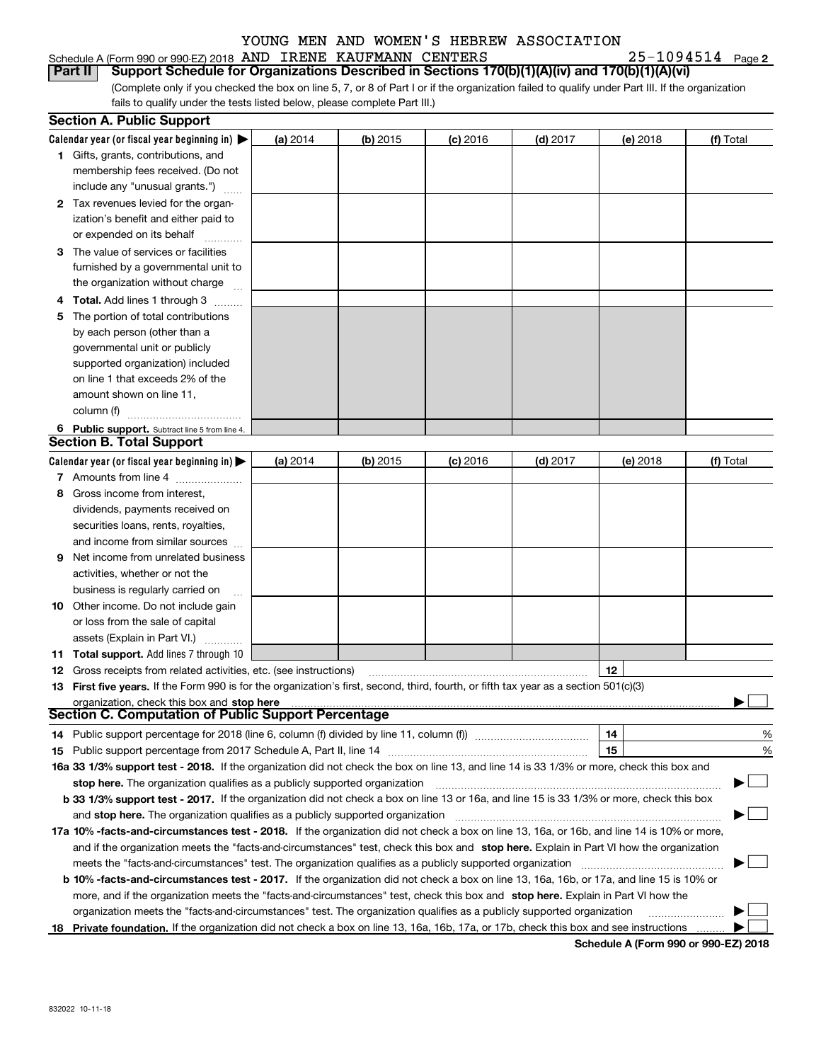#### Schedule A (Form 990 or 990-EZ) 2018 Page AND IRENE KAUFMANN CENTERS 25-1094514

**2**

(Complete only if you checked the box on line 5, 7, or 8 of Part I or if the organization failed to qualify under Part III. If the organization **Part II** | Support Schedule for Organizations Described in Sections 170(b)(1)(A)(iv) and 170(b)(1)(A)(vi)

fails to qualify under the tests listed below, please complete Part III.)

|    | <b>Section A. Public Support</b>                                                                                                           |          |          |            |            |          |           |
|----|--------------------------------------------------------------------------------------------------------------------------------------------|----------|----------|------------|------------|----------|-----------|
|    | Calendar year (or fiscal year beginning in) $\blacktriangleright$                                                                          | (a) 2014 | (b) 2015 | $(c)$ 2016 | $(d)$ 2017 | (e) 2018 | (f) Total |
|    | 1 Gifts, grants, contributions, and                                                                                                        |          |          |            |            |          |           |
|    | membership fees received. (Do not                                                                                                          |          |          |            |            |          |           |
|    | include any "unusual grants.")                                                                                                             |          |          |            |            |          |           |
|    | 2 Tax revenues levied for the organ-                                                                                                       |          |          |            |            |          |           |
|    | ization's benefit and either paid to                                                                                                       |          |          |            |            |          |           |
|    | or expended on its behalf                                                                                                                  |          |          |            |            |          |           |
|    | 3 The value of services or facilities                                                                                                      |          |          |            |            |          |           |
|    | furnished by a governmental unit to                                                                                                        |          |          |            |            |          |           |
|    | the organization without charge                                                                                                            |          |          |            |            |          |           |
|    | <b>Total.</b> Add lines 1 through 3                                                                                                        |          |          |            |            |          |           |
|    | The portion of total contributions                                                                                                         |          |          |            |            |          |           |
|    | by each person (other than a                                                                                                               |          |          |            |            |          |           |
|    | governmental unit or publicly                                                                                                              |          |          |            |            |          |           |
|    | supported organization) included                                                                                                           |          |          |            |            |          |           |
|    | on line 1 that exceeds 2% of the                                                                                                           |          |          |            |            |          |           |
|    | amount shown on line 11,                                                                                                                   |          |          |            |            |          |           |
|    | column (f)                                                                                                                                 |          |          |            |            |          |           |
|    | 6 Public support. Subtract line 5 from line 4.                                                                                             |          |          |            |            |          |           |
|    | <b>Section B. Total Support</b>                                                                                                            |          |          |            |            |          |           |
|    | Calendar year (or fiscal year beginning in) $\blacktriangleright$                                                                          | (a) 2014 | (b) 2015 | $(c)$ 2016 | $(d)$ 2017 | (e) 2018 | (f) Total |
|    | 7 Amounts from line 4                                                                                                                      |          |          |            |            |          |           |
| 8  | Gross income from interest,                                                                                                                |          |          |            |            |          |           |
|    | dividends, payments received on                                                                                                            |          |          |            |            |          |           |
|    | securities loans, rents, royalties,                                                                                                        |          |          |            |            |          |           |
|    | and income from similar sources                                                                                                            |          |          |            |            |          |           |
| 9  | Net income from unrelated business                                                                                                         |          |          |            |            |          |           |
|    | activities, whether or not the                                                                                                             |          |          |            |            |          |           |
|    | business is regularly carried on                                                                                                           |          |          |            |            |          |           |
|    | <b>10</b> Other income. Do not include gain                                                                                                |          |          |            |            |          |           |
|    | or loss from the sale of capital                                                                                                           |          |          |            |            |          |           |
|    | assets (Explain in Part VI.)                                                                                                               |          |          |            |            |          |           |
|    | 11 Total support. Add lines 7 through 10                                                                                                   |          |          |            |            |          |           |
|    | <b>12</b> Gross receipts from related activities, etc. (see instructions)                                                                  |          |          |            |            | 12       |           |
|    | 13 First five years. If the Form 990 is for the organization's first, second, third, fourth, or fifth tax year as a section 501(c)(3)      |          |          |            |            |          |           |
|    | organization, check this box and stop here                                                                                                 |          |          |            |            |          |           |
|    | Section C. Computation of Public Support Percentage                                                                                        |          |          |            |            |          |           |
|    |                                                                                                                                            |          |          |            |            | 14       | %         |
|    |                                                                                                                                            |          |          |            |            | 15       | %         |
|    | 16a 33 1/3% support test - 2018. If the organization did not check the box on line 13, and line 14 is 33 1/3% or more, check this box and  |          |          |            |            |          |           |
|    | stop here. The organization qualifies as a publicly supported organization                                                                 |          |          |            |            |          |           |
|    | b 33 1/3% support test - 2017. If the organization did not check a box on line 13 or 16a, and line 15 is 33 1/3% or more, check this box   |          |          |            |            |          |           |
|    | and stop here. The organization qualifies as a publicly supported organization                                                             |          |          |            |            |          |           |
|    | 17a 10% -facts-and-circumstances test - 2018. If the organization did not check a box on line 13, 16a, or 16b, and line 14 is 10% or more, |          |          |            |            |          |           |
|    | and if the organization meets the "facts-and-circumstances" test, check this box and stop here. Explain in Part VI how the organization    |          |          |            |            |          |           |
|    | meets the "facts-and-circumstances" test. The organization qualifies as a publicly supported organization                                  |          |          |            |            |          |           |
|    | b 10% -facts-and-circumstances test - 2017. If the organization did not check a box on line 13, 16a, 16b, or 17a, and line 15 is 10% or    |          |          |            |            |          |           |
|    | more, and if the organization meets the "facts-and-circumstances" test, check this box and stop here. Explain in Part VI how the           |          |          |            |            |          |           |
|    | organization meets the "facts-and-circumstances" test. The organization qualifies as a publicly supported organization                     |          |          |            |            |          |           |
| 18 | Private foundation. If the organization did not check a box on line 13, 16a, 16b, 17a, or 17b, check this box and see instructions         |          |          |            |            |          |           |

**Schedule A (Form 990 or 990-EZ) 2018**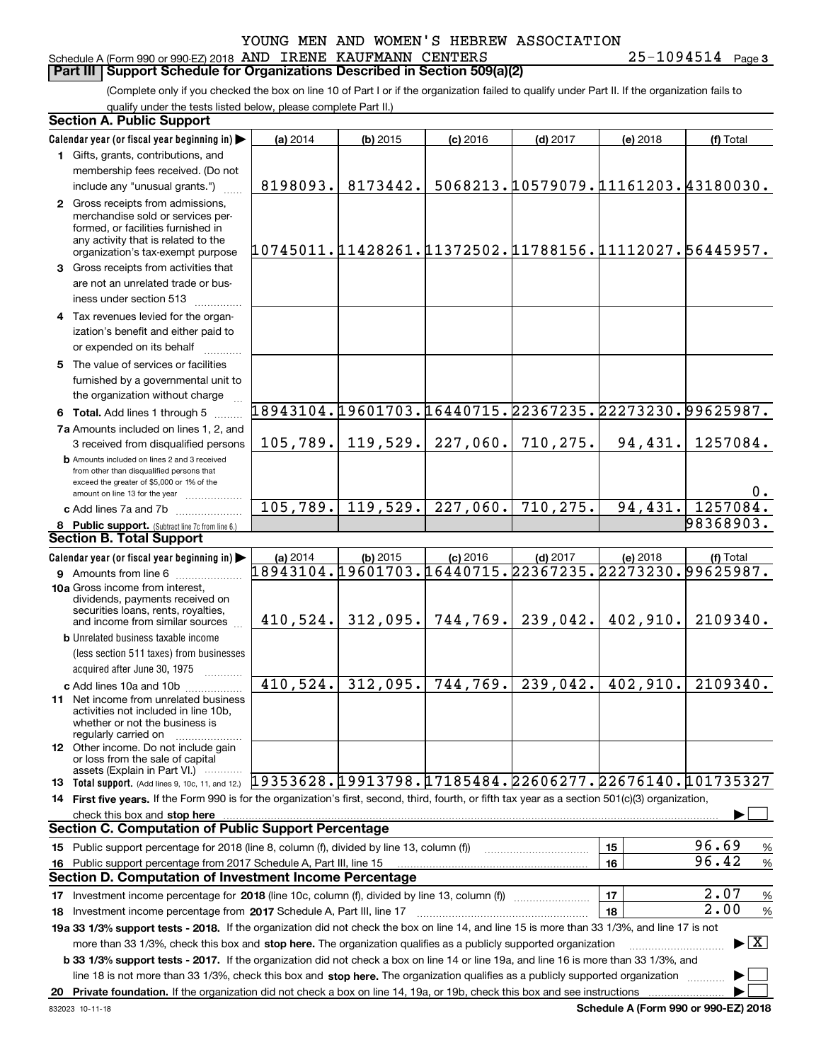#### Schedule A (Form 990 or 990-EZ) 2018 Page AND IRENE KAUFMANN CENTERS 25-1094514 **Part III Support Schedule for Organizations Described in Section 509(a)(2)**

(Complete only if you checked the box on line 10 of Part I or if the organization failed to qualify under Part II. If the organization fails to qualify under the tests listed below, please complete Part II.)

| <b>Section A. Public Support</b>                                                                                                                                                                                               |                                                        |            |            |                                     |          |                                          |
|--------------------------------------------------------------------------------------------------------------------------------------------------------------------------------------------------------------------------------|--------------------------------------------------------|------------|------------|-------------------------------------|----------|------------------------------------------|
| Calendar year (or fiscal year beginning in)                                                                                                                                                                                    | (a) 2014                                               | $(b)$ 2015 | $(c)$ 2016 | $(d)$ 2017                          | (e) 2018 | (f) Total                                |
| 1 Gifts, grants, contributions, and                                                                                                                                                                                            |                                                        |            |            |                                     |          |                                          |
| membership fees received. (Do not                                                                                                                                                                                              |                                                        |            |            |                                     |          |                                          |
| include any "unusual grants.")                                                                                                                                                                                                 | 8198093.                                               | 8173442.   |            | 5068213.10579079.11161203.43180030. |          |                                          |
| 2 Gross receipts from admissions,<br>merchandise sold or services per-<br>formed, or facilities furnished in<br>any activity that is related to the                                                                            | 10745011.11428261.11372502.11788156.11112027.56445957. |            |            |                                     |          |                                          |
| organization's tax-exempt purpose                                                                                                                                                                                              |                                                        |            |            |                                     |          |                                          |
| 3 Gross receipts from activities that<br>are not an unrelated trade or bus-                                                                                                                                                    |                                                        |            |            |                                     |          |                                          |
| iness under section 513                                                                                                                                                                                                        |                                                        |            |            |                                     |          |                                          |
| 4 Tax revenues levied for the organ-<br>ization's benefit and either paid to                                                                                                                                                   |                                                        |            |            |                                     |          |                                          |
| or expended on its behalf                                                                                                                                                                                                      |                                                        |            |            |                                     |          |                                          |
| 5 The value of services or facilities                                                                                                                                                                                          |                                                        |            |            |                                     |          |                                          |
| furnished by a governmental unit to<br>the organization without charge                                                                                                                                                         |                                                        |            |            |                                     |          |                                          |
| 6 Total. Add lines 1 through 5                                                                                                                                                                                                 | 18943104.19601703.16440715.22367235.22273230.99625987. |            |            |                                     |          |                                          |
| 7a Amounts included on lines 1, 2, and                                                                                                                                                                                         |                                                        |            |            |                                     |          |                                          |
| 3 received from disqualified persons                                                                                                                                                                                           | 105, 789.                                              | 119,529.   | 227,060.   | 710, 275.                           | 94,431.  | 1257084.                                 |
| <b>b</b> Amounts included on lines 2 and 3 received<br>from other than disqualified persons that<br>exceed the greater of \$5,000 or 1% of the<br>amount on line 13 for the year                                               |                                                        |            |            |                                     |          | 0.                                       |
| c Add lines 7a and 7b                                                                                                                                                                                                          | 105,789.                                               | 119,529.   | 227,060.   | 710, 275.                           | 94,431.  | 1257084.                                 |
| 8 Public support. (Subtract line 7c from line 6.)                                                                                                                                                                              |                                                        |            |            |                                     |          | 98368903.                                |
| <b>Section B. Total Support</b>                                                                                                                                                                                                |                                                        |            |            |                                     |          |                                          |
| Calendar year (or fiscal year beginning in)                                                                                                                                                                                    | (a) 2014                                               | $(b)$ 2015 | $(c)$ 2016 | $(d)$ 2017                          | (e) 2018 | (f) Total                                |
| 9 Amounts from line 6                                                                                                                                                                                                          | 18943104.19601703.16440715.22367235.22273230.99625987. |            |            |                                     |          |                                          |
| 10a Gross income from interest,<br>dividends, payments received on<br>securities loans, rents, royalties,                                                                                                                      |                                                        |            |            |                                     |          |                                          |
| and income from similar sources                                                                                                                                                                                                | 410,524.                                               | 312,095.   |            | 744, 769.   239, 042.               | 402,910. | 2109340.                                 |
| <b>b</b> Unrelated business taxable income                                                                                                                                                                                     |                                                        |            |            |                                     |          |                                          |
| (less section 511 taxes) from businesses                                                                                                                                                                                       |                                                        |            |            |                                     |          |                                          |
| acquired after June 30, 1975                                                                                                                                                                                                   |                                                        |            |            |                                     |          |                                          |
| c Add lines 10a and 10b                                                                                                                                                                                                        | 410,524.                                               | 312,095.   | 744, 769.  | 239,042.                            | 402,910. | 2109340.                                 |
| 11 Net income from unrelated business<br>activities not included in line 10b.<br>whether or not the business is<br>regularly carried on                                                                                        |                                                        |            |            |                                     |          |                                          |
| <b>12</b> Other income. Do not include gain<br>or loss from the sale of capital<br>assets (Explain in Part VI.)                                                                                                                |                                                        |            |            |                                     |          |                                          |
| 13 Total support. (Add lines 9, 10c, 11, and 12.) [19353628. [19913798. 17185484. 22606277. 22676140. [101735327                                                                                                               |                                                        |            |            |                                     |          |                                          |
| 14 First five years. If the Form 990 is for the organization's first, second, third, fourth, or fifth tax year as a section 501(c)(3) organization,                                                                            |                                                        |            |            |                                     |          |                                          |
| check this box and stop here measurements and contact the state of the state of the state of the state of the state of the state of the state of the state of the state of the state of the state of the state of the state of |                                                        |            |            |                                     |          |                                          |
| <b>Section C. Computation of Public Support Percentage</b>                                                                                                                                                                     |                                                        |            |            |                                     |          |                                          |
| 15 Public support percentage for 2018 (line 8, column (f), divided by line 13, column (f))                                                                                                                                     |                                                        |            |            |                                     | 15       | 96.69<br>%                               |
| 16 Public support percentage from 2017 Schedule A, Part III, line 15                                                                                                                                                           |                                                        |            |            |                                     | 16       | 96.42<br>$\%$                            |
| <b>Section D. Computation of Investment Income Percentage</b>                                                                                                                                                                  |                                                        |            |            |                                     |          |                                          |
| 17 Investment income percentage for 2018 (line 10c, column (f), divided by line 13, column (f))                                                                                                                                |                                                        |            |            |                                     | 17       | 2.07<br>%                                |
| 18 Investment income percentage from 2017 Schedule A, Part III, line 17                                                                                                                                                        |                                                        |            |            |                                     | 18       | $\overline{2.00}$<br>$\%$                |
| 19a 33 1/3% support tests - 2018. If the organization did not check the box on line 14, and line 15 is more than 33 1/3%, and line 17 is not                                                                                   |                                                        |            |            |                                     |          |                                          |
| more than 33 1/3%, check this box and stop here. The organization qualifies as a publicly supported organization                                                                                                               |                                                        |            |            |                                     |          | $\blacktriangleright$ $\boxed{\text{X}}$ |
| b 33 1/3% support tests - 2017. If the organization did not check a box on line 14 or line 19a, and line 16 is more than 33 1/3%, and                                                                                          |                                                        |            |            |                                     |          |                                          |
| line 18 is not more than 33 1/3%, check this box and stop here. The organization qualifies as a publicly supported organization                                                                                                |                                                        |            |            |                                     |          |                                          |
|                                                                                                                                                                                                                                |                                                        |            |            |                                     |          |                                          |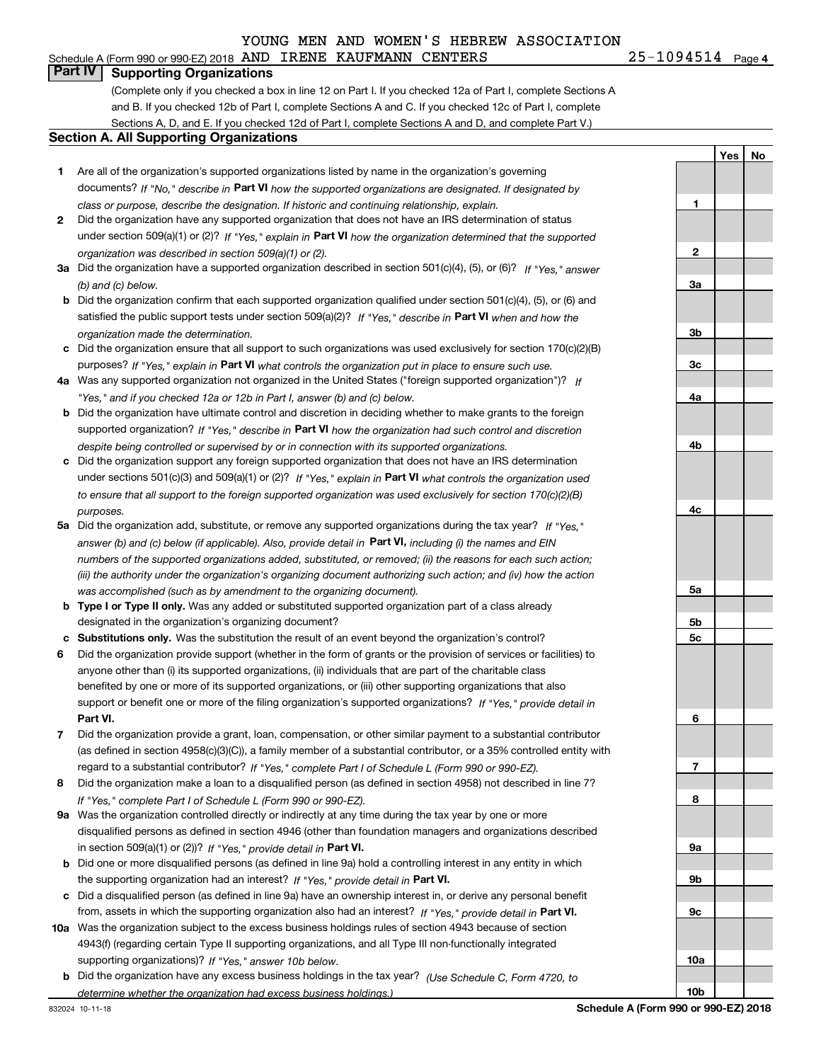#### Schedule A (Form 990 or 990-EZ) 2018 Page AND IRENE KAUFMANN CENTERS 25-1094514

25-1094514 Page 4

**1**

**2**

**3a**

**3b**

**3c**

**4a**

**4b**

**4c**

**5a**

**5b5c**

**6**

**7**

**8**

**9a**

**9b**

**9c**

**10a**

**10b**

**YesNo**

#### **Part IV Supporting Organizations**

(Complete only if you checked a box in line 12 on Part I. If you checked 12a of Part I, complete Sections A and B. If you checked 12b of Part I, complete Sections A and C. If you checked 12c of Part I, complete Sections A, D, and E. If you checked 12d of Part I, complete Sections A and D, and complete Part V.)

#### **Section A. All Supporting Organizations**

- **1** Are all of the organization's supported organizations listed by name in the organization's governing documents? If "No," describe in **Part VI** how the supported organizations are designated. If designated by *class or purpose, describe the designation. If historic and continuing relationship, explain.*
- **2** Did the organization have any supported organization that does not have an IRS determination of status under section 509(a)(1) or (2)? If "Yes," explain in Part VI how the organization determined that the supported *organization was described in section 509(a)(1) or (2).*
- **3a** Did the organization have a supported organization described in section 501(c)(4), (5), or (6)? If "Yes," answer *(b) and (c) below.*
- **b** Did the organization confirm that each supported organization qualified under section 501(c)(4), (5), or (6) and satisfied the public support tests under section 509(a)(2)? If "Yes," describe in **Part VI** when and how the *organization made the determination.*
- **c**Did the organization ensure that all support to such organizations was used exclusively for section 170(c)(2)(B) purposes? If "Yes," explain in **Part VI** what controls the organization put in place to ensure such use.
- **4a***If* Was any supported organization not organized in the United States ("foreign supported organization")? *"Yes," and if you checked 12a or 12b in Part I, answer (b) and (c) below.*
- **b** Did the organization have ultimate control and discretion in deciding whether to make grants to the foreign supported organization? If "Yes," describe in **Part VI** how the organization had such control and discretion *despite being controlled or supervised by or in connection with its supported organizations.*
- **c** Did the organization support any foreign supported organization that does not have an IRS determination under sections 501(c)(3) and 509(a)(1) or (2)? If "Yes," explain in **Part VI** what controls the organization used *to ensure that all support to the foreign supported organization was used exclusively for section 170(c)(2)(B) purposes.*
- **5a***If "Yes,"* Did the organization add, substitute, or remove any supported organizations during the tax year? answer (b) and (c) below (if applicable). Also, provide detail in **Part VI,** including (i) the names and EIN *numbers of the supported organizations added, substituted, or removed; (ii) the reasons for each such action; (iii) the authority under the organization's organizing document authorizing such action; and (iv) how the action was accomplished (such as by amendment to the organizing document).*
- **b** Type I or Type II only. Was any added or substituted supported organization part of a class already designated in the organization's organizing document?
- **cSubstitutions only.**  Was the substitution the result of an event beyond the organization's control?
- **6** Did the organization provide support (whether in the form of grants or the provision of services or facilities) to **Part VI.** *If "Yes," provide detail in* support or benefit one or more of the filing organization's supported organizations? anyone other than (i) its supported organizations, (ii) individuals that are part of the charitable class benefited by one or more of its supported organizations, or (iii) other supporting organizations that also
- **7**Did the organization provide a grant, loan, compensation, or other similar payment to a substantial contributor *If "Yes," complete Part I of Schedule L (Form 990 or 990-EZ).* regard to a substantial contributor? (as defined in section 4958(c)(3)(C)), a family member of a substantial contributor, or a 35% controlled entity with
- **8** Did the organization make a loan to a disqualified person (as defined in section 4958) not described in line 7? *If "Yes," complete Part I of Schedule L (Form 990 or 990-EZ).*
- **9a** Was the organization controlled directly or indirectly at any time during the tax year by one or more in section 509(a)(1) or (2))? If "Yes," *provide detail in* <code>Part VI.</code> disqualified persons as defined in section 4946 (other than foundation managers and organizations described
- **b** Did one or more disqualified persons (as defined in line 9a) hold a controlling interest in any entity in which the supporting organization had an interest? If "Yes," provide detail in P**art VI**.
- **c**Did a disqualified person (as defined in line 9a) have an ownership interest in, or derive any personal benefit from, assets in which the supporting organization also had an interest? If "Yes," provide detail in P**art VI.**
- **10a** Was the organization subject to the excess business holdings rules of section 4943 because of section supporting organizations)? If "Yes," answer 10b below. 4943(f) (regarding certain Type II supporting organizations, and all Type III non-functionally integrated
- **b** Did the organization have any excess business holdings in the tax year? (Use Schedule C, Form 4720, to *determine whether the organization had excess business holdings.)*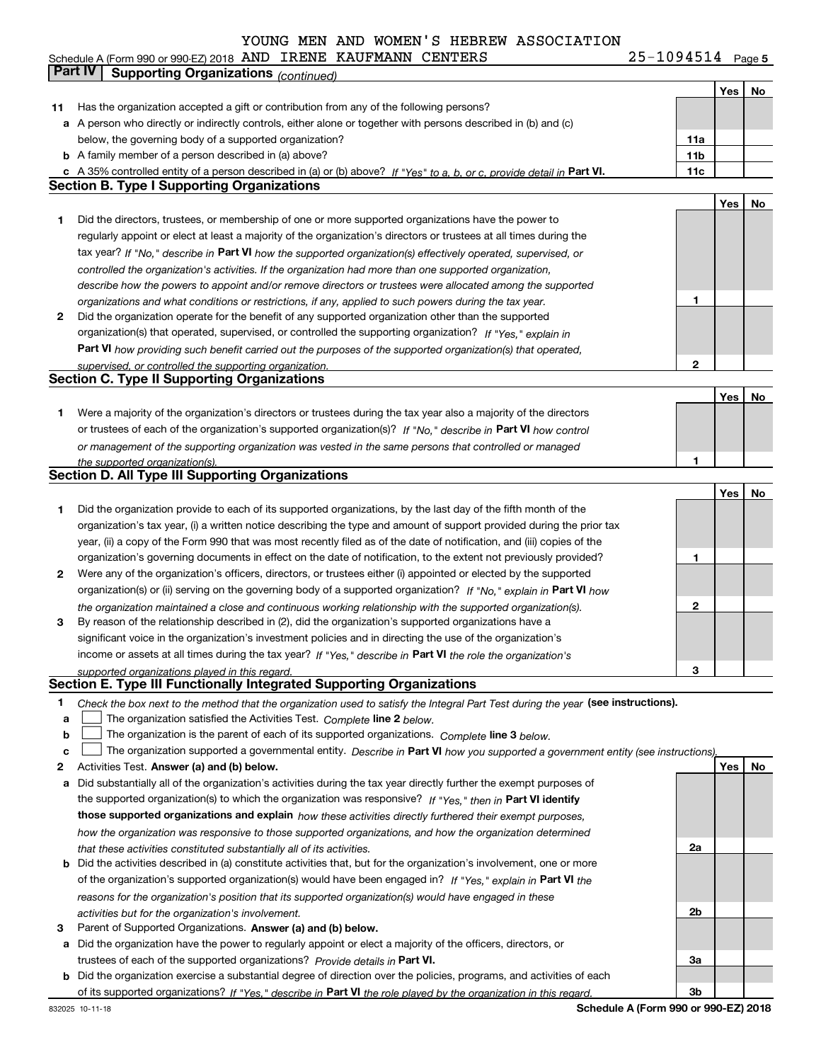#### 25-1094514 Page 5 **Yes No 11** Has the organization accepted a gift or contribution from any of the following persons? **a** A person who directly or indirectly controls, either alone or together with persons described in (b) and (c) **b** A family member of a person described in (a) above? **c** A 35% controlled entity of a person described in (a) or (b) above? If "Yes" to a, b, or c, provide detail in Part VI. **11c 11a11bYes No 1** Did the directors, trustees, or membership of one or more supported organizations have the power to **2** Did the organization operate for the benefit of any supported organization other than the supported tax year? If "No," describe in Part VI how the supported organization(s) effectively operated, supervised, or **12Part VI**  *how providing such benefit carried out the purposes of the supported organization(s) that operated,* **Yes No 1** Were a majority of the organization's directors or trustees during the tax year also a majority of the directors or trustees of each of the organization's supported organization(s)? If "No," describe in **Part VI** how control **1Yes No 12** Were any of the organization's officers, directors, or trustees either (i) appointed or elected by the supported **3123**organization(s) or (ii) serving on the governing body of a supported organization? If "No," explain in **Part VI** how income or assets at all times during the tax year? If "Yes," describe in **Part VI** the role the organization's **12Answer (a) and (b) below. Yes No** Activities Test. Check the box next to the method that the organization used to satisfy the Integral Part Test during the year (see instructions). **abclinupy** The organization satisfied the Activities Test. Complete line 2 below. The organization is the parent of each of its supported organizations. *Complete* line 3 *below.* The organization supported a governmental entity. *Describe in* Part **VI** how you supported a government entity (see instructions), **a** Did substantially all of the organization's activities during the tax year directly further the exempt purposes of **Part VI identify** *controlled the organization's activities. If the organization had more than one supported organization, describe how the powers to appoint and/or remove directors or trustees were allocated among the supported organizations and what conditions or restrictions, if any, applied to such powers during the tax year. If "Yes," explain in* organization(s) that operated, supervised, or controlled the supporting organization? *supervised, or controlled the supporting organization. or management of the supporting organization was vested in the same persons that controlled or managed the supported organization(s). the organization maintained a close and continuous working relationship with the supported organization(s). supported organizations played in this regard.* Schedule A (Form 990 or 990-EZ) 2018 Page AND IRENE KAUFMANN CENTERS 25-1094514 below, the governing body of a supported organization? regularly appoint or elect at least a majority of the organization's directors or trustees at all times during the Did the organization provide to each of its supported organizations, by the last day of the fifth month of the organization's tax year, (i) a written notice describing the type and amount of support provided during the prior tax year, (ii) a copy of the Form 990 that was most recently filed as of the date of notification, and (iii) copies of the organization's governing documents in effect on the date of notification, to the extent not previously provided? By reason of the relationship described in (2), did the organization's supported organizations have a significant voice in the organization's investment policies and in directing the use of the organization's the supported organization(s) to which the organization was responsive? **Part IV Supporting Organizations** *(continued)* **Section B. Type I Supporting Organizations Section C. Type II Supporting Organizations Section D. All Type III Supporting Organizations Section E. Type III Functionally Integrated Supporting Organizations**  $\mathcal{L}^{\text{max}}$  $\mathcal{L}^{\text{max}}$

| the supported organization(s) to which the organization was responsive? If "Yes." then in Part VI identify                 |
|----------------------------------------------------------------------------------------------------------------------------|
| those supported organizations and explain how these activities directly furthered their exempt purposes,                   |
| how the organization was responsive to those supported organizations, and how the organization determined                  |
| that these activities constituted substantially all of its activities.                                                     |
| <b>b</b> Did the activities described in (a) constitute activities that but for the examization's involvement, and as more |

| <b>b</b> Did the activities described in (a) constitute activities that, but for the organization's involvement, one or more |
|------------------------------------------------------------------------------------------------------------------------------|
| of the organization's supported organization(s) would have been engaged in? If "Yes," explain in Part VI the                 |
| reasons for the organization's position that its supported organization(s) would have engaged in these                       |
| activities but for the organization's involvement.                                                                           |
|                                                                                                                              |

**3** Parent of Supported Organizations. Answer (a) and (b) below.

**a** Did the organization have the power to regularly appoint or elect a majority of the officers, directors, or trustees of each of the supported organizations? *Provide details in* Part VI.

**b** Did the organization exercise a substantial degree of direction over the policies, programs, and activities of each of its supported organizations? If "Yes," describe in Part VI the role played by the organization in this regard.

**Schedule A (Form 990 or 990-EZ) 2018**

**2a**

**2b**

**3a**

**3b**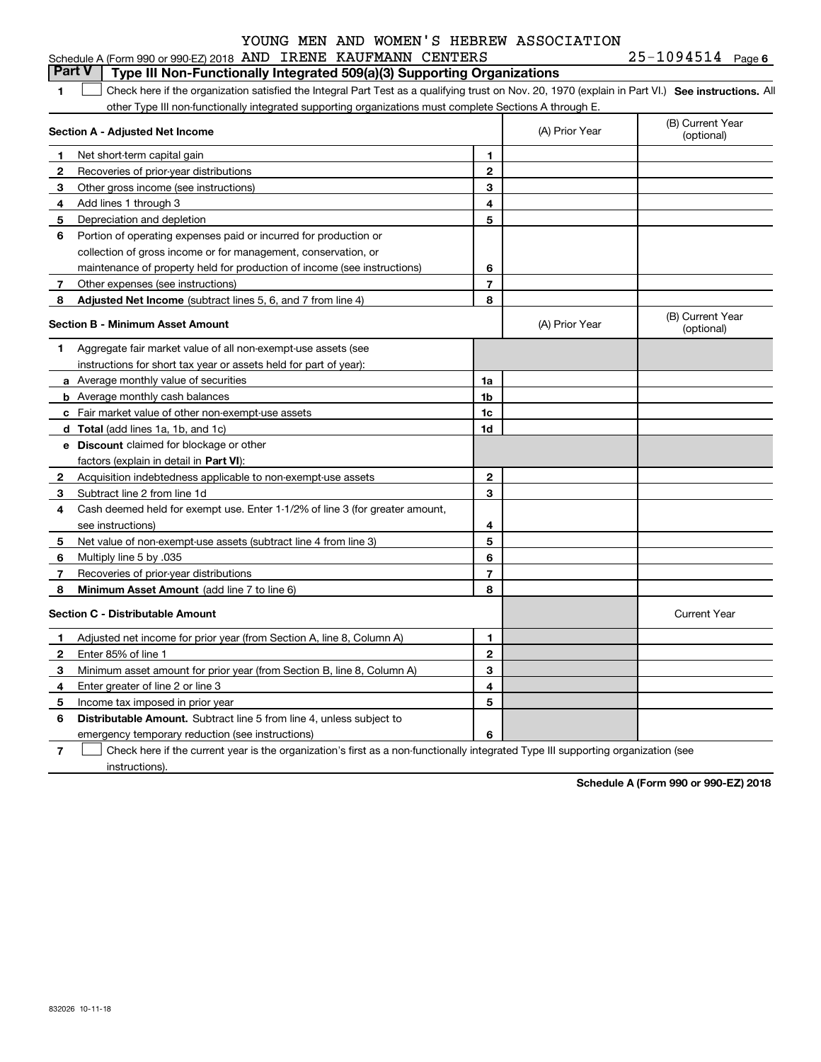|                | Schedule A (Form 990 or 990-EZ) 2018 AND IRENE KAUFMANN CENTERS                                                                                   |                |                | $25 - 1094514$ Page 6          |
|----------------|---------------------------------------------------------------------------------------------------------------------------------------------------|----------------|----------------|--------------------------------|
|                | <b>Part V</b><br>Type III Non-Functionally Integrated 509(a)(3) Supporting Organizations                                                          |                |                |                                |
| 1              | Check here if the organization satisfied the Integral Part Test as a qualifying trust on Nov. 20, 1970 (explain in Part VI.) See instructions. Al |                |                |                                |
|                | other Type III non-functionally integrated supporting organizations must complete Sections A through E.                                           |                |                |                                |
|                | Section A - Adjusted Net Income                                                                                                                   |                | (A) Prior Year | (B) Current Year<br>(optional) |
| -1             | Net short-term capital gain                                                                                                                       | 1              |                |                                |
| $\mathbf{2}$   | Recoveries of prior-year distributions                                                                                                            | $\mathbf{2}$   |                |                                |
| 3              | Other gross income (see instructions)                                                                                                             | 3              |                |                                |
| 4              | Add lines 1 through 3                                                                                                                             | 4              |                |                                |
| 5              | Depreciation and depletion                                                                                                                        | 5              |                |                                |
| 6              | Portion of operating expenses paid or incurred for production or                                                                                  |                |                |                                |
|                | collection of gross income or for management, conservation, or                                                                                    |                |                |                                |
|                | maintenance of property held for production of income (see instructions)                                                                          | 6              |                |                                |
| 7              | Other expenses (see instructions)                                                                                                                 | $\overline{7}$ |                |                                |
| 8              | Adjusted Net Income (subtract lines 5, 6, and 7 from line 4)                                                                                      | 8              |                |                                |
|                | <b>Section B - Minimum Asset Amount</b>                                                                                                           |                | (A) Prior Year | (B) Current Year<br>(optional) |
| 1              | Aggregate fair market value of all non-exempt-use assets (see                                                                                     |                |                |                                |
|                | instructions for short tax year or assets held for part of year):                                                                                 |                |                |                                |
|                | <b>a</b> Average monthly value of securities                                                                                                      | 1a             |                |                                |
|                | <b>b</b> Average monthly cash balances                                                                                                            | 1 <sub>b</sub> |                |                                |
|                | c Fair market value of other non-exempt-use assets                                                                                                | 1c             |                |                                |
|                | d Total (add lines 1a, 1b, and 1c)                                                                                                                | 1d             |                |                                |
|                | e Discount claimed for blockage or other                                                                                                          |                |                |                                |
|                | factors (explain in detail in Part VI):                                                                                                           |                |                |                                |
| $\overline{2}$ | Acquisition indebtedness applicable to non-exempt-use assets                                                                                      | $\mathbf{2}$   |                |                                |
| 3              | Subtract line 2 from line 1d                                                                                                                      | 3              |                |                                |
| 4              | Cash deemed held for exempt use. Enter 1-1/2% of line 3 (for greater amount,                                                                      |                |                |                                |
|                | see instructions)                                                                                                                                 | 4              |                |                                |
| 5              | Net value of non-exempt-use assets (subtract line 4 from line 3)                                                                                  | 5              |                |                                |
| 6              | Multiply line 5 by .035                                                                                                                           | 6              |                |                                |
| 7              | Recoveries of prior-year distributions                                                                                                            | 7              |                |                                |
| 8              | <b>Minimum Asset Amount</b> (add line 7 to line 6)                                                                                                | 8              |                |                                |
|                | <b>Section C - Distributable Amount</b>                                                                                                           |                |                | <b>Current Year</b>            |
| 1              | Adjusted net income for prior year (from Section A, line 8, Column A)                                                                             | 1              |                |                                |
| $\mathbf{2}$   | Enter 85% of line 1                                                                                                                               | $\mathbf{2}$   |                |                                |
| 3              | Minimum asset amount for prior year (from Section B, line 8, Column A)                                                                            | 3              |                |                                |
| 4              | Enter greater of line 2 or line 3                                                                                                                 | 4              |                |                                |
| 5              | Income tax imposed in prior year                                                                                                                  | 5              |                |                                |
| 6              | <b>Distributable Amount.</b> Subtract line 5 from line 4, unless subject to                                                                       |                |                |                                |

emergency temporary reduction (see instructions)

**7**Check here if the current year is the organization's first as a non-functionally integrated Type III supporting organization (see instructions).

**6**

**Schedule A (Form 990 or 990-EZ) 2018**

832026 10-11-18

|  | AND IRENE KAUFMANN CENTERS | $25 - 1094514$ Page 6 |  |
|--|----------------------------|-----------------------|--|
|  |                            |                       |  |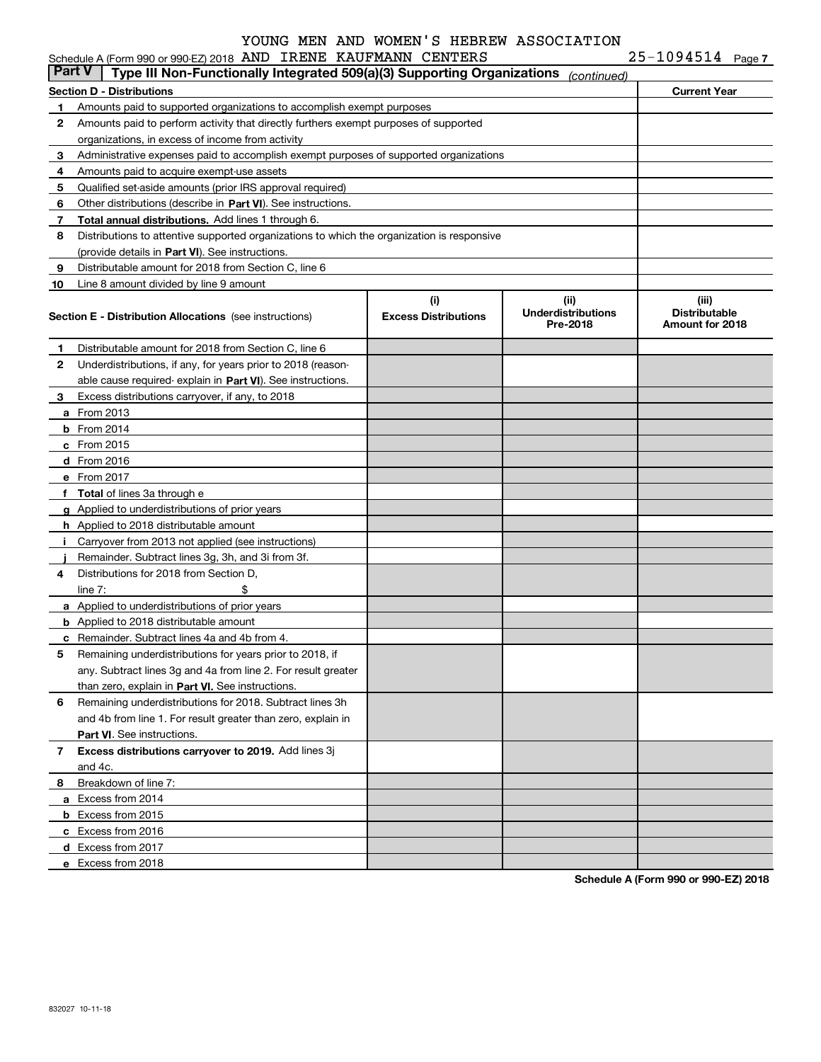| Part V | Schedule A (Form 990 or 990-EZ) 2018 AND IRENE KAUFMANN CENTERS                            |                                    |                                               | $25 - 1094514$ Page 7                            |  |
|--------|--------------------------------------------------------------------------------------------|------------------------------------|-----------------------------------------------|--------------------------------------------------|--|
|        | Type III Non-Functionally Integrated 509(a)(3) Supporting Organizations                    |                                    | (continued)                                   |                                                  |  |
|        | <b>Section D - Distributions</b>                                                           |                                    |                                               | <b>Current Year</b>                              |  |
| 1      | Amounts paid to supported organizations to accomplish exempt purposes                      |                                    |                                               |                                                  |  |
| 2      | Amounts paid to perform activity that directly furthers exempt purposes of supported       |                                    |                                               |                                                  |  |
|        | organizations, in excess of income from activity                                           |                                    |                                               |                                                  |  |
| 3      | Administrative expenses paid to accomplish exempt purposes of supported organizations      |                                    |                                               |                                                  |  |
| 4      | Amounts paid to acquire exempt-use assets                                                  |                                    |                                               |                                                  |  |
| 5      | Qualified set-aside amounts (prior IRS approval required)                                  |                                    |                                               |                                                  |  |
| 6      | Other distributions (describe in Part VI). See instructions.                               |                                    |                                               |                                                  |  |
| 7      | Total annual distributions. Add lines 1 through 6.                                         |                                    |                                               |                                                  |  |
| 8      | Distributions to attentive supported organizations to which the organization is responsive |                                    |                                               |                                                  |  |
|        | (provide details in Part VI). See instructions.                                            |                                    |                                               |                                                  |  |
| 9      | Distributable amount for 2018 from Section C, line 6                                       |                                    |                                               |                                                  |  |
| 10     | Line 8 amount divided by line 9 amount                                                     |                                    |                                               |                                                  |  |
|        | <b>Section E - Distribution Allocations</b> (see instructions)                             | (i)<br><b>Excess Distributions</b> | (ii)<br><b>Underdistributions</b><br>Pre-2018 | (iii)<br><b>Distributable</b><br>Amount for 2018 |  |
| 1      | Distributable amount for 2018 from Section C, line 6                                       |                                    |                                               |                                                  |  |
| 2      | Underdistributions, if any, for years prior to 2018 (reason-                               |                                    |                                               |                                                  |  |
|        | able cause required-explain in Part VI). See instructions.                                 |                                    |                                               |                                                  |  |
| З.     | Excess distributions carryover, if any, to 2018                                            |                                    |                                               |                                                  |  |
|        | <b>a</b> From 2013                                                                         |                                    |                                               |                                                  |  |
|        | $b$ From 2014                                                                              |                                    |                                               |                                                  |  |
|        | $c$ From 2015                                                                              |                                    |                                               |                                                  |  |
|        | d From 2016                                                                                |                                    |                                               |                                                  |  |
|        | e From 2017                                                                                |                                    |                                               |                                                  |  |
|        | f Total of lines 3a through e                                                              |                                    |                                               |                                                  |  |
|        | g Applied to underdistributions of prior years                                             |                                    |                                               |                                                  |  |
|        | <b>h</b> Applied to 2018 distributable amount                                              |                                    |                                               |                                                  |  |
|        | Carryover from 2013 not applied (see instructions)                                         |                                    |                                               |                                                  |  |
|        | Remainder. Subtract lines 3g, 3h, and 3i from 3f.                                          |                                    |                                               |                                                  |  |
| 4      | Distributions for 2018 from Section D.                                                     |                                    |                                               |                                                  |  |
|        | \$<br>line $7:$                                                                            |                                    |                                               |                                                  |  |
|        | <b>a</b> Applied to underdistributions of prior years                                      |                                    |                                               |                                                  |  |
|        | <b>b</b> Applied to 2018 distributable amount                                              |                                    |                                               |                                                  |  |
|        | <b>c</b> Remainder. Subtract lines 4a and 4b from 4.                                       |                                    |                                               |                                                  |  |
|        | Remaining underdistributions for years prior to 2018, if                                   |                                    |                                               |                                                  |  |
|        | any. Subtract lines 3g and 4a from line 2. For result greater                              |                                    |                                               |                                                  |  |
|        | than zero, explain in Part VI. See instructions.                                           |                                    |                                               |                                                  |  |
| 6      | Remaining underdistributions for 2018. Subtract lines 3h                                   |                                    |                                               |                                                  |  |
|        | and 4b from line 1. For result greater than zero, explain in                               |                                    |                                               |                                                  |  |
|        | Part VI. See instructions.                                                                 |                                    |                                               |                                                  |  |
| 7      | Excess distributions carryover to 2019. Add lines 3j                                       |                                    |                                               |                                                  |  |
|        | and 4c.                                                                                    |                                    |                                               |                                                  |  |
| 8      | Breakdown of line 7:                                                                       |                                    |                                               |                                                  |  |
|        | a Excess from 2014                                                                         |                                    |                                               |                                                  |  |
|        | <b>b</b> Excess from 2015                                                                  |                                    |                                               |                                                  |  |
|        | c Excess from 2016                                                                         |                                    |                                               |                                                  |  |
|        | d Excess from 2017                                                                         |                                    |                                               |                                                  |  |
|        | e Excess from 2018                                                                         |                                    |                                               |                                                  |  |
|        |                                                                                            |                                    |                                               |                                                  |  |

**Schedule A (Form 990 or 990-EZ) 2018**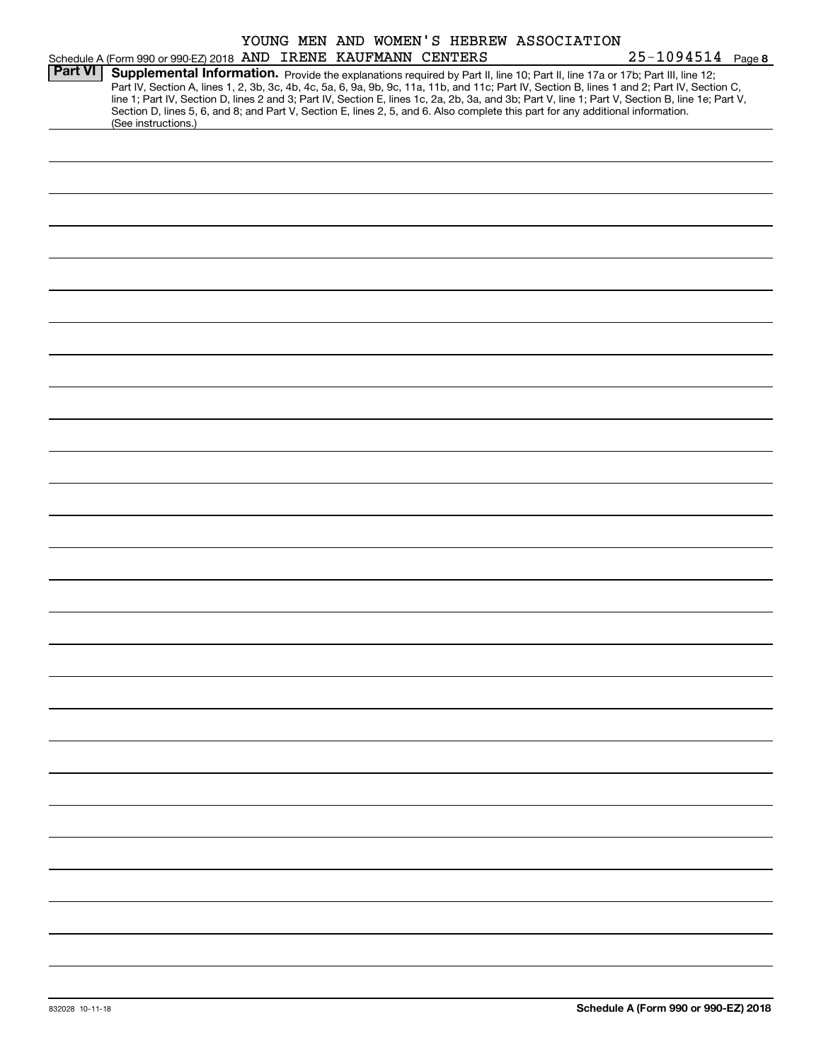|                |                                                                                                                                              |  | YOUNG MEN AND WOMEN'S HEBREW ASSOCIATION |                                                                                                                                                  |  |
|----------------|----------------------------------------------------------------------------------------------------------------------------------------------|--|------------------------------------------|--------------------------------------------------------------------------------------------------------------------------------------------------|--|
|                | Schedule A (Form 990 or 990-EZ) 2018 AND IRENE KAUFMANN CENTERS                                                                              |  |                                          | $25 - 1094514$ Page 8                                                                                                                            |  |
| <b>Part VI</b> | Supplemental Information. Provide the explanations required by Part II, line 10; Part II, line 17a or 17b; Part III, line 12;                |  |                                          |                                                                                                                                                  |  |
|                | Part IV, Section A, lines 1, 2, 3b, 3c, 4b, 4c, 5a, 6, 9a, 9b, 9c, 11a, 11b, and 11c; Part IV, Section B, lines 1 and 2; Part IV, Section C, |  |                                          |                                                                                                                                                  |  |
|                |                                                                                                                                              |  |                                          | line 1; Part IV, Section D, lines 2 and 3; Part IV, Section E, lines 1c, 2a, 2b, 3a, and 3b; Part V, line 1; Part V, Section B, line 1e; Part V, |  |
|                | Section D, lines 5, 6, and 8; and Part V, Section E, lines 2, 5, and 6. Also complete this part for any additional information.              |  |                                          |                                                                                                                                                  |  |
|                | (See instructions.)                                                                                                                          |  |                                          |                                                                                                                                                  |  |
|                |                                                                                                                                              |  |                                          |                                                                                                                                                  |  |
|                |                                                                                                                                              |  |                                          |                                                                                                                                                  |  |
|                |                                                                                                                                              |  |                                          |                                                                                                                                                  |  |
|                |                                                                                                                                              |  |                                          |                                                                                                                                                  |  |
|                |                                                                                                                                              |  |                                          |                                                                                                                                                  |  |
|                |                                                                                                                                              |  |                                          |                                                                                                                                                  |  |
|                |                                                                                                                                              |  |                                          |                                                                                                                                                  |  |
|                |                                                                                                                                              |  |                                          |                                                                                                                                                  |  |
|                |                                                                                                                                              |  |                                          |                                                                                                                                                  |  |
|                |                                                                                                                                              |  |                                          |                                                                                                                                                  |  |
|                |                                                                                                                                              |  |                                          |                                                                                                                                                  |  |
|                |                                                                                                                                              |  |                                          |                                                                                                                                                  |  |
|                |                                                                                                                                              |  |                                          |                                                                                                                                                  |  |
|                |                                                                                                                                              |  |                                          |                                                                                                                                                  |  |
|                |                                                                                                                                              |  |                                          |                                                                                                                                                  |  |
|                |                                                                                                                                              |  |                                          |                                                                                                                                                  |  |
|                |                                                                                                                                              |  |                                          |                                                                                                                                                  |  |
|                |                                                                                                                                              |  |                                          |                                                                                                                                                  |  |
|                |                                                                                                                                              |  |                                          |                                                                                                                                                  |  |
|                |                                                                                                                                              |  |                                          |                                                                                                                                                  |  |
|                |                                                                                                                                              |  |                                          |                                                                                                                                                  |  |
|                |                                                                                                                                              |  |                                          |                                                                                                                                                  |  |
|                |                                                                                                                                              |  |                                          |                                                                                                                                                  |  |
|                |                                                                                                                                              |  |                                          |                                                                                                                                                  |  |
|                |                                                                                                                                              |  |                                          |                                                                                                                                                  |  |
|                |                                                                                                                                              |  |                                          |                                                                                                                                                  |  |
|                |                                                                                                                                              |  |                                          |                                                                                                                                                  |  |
|                |                                                                                                                                              |  |                                          |                                                                                                                                                  |  |
|                |                                                                                                                                              |  |                                          |                                                                                                                                                  |  |
|                |                                                                                                                                              |  |                                          |                                                                                                                                                  |  |
|                |                                                                                                                                              |  |                                          |                                                                                                                                                  |  |
|                |                                                                                                                                              |  |                                          |                                                                                                                                                  |  |
|                |                                                                                                                                              |  |                                          |                                                                                                                                                  |  |
|                |                                                                                                                                              |  |                                          |                                                                                                                                                  |  |
|                |                                                                                                                                              |  |                                          |                                                                                                                                                  |  |
|                |                                                                                                                                              |  |                                          |                                                                                                                                                  |  |
|                |                                                                                                                                              |  |                                          |                                                                                                                                                  |  |
|                |                                                                                                                                              |  |                                          |                                                                                                                                                  |  |
|                |                                                                                                                                              |  |                                          |                                                                                                                                                  |  |
|                |                                                                                                                                              |  |                                          |                                                                                                                                                  |  |
|                |                                                                                                                                              |  |                                          |                                                                                                                                                  |  |
|                |                                                                                                                                              |  |                                          |                                                                                                                                                  |  |
|                |                                                                                                                                              |  |                                          |                                                                                                                                                  |  |
|                |                                                                                                                                              |  |                                          |                                                                                                                                                  |  |
|                |                                                                                                                                              |  |                                          |                                                                                                                                                  |  |
|                |                                                                                                                                              |  |                                          |                                                                                                                                                  |  |
|                |                                                                                                                                              |  |                                          |                                                                                                                                                  |  |
|                |                                                                                                                                              |  |                                          |                                                                                                                                                  |  |
|                |                                                                                                                                              |  |                                          |                                                                                                                                                  |  |
|                |                                                                                                                                              |  |                                          |                                                                                                                                                  |  |
|                |                                                                                                                                              |  |                                          |                                                                                                                                                  |  |
|                |                                                                                                                                              |  |                                          |                                                                                                                                                  |  |
|                |                                                                                                                                              |  |                                          |                                                                                                                                                  |  |
|                |                                                                                                                                              |  |                                          |                                                                                                                                                  |  |
|                |                                                                                                                                              |  |                                          |                                                                                                                                                  |  |
|                |                                                                                                                                              |  |                                          |                                                                                                                                                  |  |
|                |                                                                                                                                              |  |                                          |                                                                                                                                                  |  |
|                |                                                                                                                                              |  |                                          |                                                                                                                                                  |  |
|                |                                                                                                                                              |  |                                          |                                                                                                                                                  |  |
|                |                                                                                                                                              |  |                                          |                                                                                                                                                  |  |
|                |                                                                                                                                              |  |                                          |                                                                                                                                                  |  |
|                |                                                                                                                                              |  |                                          |                                                                                                                                                  |  |
|                |                                                                                                                                              |  |                                          |                                                                                                                                                  |  |
|                |                                                                                                                                              |  |                                          |                                                                                                                                                  |  |
|                |                                                                                                                                              |  |                                          |                                                                                                                                                  |  |
|                |                                                                                                                                              |  |                                          |                                                                                                                                                  |  |
|                |                                                                                                                                              |  |                                          |                                                                                                                                                  |  |
|                |                                                                                                                                              |  |                                          |                                                                                                                                                  |  |
|                |                                                                                                                                              |  |                                          |                                                                                                                                                  |  |
|                |                                                                                                                                              |  |                                          |                                                                                                                                                  |  |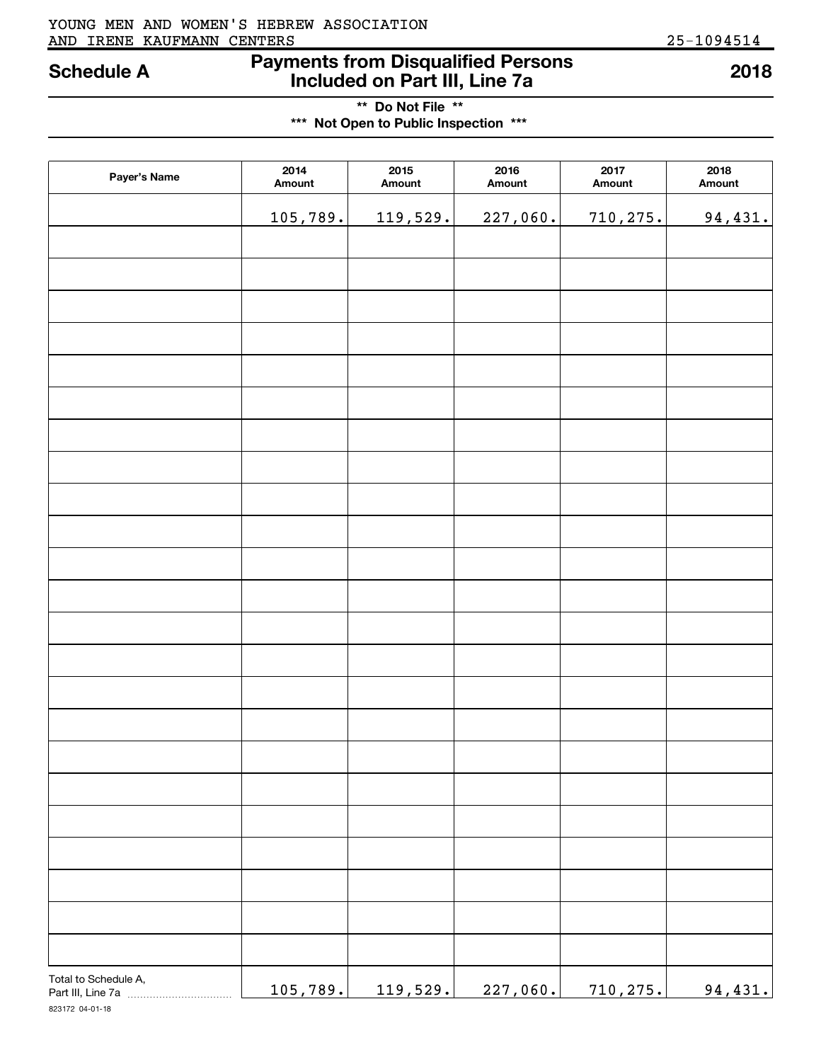#### AND IRENE KAUFMANN CENTERS 25-1094514 YOUNG MEN AND WOMEN'S HEBREW ASSOCIATION

## **Payments from Disqualified Persons Included on Part III, Line 7a Schedule A 2018**

**\*\* Do Not File \*\* \*\*\* Not Open to Public Inspection \*\*\***

| Payer's Name                               | 2014<br>Amount | 2015<br>Amount  | 2016<br>Amount | 2017<br>Amount | 2018<br>Amount |
|--------------------------------------------|----------------|-----------------|----------------|----------------|----------------|
|                                            | 105,789.       | 119,529.        | 227,060.       | 710,275.       | 94,431.        |
|                                            |                |                 |                |                |                |
|                                            |                |                 |                |                |                |
|                                            |                |                 |                |                |                |
|                                            |                |                 |                |                |                |
|                                            |                |                 |                |                |                |
|                                            |                |                 |                |                |                |
|                                            |                |                 |                |                |                |
|                                            |                |                 |                |                |                |
|                                            |                |                 |                |                |                |
|                                            |                |                 |                |                |                |
|                                            |                |                 |                |                |                |
|                                            |                |                 |                |                |                |
|                                            |                |                 |                |                |                |
|                                            |                |                 |                |                |                |
|                                            |                |                 |                |                |                |
|                                            |                |                 |                |                |                |
|                                            |                |                 |                |                |                |
|                                            |                |                 |                |                |                |
|                                            |                |                 |                |                |                |
|                                            |                |                 |                |                |                |
|                                            |                |                 |                |                |                |
|                                            |                |                 |                |                |                |
|                                            |                |                 |                |                |                |
| Total to Schedule A,<br>Part III, Line 7a. | 105,789.       | <u>119,529.</u> | 227,060.       | 710,275.       | 94,431.        |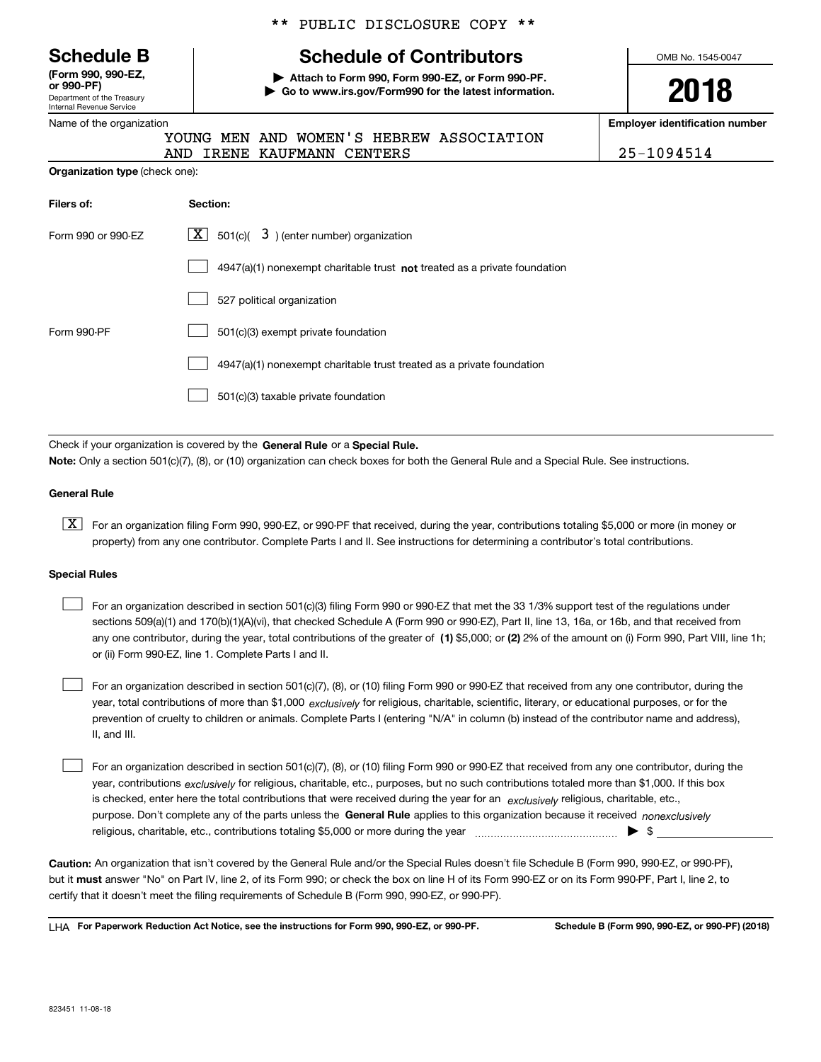| <b>Schedule B</b> |  |
|-------------------|--|
|-------------------|--|

Department of the Treasury Internal Revenue Service **(Form 990, 990-EZ, or 990-PF)**

#### Name of the organization

#### \*\* PUBLIC DISCLOSURE COPY \*\*

## **Schedule of Contributors**

**| Attach to Form 990, Form 990-EZ, or Form 990-PF. | Go to www.irs.gov/Form990 for the latest information.** OMB No. 1545-0047

**2018**

**Employer identification number**

RS 25-1094514

|  |  | YOUNG MEN AND WOMEN'S HEBREW ASSOCIATION |
|--|--|------------------------------------------|
|  |  |                                          |

|                                       |  | AND IRENE KAUFMANN CENTE |  |
|---------------------------------------|--|--------------------------|--|
| <b>Organization type</b> (check one): |  |                          |  |

| Filers of:         | Section:                                                                    |
|--------------------|-----------------------------------------------------------------------------|
| Form 990 or 990-EZ | $ \mathbf{X} $ 501(c)( 3) (enter number) organization                       |
|                    | $4947(a)(1)$ nonexempt charitable trust not treated as a private foundation |
|                    | 527 political organization                                                  |
| Form 990-PF        | 501(c)(3) exempt private foundation                                         |
|                    | 4947(a)(1) nonexempt charitable trust treated as a private foundation       |
|                    | 501(c)(3) taxable private foundation                                        |

Check if your organization is covered by the **General Rule** or a **Special Rule. Note:**  Only a section 501(c)(7), (8), or (10) organization can check boxes for both the General Rule and a Special Rule. See instructions.

#### **General Rule**

 $\boxed{\textbf{X}}$  For an organization filing Form 990, 990-EZ, or 990-PF that received, during the year, contributions totaling \$5,000 or more (in money or property) from any one contributor. Complete Parts I and II. See instructions for determining a contributor's total contributions.

#### **Special Rules**

any one contributor, during the year, total contributions of the greater of  $\,$  (1) \$5,000; or **(2)** 2% of the amount on (i) Form 990, Part VIII, line 1h; For an organization described in section 501(c)(3) filing Form 990 or 990-EZ that met the 33 1/3% support test of the regulations under sections 509(a)(1) and 170(b)(1)(A)(vi), that checked Schedule A (Form 990 or 990-EZ), Part II, line 13, 16a, or 16b, and that received from or (ii) Form 990-EZ, line 1. Complete Parts I and II.  $\mathcal{L}^{\text{max}}$ 

year, total contributions of more than \$1,000 *exclusively* for religious, charitable, scientific, literary, or educational purposes, or for the For an organization described in section 501(c)(7), (8), or (10) filing Form 990 or 990-EZ that received from any one contributor, during the prevention of cruelty to children or animals. Complete Parts I (entering "N/A" in column (b) instead of the contributor name and address), II, and III.  $\mathcal{L}^{\text{max}}$ 

purpose. Don't complete any of the parts unless the **General Rule** applies to this organization because it received *nonexclusively* year, contributions <sub>exclusively</sub> for religious, charitable, etc., purposes, but no such contributions totaled more than \$1,000. If this box is checked, enter here the total contributions that were received during the year for an  $\;$ exclusively religious, charitable, etc., For an organization described in section 501(c)(7), (8), or (10) filing Form 990 or 990-EZ that received from any one contributor, during the religious, charitable, etc., contributions totaling \$5,000 or more during the year  $\Box$ — $\Box$   $\Box$  $\mathcal{L}^{\text{max}}$ 

**Caution:**  An organization that isn't covered by the General Rule and/or the Special Rules doesn't file Schedule B (Form 990, 990-EZ, or 990-PF),  **must** but it answer "No" on Part IV, line 2, of its Form 990; or check the box on line H of its Form 990-EZ or on its Form 990-PF, Part I, line 2, to certify that it doesn't meet the filing requirements of Schedule B (Form 990, 990-EZ, or 990-PF).

**For Paperwork Reduction Act Notice, see the instructions for Form 990, 990-EZ, or 990-PF. Schedule B (Form 990, 990-EZ, or 990-PF) (2018)** LHA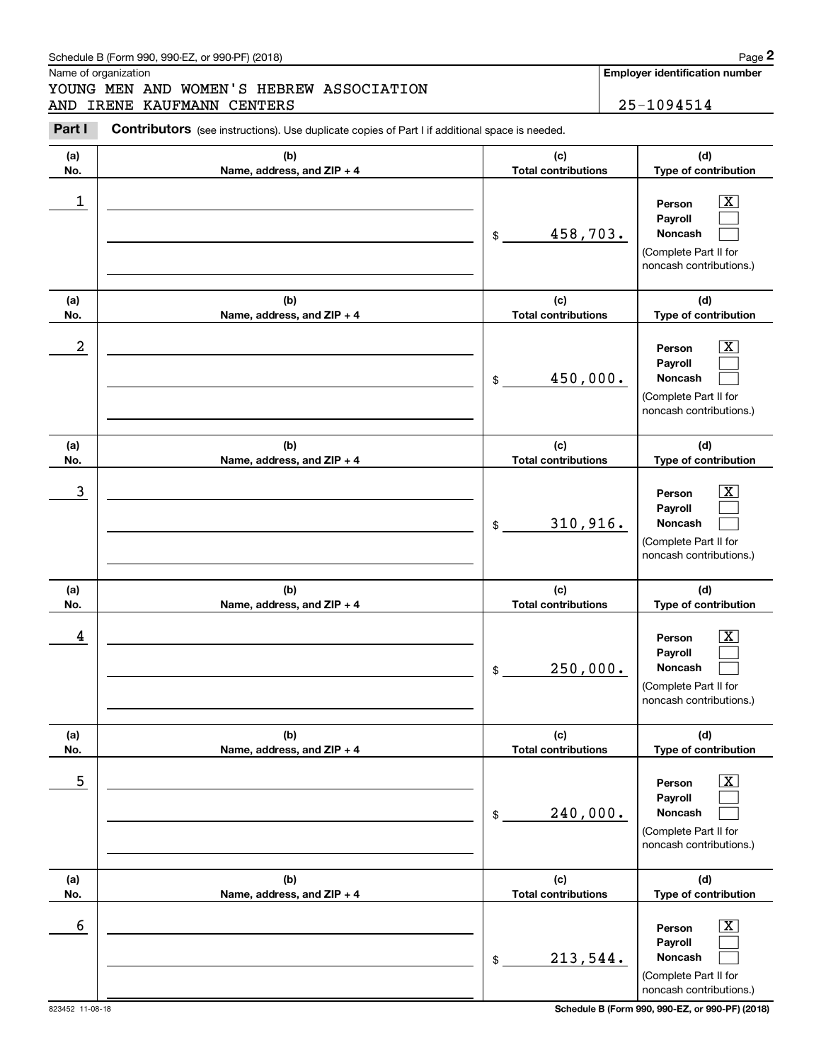### Schedule B (Form 990, 990-EZ, or 990-PF) (2018) Page 2

Name of organization

# Chedule B (Form 990, 990-EZ, or 990-PF) (2018)<br>
Iame of organization<br> **2Part I 2Part I Contributors** (see instructions). Use duplicate copies of Part I if additional space is needed.<br> **Part I Contributors** (see instr YOUNG MEN AND WOMEN'S HEBREW ASSOCIATION AND IRENE KAUFMANN CENTERS 25-1094514

**Employer identification number**

| Part I     | <b>Contributors</b> (see instructions). Use duplicate copies of Part I if additional space is needed. |                                        |                                                                                                           |
|------------|-------------------------------------------------------------------------------------------------------|----------------------------------------|-----------------------------------------------------------------------------------------------------------|
| (a)<br>No. | (b)<br>Name, address, and ZIP + 4                                                                     | (c)<br><b>Total contributions</b>      | (d)<br>Type of contribution                                                                               |
| 1          |                                                                                                       | 458,703.<br>$\frac{1}{2}$              | $\overline{\text{X}}$<br>Person<br>Payroll<br>Noncash<br>(Complete Part II for<br>noncash contributions.) |
| (a)<br>No. | (b)<br>Name, address, and ZIP + 4                                                                     | (c)<br><b>Total contributions</b>      | (d)<br>Type of contribution                                                                               |
| 2          |                                                                                                       | 450,000.<br>$\frac{1}{2}$              | $\overline{\text{X}}$<br>Person<br>Payroll<br>Noncash<br>(Complete Part II for<br>noncash contributions.) |
| (a)<br>No. | (b)<br>Name, address, and ZIP + 4                                                                     | (c)<br><b>Total contributions</b>      | (d)<br>Type of contribution                                                                               |
| 3          |                                                                                                       | 310,916.<br>$$\overline{\phantom{a}3}$ | $\overline{\text{X}}$<br>Person<br>Payroll<br>Noncash<br>(Complete Part II for<br>noncash contributions.) |
| (a)<br>No. | (b)<br>Name, address, and ZIP + 4                                                                     | (c)<br><b>Total contributions</b>      | (d)<br>Type of contribution                                                                               |
| 4          |                                                                                                       | 250,000.<br>$\frac{1}{2}$              | $\overline{\text{X}}$<br>Person<br>Payroll<br>Noncash<br>(Complete Part II for<br>noncash contributions.) |
| (a)<br>No. | (b)<br>Name, address, and ZIP + 4                                                                     | (c)<br><b>Total contributions</b>      | (d)<br>Type of contribution                                                                               |
| 5          |                                                                                                       | 240,000.<br>$$\tilde{\phantom{a}}$$    | $\overline{\text{X}}$<br>Person<br>Payroll<br>Noncash<br>(Complete Part II for<br>noncash contributions.) |
| (a)<br>No. | (b)<br>Name, address, and ZIP + 4                                                                     | (c)<br><b>Total contributions</b>      | (d)<br>Type of contribution                                                                               |
| 6          |                                                                                                       | 213,544.<br>$\frac{1}{2}$              | $\overline{\text{X}}$<br>Person<br>Payroll<br>Noncash<br>(Complete Part II for<br>noncash contributions.) |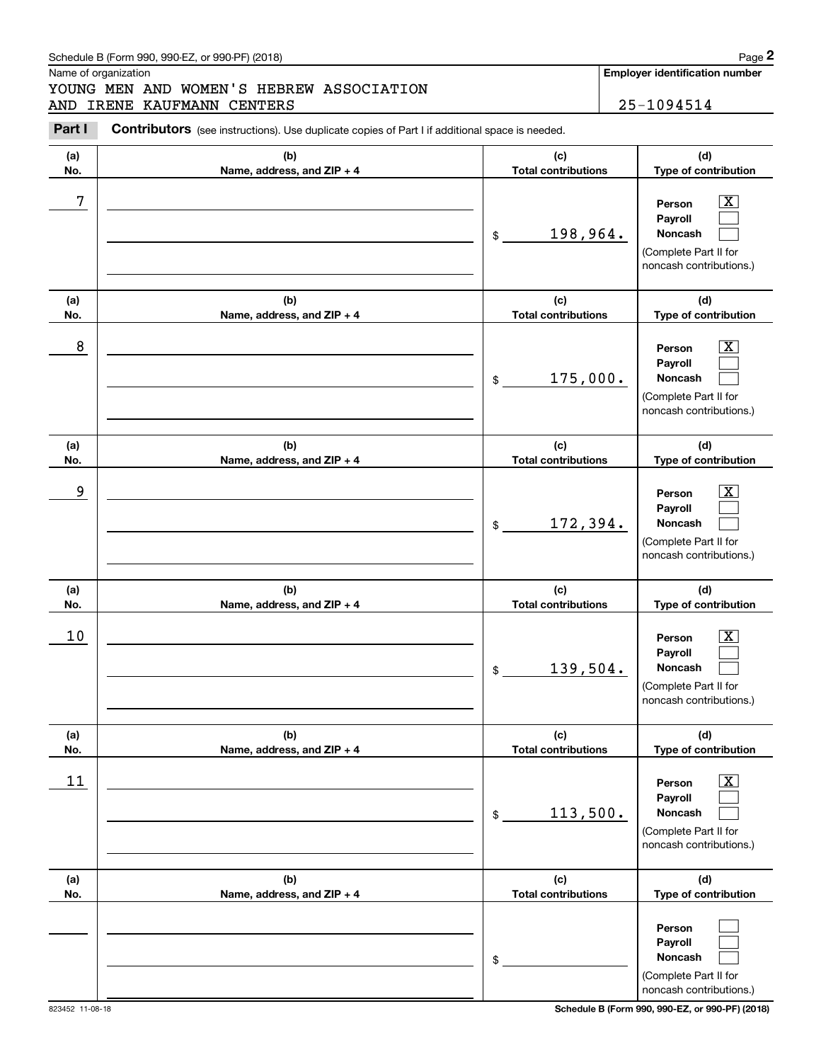### Schedule B (Form 990, 990-EZ, or 990-PF) (2018) **Page 2**

Name of organization

# Chedule B (Form 990, 990-EZ, or 990-PF) (2018)<br>
Iame of organization<br> **2Part I 2Part I Contributors** (see instructions). Use duplicate copies of Part I if additional space is needed.<br> **Part I Contributors** (see instr YOUNG MEN AND WOMEN'S HEBREW ASSOCIATION AND IRENE KAUFMANN CENTERS 25-1094514

**Employer identification number**

| Part I     | <b>Contributors</b> (see instructions). Use duplicate copies of Part I if additional space is needed. |                                   |                                                                                                                  |
|------------|-------------------------------------------------------------------------------------------------------|-----------------------------------|------------------------------------------------------------------------------------------------------------------|
| (a)<br>No. | (b)<br>Name, address, and ZIP + 4                                                                     | (c)<br><b>Total contributions</b> | (d)<br>Type of contribution                                                                                      |
| 7          |                                                                                                       | 198,964.<br>$\$$                  | $\boxed{\text{X}}$<br>Person<br>Payroll<br><b>Noncash</b><br>(Complete Part II for<br>noncash contributions.)    |
| (a)<br>No. | (b)<br>Name, address, and ZIP + 4                                                                     | (c)<br><b>Total contributions</b> | (d)<br>Type of contribution                                                                                      |
| 8          |                                                                                                       | 175,000.<br>\$                    | $\mathbf{X}$<br>Person<br>Payroll<br>Noncash<br>(Complete Part II for<br>noncash contributions.)                 |
| (a)<br>No. | (b)<br>Name, address, and ZIP + 4                                                                     | (c)<br><b>Total contributions</b> | (d)<br>Type of contribution                                                                                      |
| 9          |                                                                                                       | 172,394.<br>\$                    | $\mathbf{X}$<br>Person<br>Payroll<br>Noncash<br>(Complete Part II for<br>noncash contributions.)                 |
| (a)<br>No. | (b)<br>Name, address, and ZIP + 4                                                                     | (c)<br><b>Total contributions</b> | (d)<br>Type of contribution                                                                                      |
| 10         |                                                                                                       | 139,504.<br>\$                    | $\overline{\text{X}}$<br>Person<br>Payroll<br><b>Noncash</b><br>(Complete Part II for<br>noncash contributions.) |
| (a)<br>No. | (b)<br>Name, address, and ZIP + 4                                                                     | (c)<br><b>Total contributions</b> | (d)<br>Type of contribution                                                                                      |
| 11         |                                                                                                       | 113,500.<br>\$                    | $\overline{\text{X}}$<br>Person<br>Pavroll<br>Noncash<br>(Complete Part II for<br>noncash contributions.)        |
| (a)<br>No. | (b)<br>Name, address, and ZIP + 4                                                                     | (c)<br><b>Total contributions</b> | (d)<br>Type of contribution                                                                                      |
|            |                                                                                                       | \$                                | Person<br>Payroll<br>Noncash<br>(Complete Part II for<br>noncash contributions.)                                 |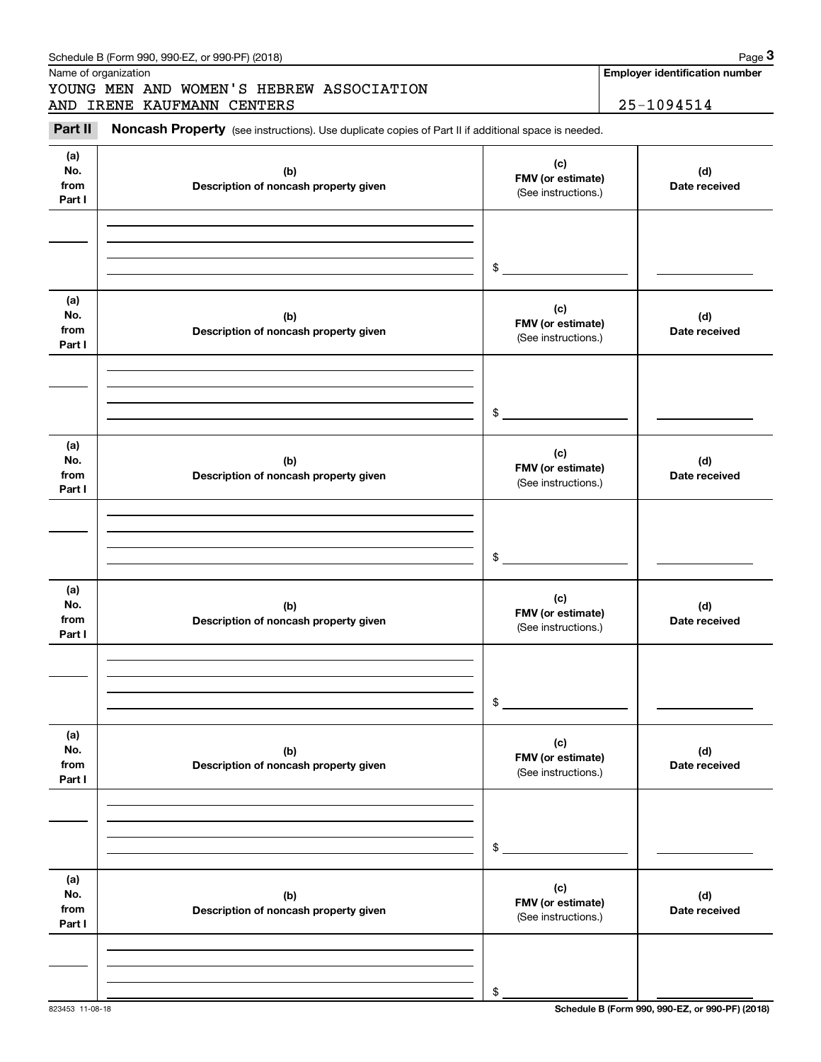|                              |                                              | $\mathfrak{S}$                                  |                      |
|------------------------------|----------------------------------------------|-------------------------------------------------|----------------------|
| (a)<br>No.<br>from<br>Part I | (b)<br>Description of noncash property given | (c)<br>FMV (or estimate)<br>(See instructions.) | (d)<br>Date received |
|                              |                                              | \$                                              |                      |
| (a)<br>No.<br>from<br>Part I | (b)<br>Description of noncash property given | (c)<br>FMV (or estimate)<br>(See instructions.) | (d)<br>Date received |
|                              |                                              | \$                                              |                      |
| (a)<br>No.<br>from<br>Part I | (b)<br>Description of noncash property given | (c)<br>FMV (or estimate)<br>(See instructions.) | (d)<br>Date received |
|                              |                                              | \$                                              |                      |
| (a)<br>No.<br>from<br>Part I | (b)<br>Description of noncash property given | (c)<br>FMV (or estimate)<br>(See instructions.) | (d)<br>Date received |
|                              |                                              | \$                                              |                      |
| (a)<br>No.<br>from<br>Part I | (b)<br>Description of noncash property given | (c)<br>FMV (or estimate)<br>(See instructions.) | (d)<br>Date received |
|                              |                                              | \$                                              |                      |

#### Schedule B (Form 990, 990-EZ, or 990-PF) (2018) **Page 3** Page 3

Name of organization

**(a) No.fromPart I**

# Chedule B (Form 990, 990-EZ, or 990-PF) (2018)<br>
Iame of organization<br> **3Part II is Noncash Property** (see instructions). Use duplicate copies of Part II if additional space is needed.<br> **3Part II is Noncash Property** (see i YOUNG MEN AND WOMEN'S HEBREW ASSOCIATION AND IRENE KAUFMANN CENTERS | 25-1094514

**(b)Description of noncash property given** **Employer identification number**

**(d) Date received**

**(c) FMV (or estimate)**

(See instructions.)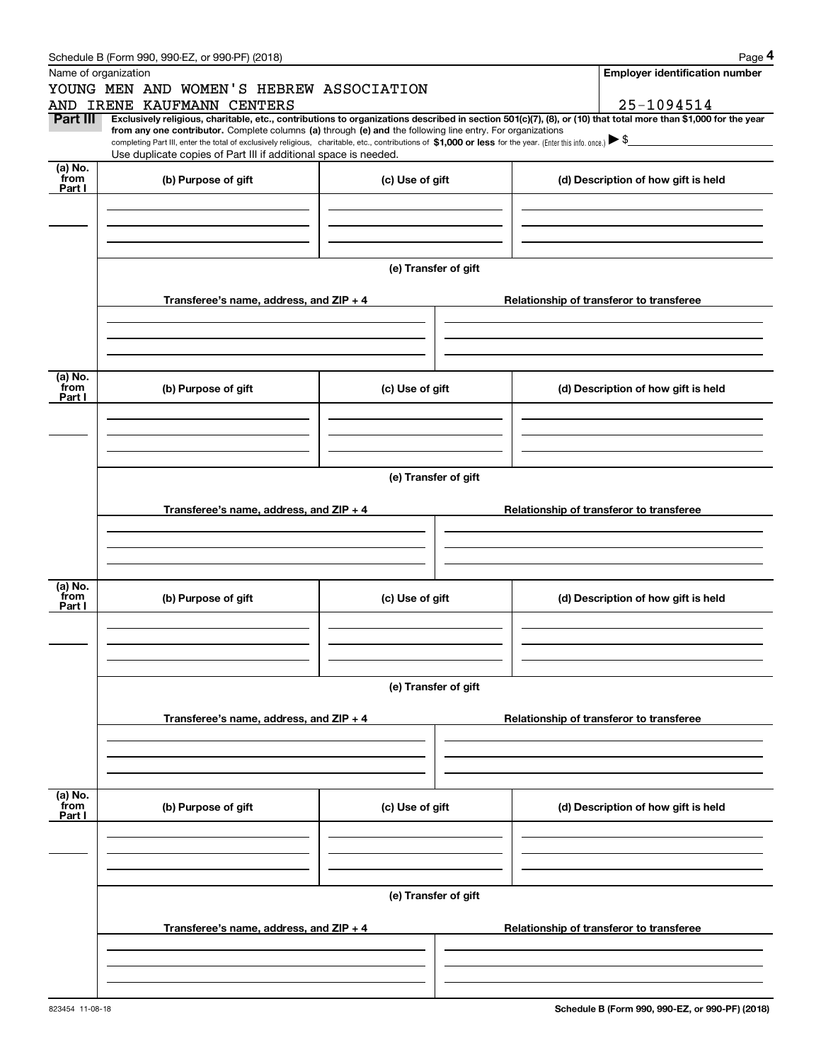|  | Schedule B (Form 990, 990-EZ, or 990-PF) (2018) |
|--|-------------------------------------------------|
|  |                                                 |

|                | Schedule B (Form 990, 990-EZ, or 990-PF) (2018)                                                                                                                                                                                 |                                          | Page 4                                                                                                                                                                       |  |  |  |  |  |
|----------------|---------------------------------------------------------------------------------------------------------------------------------------------------------------------------------------------------------------------------------|------------------------------------------|------------------------------------------------------------------------------------------------------------------------------------------------------------------------------|--|--|--|--|--|
|                | Name of organization                                                                                                                                                                                                            |                                          | <b>Employer identification number</b>                                                                                                                                        |  |  |  |  |  |
|                | YOUNG MEN AND WOMEN'S HEBREW ASSOCIATION                                                                                                                                                                                        |                                          |                                                                                                                                                                              |  |  |  |  |  |
| Part III       | AND IRENE KAUFMANN CENTERS                                                                                                                                                                                                      |                                          | 25-1094514<br>Exclusively religious, charitable, etc., contributions to organizations described in section 501(c)(7), (8), or (10) that total more than \$1,000 for the year |  |  |  |  |  |
|                | from any one contributor. Complete columns (a) through (e) and the following line entry. For organizations                                                                                                                      |                                          |                                                                                                                                                                              |  |  |  |  |  |
|                | completing Part III, enter the total of exclusively religious, charitable, etc., contributions of \$1,000 or less for the year. (Enter this info. once.) \\$<br>Use duplicate copies of Part III if additional space is needed. |                                          |                                                                                                                                                                              |  |  |  |  |  |
| (a) No.        |                                                                                                                                                                                                                                 |                                          |                                                                                                                                                                              |  |  |  |  |  |
| from<br>Part I | (b) Purpose of gift                                                                                                                                                                                                             | (c) Use of gift                          | (d) Description of how gift is held                                                                                                                                          |  |  |  |  |  |
|                |                                                                                                                                                                                                                                 |                                          |                                                                                                                                                                              |  |  |  |  |  |
|                |                                                                                                                                                                                                                                 |                                          |                                                                                                                                                                              |  |  |  |  |  |
|                |                                                                                                                                                                                                                                 |                                          |                                                                                                                                                                              |  |  |  |  |  |
|                |                                                                                                                                                                                                                                 |                                          |                                                                                                                                                                              |  |  |  |  |  |
|                |                                                                                                                                                                                                                                 | (e) Transfer of gift                     |                                                                                                                                                                              |  |  |  |  |  |
|                | Transferee's name, address, and ZIP + 4                                                                                                                                                                                         |                                          | Relationship of transferor to transferee                                                                                                                                     |  |  |  |  |  |
|                |                                                                                                                                                                                                                                 |                                          |                                                                                                                                                                              |  |  |  |  |  |
|                |                                                                                                                                                                                                                                 |                                          |                                                                                                                                                                              |  |  |  |  |  |
|                |                                                                                                                                                                                                                                 |                                          |                                                                                                                                                                              |  |  |  |  |  |
| (a) No.        |                                                                                                                                                                                                                                 |                                          |                                                                                                                                                                              |  |  |  |  |  |
| from<br>Part I | (b) Purpose of gift                                                                                                                                                                                                             | (c) Use of gift                          | (d) Description of how gift is held                                                                                                                                          |  |  |  |  |  |
|                |                                                                                                                                                                                                                                 |                                          |                                                                                                                                                                              |  |  |  |  |  |
|                |                                                                                                                                                                                                                                 |                                          |                                                                                                                                                                              |  |  |  |  |  |
|                |                                                                                                                                                                                                                                 |                                          |                                                                                                                                                                              |  |  |  |  |  |
|                |                                                                                                                                                                                                                                 |                                          |                                                                                                                                                                              |  |  |  |  |  |
|                | (e) Transfer of gift                                                                                                                                                                                                            |                                          |                                                                                                                                                                              |  |  |  |  |  |
|                | Transferee's name, address, and ZIP + 4                                                                                                                                                                                         | Relationship of transferor to transferee |                                                                                                                                                                              |  |  |  |  |  |
|                |                                                                                                                                                                                                                                 |                                          |                                                                                                                                                                              |  |  |  |  |  |
|                |                                                                                                                                                                                                                                 |                                          |                                                                                                                                                                              |  |  |  |  |  |
|                |                                                                                                                                                                                                                                 |                                          |                                                                                                                                                                              |  |  |  |  |  |
| (a) No.        |                                                                                                                                                                                                                                 |                                          |                                                                                                                                                                              |  |  |  |  |  |
| from<br>Part I | (b) Purpose of gift                                                                                                                                                                                                             | (c) Use of gift                          | (d) Description of how gift is held                                                                                                                                          |  |  |  |  |  |
|                |                                                                                                                                                                                                                                 |                                          |                                                                                                                                                                              |  |  |  |  |  |
|                |                                                                                                                                                                                                                                 |                                          |                                                                                                                                                                              |  |  |  |  |  |
|                |                                                                                                                                                                                                                                 |                                          |                                                                                                                                                                              |  |  |  |  |  |
|                |                                                                                                                                                                                                                                 |                                          |                                                                                                                                                                              |  |  |  |  |  |
|                |                                                                                                                                                                                                                                 | (e) Transfer of gift                     |                                                                                                                                                                              |  |  |  |  |  |
|                | Transferee's name, address, and ZIP + 4                                                                                                                                                                                         |                                          | Relationship of transferor to transferee                                                                                                                                     |  |  |  |  |  |
|                |                                                                                                                                                                                                                                 |                                          |                                                                                                                                                                              |  |  |  |  |  |
|                |                                                                                                                                                                                                                                 |                                          |                                                                                                                                                                              |  |  |  |  |  |
|                |                                                                                                                                                                                                                                 |                                          |                                                                                                                                                                              |  |  |  |  |  |
| (a) No.        |                                                                                                                                                                                                                                 |                                          |                                                                                                                                                                              |  |  |  |  |  |
| from<br>Part I | (b) Purpose of gift                                                                                                                                                                                                             | (c) Use of gift                          | (d) Description of how gift is held                                                                                                                                          |  |  |  |  |  |
|                |                                                                                                                                                                                                                                 |                                          |                                                                                                                                                                              |  |  |  |  |  |
|                |                                                                                                                                                                                                                                 |                                          |                                                                                                                                                                              |  |  |  |  |  |
|                |                                                                                                                                                                                                                                 |                                          |                                                                                                                                                                              |  |  |  |  |  |
|                |                                                                                                                                                                                                                                 | (e) Transfer of gift                     |                                                                                                                                                                              |  |  |  |  |  |
|                |                                                                                                                                                                                                                                 |                                          |                                                                                                                                                                              |  |  |  |  |  |
|                | Transferee's name, address, and $ZIP + 4$                                                                                                                                                                                       |                                          | Relationship of transferor to transferee                                                                                                                                     |  |  |  |  |  |
|                |                                                                                                                                                                                                                                 |                                          |                                                                                                                                                                              |  |  |  |  |  |
|                |                                                                                                                                                                                                                                 |                                          |                                                                                                                                                                              |  |  |  |  |  |
|                |                                                                                                                                                                                                                                 |                                          |                                                                                                                                                                              |  |  |  |  |  |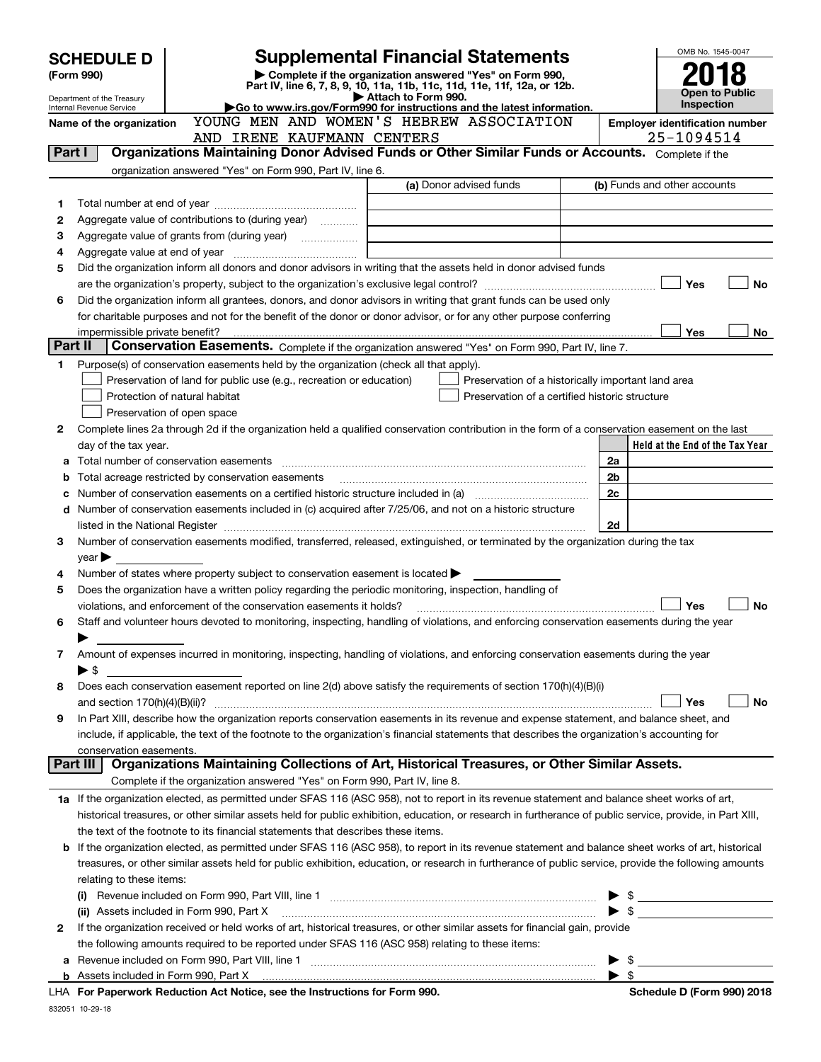|         | <b>Supplemental Financial Statements</b><br><b>SCHEDULE D</b> |                                                                                                                                |  |                                                                                                                                                                                                                               |  | OMB No. 1545-0047        |                                                     |
|---------|---------------------------------------------------------------|--------------------------------------------------------------------------------------------------------------------------------|--|-------------------------------------------------------------------------------------------------------------------------------------------------------------------------------------------------------------------------------|--|--------------------------|-----------------------------------------------------|
|         | (Form 990)                                                    |                                                                                                                                |  | Complete if the organization answered "Yes" on Form 990,<br>Part IV, line 6, 7, 8, 9, 10, 11a, 11b, 11c, 11d, 11e, 11f, 12a, or 12b.                                                                                          |  |                          |                                                     |
|         | Department of the Treasury                                    |                                                                                                                                |  | Attach to Form 990.                                                                                                                                                                                                           |  |                          | <b>Open to Public</b>                               |
|         | Internal Revenue Service                                      |                                                                                                                                |  | Go to www.irs.gov/Form990 for instructions and the latest information.                                                                                                                                                        |  |                          | Inspection                                          |
|         | Name of the organization                                      | YOUNG MEN AND WOMEN'S HEBREW ASSOCIATION<br>AND IRENE KAUFMANN CENTERS                                                         |  |                                                                                                                                                                                                                               |  |                          | <b>Employer identification number</b><br>25-1094514 |
| Part I  |                                                               |                                                                                                                                |  | Organizations Maintaining Donor Advised Funds or Other Similar Funds or Accounts. Complete if the                                                                                                                             |  |                          |                                                     |
|         |                                                               | organization answered "Yes" on Form 990, Part IV, line 6.                                                                      |  |                                                                                                                                                                                                                               |  |                          |                                                     |
|         |                                                               |                                                                                                                                |  | (a) Donor advised funds                                                                                                                                                                                                       |  |                          | (b) Funds and other accounts                        |
| 1       |                                                               |                                                                                                                                |  |                                                                                                                                                                                                                               |  |                          |                                                     |
| 2       |                                                               | Aggregate value of contributions to (during year)                                                                              |  |                                                                                                                                                                                                                               |  |                          |                                                     |
| з       |                                                               |                                                                                                                                |  |                                                                                                                                                                                                                               |  |                          |                                                     |
| 4       |                                                               |                                                                                                                                |  |                                                                                                                                                                                                                               |  |                          |                                                     |
| 5       |                                                               |                                                                                                                                |  | Did the organization inform all donors and donor advisors in writing that the assets held in donor advised funds                                                                                                              |  |                          |                                                     |
|         |                                                               |                                                                                                                                |  |                                                                                                                                                                                                                               |  |                          | Yes<br><b>No</b>                                    |
| 6       |                                                               |                                                                                                                                |  | Did the organization inform all grantees, donors, and donor advisors in writing that grant funds can be used only                                                                                                             |  |                          |                                                     |
|         |                                                               |                                                                                                                                |  | for charitable purposes and not for the benefit of the donor or donor advisor, or for any other purpose conferring                                                                                                            |  |                          |                                                     |
|         | impermissible private benefit?                                |                                                                                                                                |  |                                                                                                                                                                                                                               |  |                          | Yes<br>No                                           |
| Part II |                                                               |                                                                                                                                |  | Conservation Easements. Complete if the organization answered "Yes" on Form 990, Part IV, line 7.                                                                                                                             |  |                          |                                                     |
| 1       |                                                               | Purpose(s) of conservation easements held by the organization (check all that apply).                                          |  |                                                                                                                                                                                                                               |  |                          |                                                     |
|         |                                                               | Preservation of land for public use (e.g., recreation or education)                                                            |  | Preservation of a historically important land area                                                                                                                                                                            |  |                          |                                                     |
|         |                                                               | Protection of natural habitat                                                                                                  |  | Preservation of a certified historic structure                                                                                                                                                                                |  |                          |                                                     |
|         |                                                               | Preservation of open space                                                                                                     |  |                                                                                                                                                                                                                               |  |                          |                                                     |
| 2       |                                                               |                                                                                                                                |  | Complete lines 2a through 2d if the organization held a qualified conservation contribution in the form of a conservation easement on the last                                                                                |  |                          |                                                     |
|         | day of the tax year.                                          |                                                                                                                                |  |                                                                                                                                                                                                                               |  |                          | Held at the End of the Tax Year                     |
|         |                                                               | Total number of conservation easements                                                                                         |  |                                                                                                                                                                                                                               |  | 2a                       |                                                     |
| b       |                                                               |                                                                                                                                |  |                                                                                                                                                                                                                               |  | 2b                       |                                                     |
| c       |                                                               |                                                                                                                                |  | Number of conservation easements on a certified historic structure included in (a) manufacture included in (a)                                                                                                                |  | 2c                       |                                                     |
| d       |                                                               |                                                                                                                                |  | Number of conservation easements included in (c) acquired after 7/25/06, and not on a historic structure                                                                                                                      |  |                          |                                                     |
|         |                                                               |                                                                                                                                |  | listed in the National Register [11, 1200] [12] The National Register [11, 1200] [12] The National Register [11, 1200] [12] The National Register [11, 1200] [12] The National Register [11, 1200] [12] The National Register |  | 2d                       |                                                     |
| 3       |                                                               |                                                                                                                                |  | Number of conservation easements modified, transferred, released, extinguished, or terminated by the organization during the tax                                                                                              |  |                          |                                                     |
|         | $year \blacktriangleright$                                    |                                                                                                                                |  |                                                                                                                                                                                                                               |  |                          |                                                     |
| 4       |                                                               | Number of states where property subject to conservation easement is located $\blacktriangleright$                              |  |                                                                                                                                                                                                                               |  |                          |                                                     |
| 5       |                                                               |                                                                                                                                |  | Does the organization have a written policy regarding the periodic monitoring, inspection, handling of                                                                                                                        |  |                          |                                                     |
|         |                                                               | violations, and enforcement of the conservation easements it holds?                                                            |  |                                                                                                                                                                                                                               |  |                          | Yes<br><b>No</b>                                    |
| 6       |                                                               |                                                                                                                                |  | Staff and volunteer hours devoted to monitoring, inspecting, handling of violations, and enforcing conservation easements during the year                                                                                     |  |                          |                                                     |
|         |                                                               |                                                                                                                                |  |                                                                                                                                                                                                                               |  |                          |                                                     |
| 7       |                                                               |                                                                                                                                |  | Amount of expenses incurred in monitoring, inspecting, handling of violations, and enforcing conservation easements during the year                                                                                           |  |                          |                                                     |
| 8       | $\blacktriangleright$ S                                       |                                                                                                                                |  | Does each conservation easement reported on line 2(d) above satisfy the requirements of section 170(h)(4)(B)(i)                                                                                                               |  |                          |                                                     |
|         |                                                               |                                                                                                                                |  |                                                                                                                                                                                                                               |  |                          | Yes<br>No                                           |
| 9       |                                                               |                                                                                                                                |  | In Part XIII, describe how the organization reports conservation easements in its revenue and expense statement, and balance sheet, and                                                                                       |  |                          |                                                     |
|         |                                                               |                                                                                                                                |  | include, if applicable, the text of the footnote to the organization's financial statements that describes the organization's accounting for                                                                                  |  |                          |                                                     |
|         | conservation easements.                                       |                                                                                                                                |  |                                                                                                                                                                                                                               |  |                          |                                                     |
|         | Part III                                                      |                                                                                                                                |  | Organizations Maintaining Collections of Art, Historical Treasures, or Other Similar Assets.                                                                                                                                  |  |                          |                                                     |
|         |                                                               | Complete if the organization answered "Yes" on Form 990, Part IV, line 8.                                                      |  |                                                                                                                                                                                                                               |  |                          |                                                     |
|         |                                                               |                                                                                                                                |  | 1a If the organization elected, as permitted under SFAS 116 (ASC 958), not to report in its revenue statement and balance sheet works of art,                                                                                 |  |                          |                                                     |
|         |                                                               |                                                                                                                                |  | historical treasures, or other similar assets held for public exhibition, education, or research in furtherance of public service, provide, in Part XIII,                                                                     |  |                          |                                                     |
|         |                                                               | the text of the footnote to its financial statements that describes these items.                                               |  |                                                                                                                                                                                                                               |  |                          |                                                     |
|         |                                                               |                                                                                                                                |  | <b>b</b> If the organization elected, as permitted under SFAS 116 (ASC 958), to report in its revenue statement and balance sheet works of art, historical                                                                    |  |                          |                                                     |
|         |                                                               |                                                                                                                                |  | treasures, or other similar assets held for public exhibition, education, or research in furtherance of public service, provide the following amounts                                                                         |  |                          |                                                     |
|         | relating to these items:                                      |                                                                                                                                |  |                                                                                                                                                                                                                               |  |                          |                                                     |
|         |                                                               |                                                                                                                                |  | (i) Revenue included on Form 990, Part VIII, line 1 [1] [1] [1] [1] [1] [1] [1] [1] Revenue included on Form 990, Part VIII, line 1                                                                                           |  |                          | $\triangleright$ \$                                 |
|         |                                                               | (ii) Assets included in Form 990, Part X                                                                                       |  |                                                                                                                                                                                                                               |  |                          | $\bullet$ \$                                        |
| 2       |                                                               |                                                                                                                                |  | If the organization received or held works of art, historical treasures, or other similar assets for financial gain, provide                                                                                                  |  |                          |                                                     |
|         |                                                               |                                                                                                                                |  | the following amounts required to be reported under SFAS 116 (ASC 958) relating to these items:                                                                                                                               |  |                          |                                                     |
| а       |                                                               |                                                                                                                                |  |                                                                                                                                                                                                                               |  | $\blacktriangleright$ \$ |                                                     |
|         |                                                               |                                                                                                                                |  |                                                                                                                                                                                                                               |  | $\blacktriangleright$ \$ |                                                     |
|         |                                                               | $M_{\odot}$ and $\ddot{M}_{\odot}$ and $M_{\odot}$ are set of $\ddot{M}_{\odot}$ and $\ddot{M}_{\odot}$ and $\ddot{M}_{\odot}$ |  |                                                                                                                                                                                                                               |  |                          |                                                     |

**For Paperwork Reduction Act Notice, see the Instructions for Form 990. Schedule D (Form 990) 2018** LHA

832051 10-29-18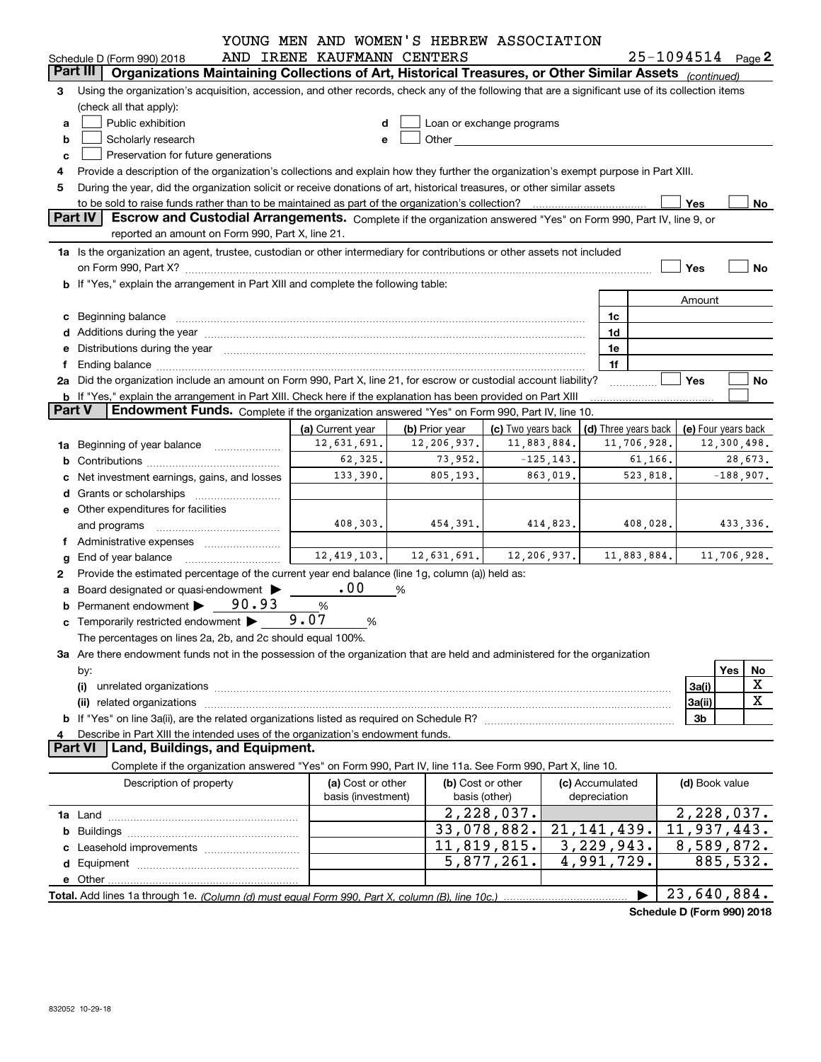|               |                                                                                                                                                                                                                                | YOUNG MEN AND WOMEN'S HEBREW ASSOCIATION |                |                                                                                                                                                                                                                               |              |                      |                       |             |
|---------------|--------------------------------------------------------------------------------------------------------------------------------------------------------------------------------------------------------------------------------|------------------------------------------|----------------|-------------------------------------------------------------------------------------------------------------------------------------------------------------------------------------------------------------------------------|--------------|----------------------|-----------------------|-------------|
|               | Schedule D (Form 990) 2018                                                                                                                                                                                                     | AND IRENE KAUFMANN CENTERS               |                |                                                                                                                                                                                                                               |              |                      | $25 - 1094514$ Page 2 |             |
|               | Part III<br>Organizations Maintaining Collections of Art, Historical Treasures, or Other Similar Assets (continued)                                                                                                            |                                          |                |                                                                                                                                                                                                                               |              |                      |                       |             |
| 3             | Using the organization's acquisition, accession, and other records, check any of the following that are a significant use of its collection items                                                                              |                                          |                |                                                                                                                                                                                                                               |              |                      |                       |             |
|               | (check all that apply):                                                                                                                                                                                                        |                                          |                |                                                                                                                                                                                                                               |              |                      |                       |             |
| a             | Public exhibition                                                                                                                                                                                                              |                                          |                | Loan or exchange programs                                                                                                                                                                                                     |              |                      |                       |             |
| b             | Scholarly research                                                                                                                                                                                                             |                                          |                | Other and the contract of the contract of the contract of the contract of the contract of the contract of the contract of the contract of the contract of the contract of the contract of the contract of the contract of the |              |                      |                       |             |
| с             | Preservation for future generations                                                                                                                                                                                            |                                          |                |                                                                                                                                                                                                                               |              |                      |                       |             |
|               | Provide a description of the organization's collections and explain how they further the organization's exempt purpose in Part XIII.                                                                                           |                                          |                |                                                                                                                                                                                                                               |              |                      |                       |             |
| 5             | During the year, did the organization solicit or receive donations of art, historical treasures, or other similar assets                                                                                                       |                                          |                |                                                                                                                                                                                                                               |              |                      | Yes                   | No          |
|               | <b>Part IV</b><br>Escrow and Custodial Arrangements. Complete if the organization answered "Yes" on Form 990, Part IV, line 9, or                                                                                              |                                          |                |                                                                                                                                                                                                                               |              |                      |                       |             |
|               | reported an amount on Form 990, Part X, line 21.                                                                                                                                                                               |                                          |                |                                                                                                                                                                                                                               |              |                      |                       |             |
|               | 1a Is the organization an agent, trustee, custodian or other intermediary for contributions or other assets not included                                                                                                       |                                          |                |                                                                                                                                                                                                                               |              |                      |                       |             |
|               |                                                                                                                                                                                                                                |                                          |                |                                                                                                                                                                                                                               |              |                      | Yes                   | No          |
|               | b If "Yes," explain the arrangement in Part XIII and complete the following table:                                                                                                                                             |                                          |                |                                                                                                                                                                                                                               |              |                      |                       |             |
|               |                                                                                                                                                                                                                                |                                          |                |                                                                                                                                                                                                                               |              |                      | Amount                |             |
|               | c Beginning balance measurements and the state of the state of the state of the state of the state of the state of the state of the state of the state of the state of the state of the state of the state of the state of the |                                          |                |                                                                                                                                                                                                                               |              | 1c                   |                       |             |
|               | d Additions during the year measurement contains and a state of the year.                                                                                                                                                      |                                          |                |                                                                                                                                                                                                                               |              | 1d                   |                       |             |
|               | e Distributions during the year manufactured and continuum and control of the control of the control of the control of the control of the control of the control of the control of the control of the control of the control o |                                          |                |                                                                                                                                                                                                                               |              | 1e                   |                       |             |
| f             |                                                                                                                                                                                                                                |                                          |                |                                                                                                                                                                                                                               |              | 1f                   |                       |             |
|               | 2a Did the organization include an amount on Form 990, Part X, line 21, for escrow or custodial account liability?                                                                                                             |                                          |                |                                                                                                                                                                                                                               |              |                      | Yes                   | No          |
|               | b If "Yes," explain the arrangement in Part XIII. Check here if the explanation has been provided on Part XIII                                                                                                                 |                                          |                |                                                                                                                                                                                                                               |              |                      |                       |             |
| <b>Part V</b> | <b>Endowment Funds.</b> Complete if the organization answered "Yes" on Form 990, Part IV, line 10.                                                                                                                             |                                          |                |                                                                                                                                                                                                                               |              |                      |                       |             |
|               |                                                                                                                                                                                                                                | (a) Current year                         | (b) Prior year | (c) Two years back                                                                                                                                                                                                            |              | (d) Three years back | (e) Four years back   |             |
|               | 1a Beginning of year balance                                                                                                                                                                                                   | 12,631,691.                              | 12,206,937.    | 11,883,884.                                                                                                                                                                                                                   |              | 11,706,928.          |                       | 12,300,498. |
| b             |                                                                                                                                                                                                                                | 62,325.                                  | 73,952.        | $-125, 143.$                                                                                                                                                                                                                  |              | 61,166.              |                       | 28,673.     |
| с             | Net investment earnings, gains, and losses                                                                                                                                                                                     | 133,390.                                 | 805,193.       | 863,019.                                                                                                                                                                                                                      |              | 523,818.             |                       | $-188,907.$ |
|               |                                                                                                                                                                                                                                |                                          |                |                                                                                                                                                                                                                               |              |                      |                       |             |
|               | e Other expenditures for facilities                                                                                                                                                                                            |                                          |                |                                                                                                                                                                                                                               |              |                      |                       |             |
|               | and programs                                                                                                                                                                                                                   | 408,303.                                 | 454,391.       | 414,823.                                                                                                                                                                                                                      |              | 408,028.             |                       | 433,336.    |
|               |                                                                                                                                                                                                                                |                                          |                |                                                                                                                                                                                                                               |              |                      |                       |             |
| g             |                                                                                                                                                                                                                                | 12,419,103.                              | 12,631,691.    | 12,206,937.                                                                                                                                                                                                                   |              | 11,883,884.          |                       | 11,706,928. |
| 2             | Provide the estimated percentage of the current year end balance (line 1g, column (a)) held as:                                                                                                                                |                                          |                |                                                                                                                                                                                                                               |              |                      |                       |             |
|               | a Board designated or quasi-endowment >                                                                                                                                                                                        | .00                                      | %              |                                                                                                                                                                                                                               |              |                      |                       |             |
|               | Permanent endowment > 90.93                                                                                                                                                                                                    | $\%$                                     |                |                                                                                                                                                                                                                               |              |                      |                       |             |
|               | <b>c</b> Temporarily restricted endowment $\blacktriangleright$                                                                                                                                                                | 9.07<br>%                                |                |                                                                                                                                                                                                                               |              |                      |                       |             |
|               | The percentages on lines 2a, 2b, and 2c should equal 100%.                                                                                                                                                                     |                                          |                |                                                                                                                                                                                                                               |              |                      |                       |             |
|               | 3a Are there endowment funds not in the possession of the organization that are held and administered for the organization                                                                                                     |                                          |                |                                                                                                                                                                                                                               |              |                      |                       |             |
|               | by:                                                                                                                                                                                                                            |                                          |                |                                                                                                                                                                                                                               |              |                      |                       | Yes<br>No   |
|               | (i)                                                                                                                                                                                                                            |                                          |                |                                                                                                                                                                                                                               |              |                      | 3a(i)                 | X           |
|               |                                                                                                                                                                                                                                |                                          |                |                                                                                                                                                                                                                               |              |                      | 3a(ii)                | X           |
|               |                                                                                                                                                                                                                                |                                          |                |                                                                                                                                                                                                                               |              |                      | 3b                    |             |
| 4             | Describe in Part XIII the intended uses of the organization's endowment funds.                                                                                                                                                 |                                          |                |                                                                                                                                                                                                                               |              |                      |                       |             |
|               | <b>Part VI</b><br>Land, Buildings, and Equipment.                                                                                                                                                                              |                                          |                |                                                                                                                                                                                                                               |              |                      |                       |             |
|               | Complete if the organization answered "Yes" on Form 990, Part IV, line 11a. See Form 990, Part X, line 10.                                                                                                                     |                                          |                |                                                                                                                                                                                                                               |              |                      |                       |             |
|               | Description of property                                                                                                                                                                                                        | (a) Cost or other<br>basis (investment)  | basis (other)  | (b) Cost or other                                                                                                                                                                                                             | depreciation | (c) Accumulated      | (d) Book value        |             |
|               |                                                                                                                                                                                                                                |                                          |                | 2,228,037.                                                                                                                                                                                                                    |              |                      | 2,228,037.            |             |
| b             |                                                                                                                                                                                                                                |                                          |                | 33,078,882.                                                                                                                                                                                                                   |              | 21, 141, 439.        | 11,937,443.           |             |
| с             |                                                                                                                                                                                                                                |                                          |                | 11,819,815.                                                                                                                                                                                                                   |              | 3, 229, 943.         | 8,589,872.            |             |
| d             |                                                                                                                                                                                                                                |                                          |                | 5,877,261.                                                                                                                                                                                                                    |              | 4,991,729.           |                       | 885,532.    |
|               |                                                                                                                                                                                                                                |                                          |                |                                                                                                                                                                                                                               |              |                      |                       |             |
|               |                                                                                                                                                                                                                                |                                          |                |                                                                                                                                                                                                                               |              |                      | 23,640,884.           |             |
|               |                                                                                                                                                                                                                                |                                          |                |                                                                                                                                                                                                                               |              |                      |                       |             |

**Schedule D (Form 990) 2018**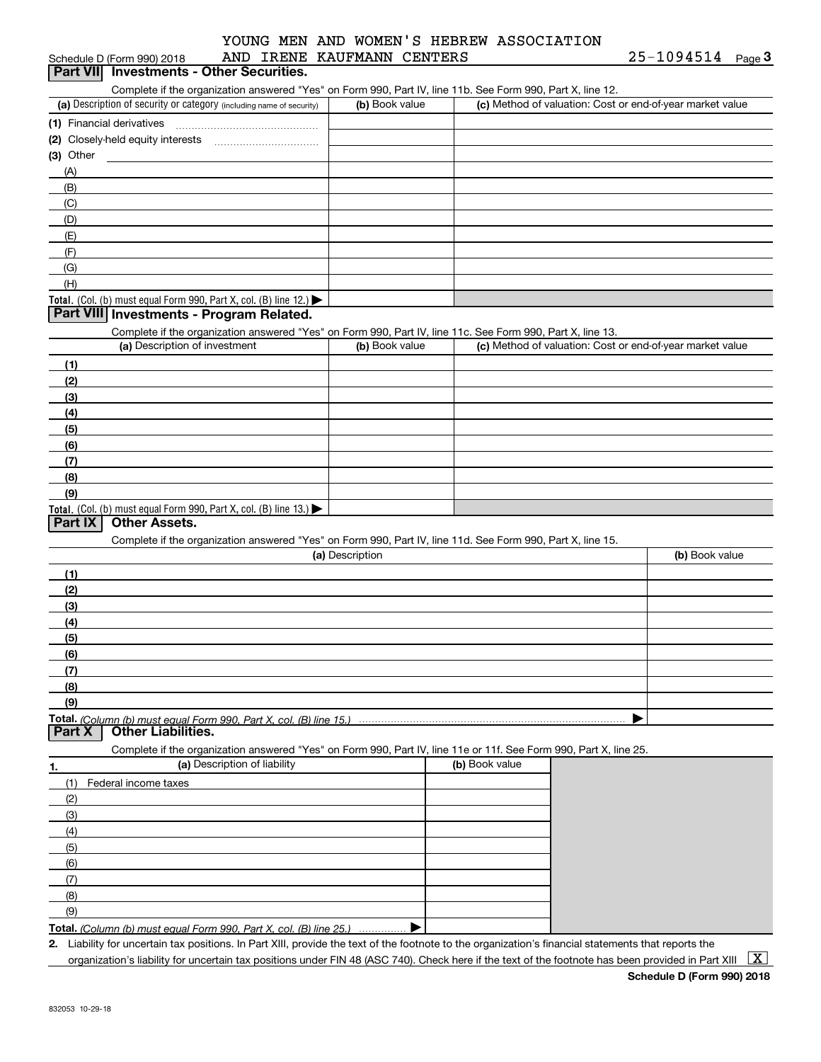| Schedule D (Form 990) 2018                                                                                        | AND IRENE KAUFMANN CENTERS |                                                           | 25-1094514<br>Page 3 |
|-------------------------------------------------------------------------------------------------------------------|----------------------------|-----------------------------------------------------------|----------------------|
| Part VII Investments - Other Securities.                                                                          |                            |                                                           |                      |
| Complete if the organization answered "Yes" on Form 990, Part IV, line 11b. See Form 990, Part X, line 12.        |                            |                                                           |                      |
| (a) Description of security or category (including name of security)                                              | (b) Book value             | (c) Method of valuation: Cost or end-of-year market value |                      |
|                                                                                                                   |                            |                                                           |                      |
|                                                                                                                   |                            |                                                           |                      |
| (3) Other                                                                                                         |                            |                                                           |                      |
| (A)                                                                                                               |                            |                                                           |                      |
| (B)                                                                                                               |                            |                                                           |                      |
| (C)                                                                                                               |                            |                                                           |                      |
| (D)                                                                                                               |                            |                                                           |                      |
| (E)                                                                                                               |                            |                                                           |                      |
| (F)                                                                                                               |                            |                                                           |                      |
| (G)                                                                                                               |                            |                                                           |                      |
| (H)                                                                                                               |                            |                                                           |                      |
| Total. (Col. (b) must equal Form 990, Part X, col. (B) line 12.)                                                  |                            |                                                           |                      |
| Part VIII Investments - Program Related.                                                                          |                            |                                                           |                      |
| Complete if the organization answered "Yes" on Form 990, Part IV, line 11c. See Form 990, Part X, line 13.        |                            |                                                           |                      |
| (a) Description of investment                                                                                     | (b) Book value             | (c) Method of valuation: Cost or end-of-year market value |                      |
| (1)                                                                                                               |                            |                                                           |                      |
| (2)                                                                                                               |                            |                                                           |                      |
| (3)                                                                                                               |                            |                                                           |                      |
| (4)                                                                                                               |                            |                                                           |                      |
| (5)                                                                                                               |                            |                                                           |                      |
| (6)                                                                                                               |                            |                                                           |                      |
| (7)                                                                                                               |                            |                                                           |                      |
| (8)                                                                                                               |                            |                                                           |                      |
| (9)                                                                                                               |                            |                                                           |                      |
| Total. (Col. (b) must equal Form 990, Part X, col. (B) line 13.)                                                  |                            |                                                           |                      |
| <b>Other Assets.</b><br>Part IX                                                                                   |                            |                                                           |                      |
| Complete if the organization answered "Yes" on Form 990, Part IV, line 11d. See Form 990, Part X, line 15.        |                            |                                                           |                      |
|                                                                                                                   | (a) Description            |                                                           | (b) Book value       |
| (1)                                                                                                               |                            |                                                           |                      |
|                                                                                                                   |                            |                                                           |                      |
| (2)                                                                                                               |                            |                                                           |                      |
| (3)                                                                                                               |                            |                                                           |                      |
| (4)                                                                                                               |                            |                                                           |                      |
| (5)                                                                                                               |                            |                                                           |                      |
| (6)                                                                                                               |                            |                                                           |                      |
| (7)                                                                                                               |                            |                                                           |                      |
| (8)                                                                                                               |                            |                                                           |                      |
| (9)                                                                                                               |                            |                                                           |                      |
| Total. (Column (b) must equal Form 990. Part X, col. (B) line 15.)<br><b>Other Liabilities.</b><br>Part X         |                            |                                                           |                      |
|                                                                                                                   |                            |                                                           |                      |
| Complete if the organization answered "Yes" on Form 990, Part IV, line 11e or 11f. See Form 990, Part X, line 25. |                            |                                                           |                      |
| (a) Description of liability<br>1.                                                                                |                            | (b) Book value                                            |                      |
| (1)<br>Federal income taxes                                                                                       |                            |                                                           |                      |
| (2)                                                                                                               |                            |                                                           |                      |
| (3)                                                                                                               |                            |                                                           |                      |
| (4)                                                                                                               |                            |                                                           |                      |
| (5)                                                                                                               |                            |                                                           |                      |
| (6)                                                                                                               |                            |                                                           |                      |
| (7)                                                                                                               |                            |                                                           |                      |
| (8)                                                                                                               |                            |                                                           |                      |
| (9)                                                                                                               |                            |                                                           |                      |
| T <b>otal.</b> (Column (b) must equal Form 990. Part X, col. (B) line 25.)                                        |                            |                                                           |                      |
|                                                                                                                   |                            |                                                           |                      |

**2.** Liability for uncertain tax positions. In Part XIII, provide the text of the footnote to the organization's financial statements that reports the organization's liability for uncertain tax positions under FIN 48 (ASC 740). Check here if the text of the footnote has been provided in Part XIII  $~\boxed{\rm X}$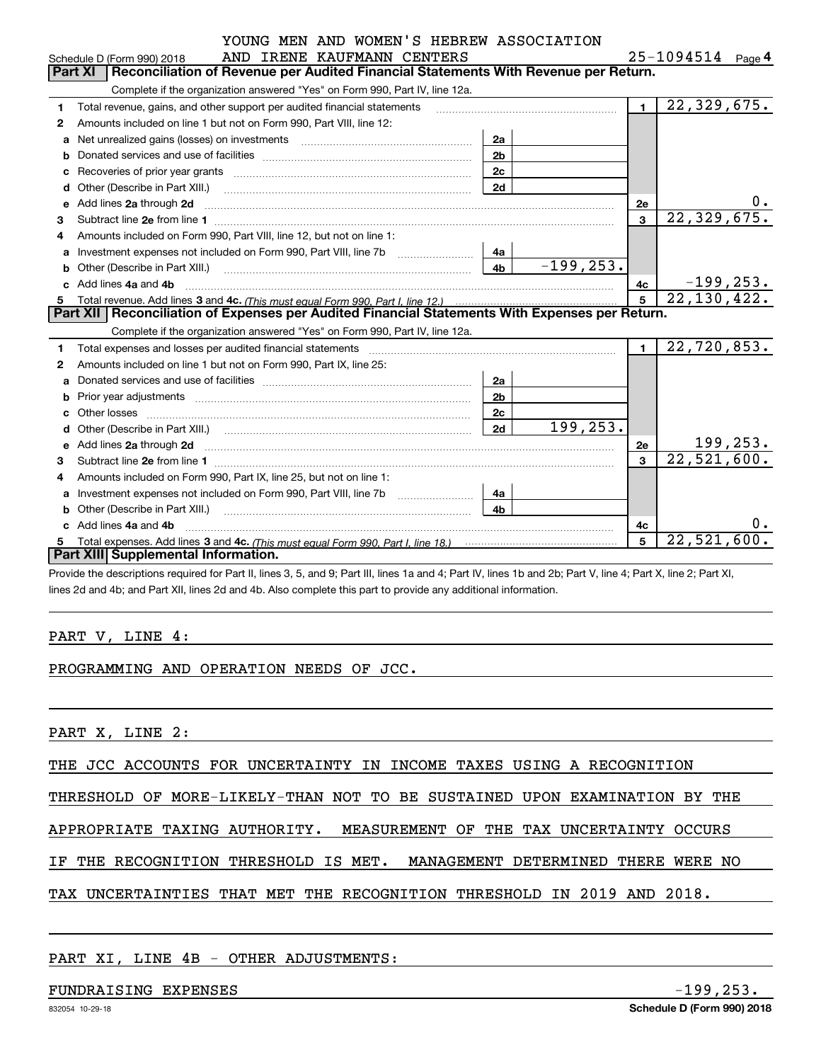|  |  |  | YOUNG MEN AND WOMEN'S HEBREW ASSOCIATION |
|--|--|--|------------------------------------------|
|  |  |  |                                          |

|    | AND IRENE KAUFMANN CENTERS<br>Schedule D (Form 990) 2018                                                                                                                                                                                          |                | $25 - 1094514$ Page 4 |
|----|---------------------------------------------------------------------------------------------------------------------------------------------------------------------------------------------------------------------------------------------------|----------------|-----------------------|
|    | Part XI<br>Reconciliation of Revenue per Audited Financial Statements With Revenue per Return.                                                                                                                                                    |                |                       |
|    | Complete if the organization answered "Yes" on Form 990, Part IV, line 12a.                                                                                                                                                                       |                |                       |
| 1  | Total revenue, gains, and other support per audited financial statements                                                                                                                                                                          | $\blacksquare$ | 22, 329, 675.         |
| 2  | Amounts included on line 1 but not on Form 990, Part VIII, line 12:                                                                                                                                                                               |                |                       |
| a  | Net unrealized gains (losses) on investments [11] matter contracts and the unrealized gains (losses) on investments<br>2a                                                                                                                         |                |                       |
|    | 2 <sub>b</sub>                                                                                                                                                                                                                                    |                |                       |
| C  | 2c                                                                                                                                                                                                                                                |                |                       |
| d  | 2d                                                                                                                                                                                                                                                |                |                       |
| е  | Add lines 2a through 2d                                                                                                                                                                                                                           | <b>2e</b>      | 0.                    |
| з  |                                                                                                                                                                                                                                                   | 3              | 22, 329, 675.         |
| 4  | Amounts included on Form 990, Part VIII, line 12, but not on line 1:                                                                                                                                                                              |                |                       |
| a  | 4a                                                                                                                                                                                                                                                |                |                       |
| b  | $-199, 253.$<br>4 <sub>b</sub><br>Other (Describe in Part XIII.) [100] [100] [100] [100] [100] [100] [100] [100] [100] [100] [100] [100] [100] [                                                                                                  |                |                       |
|    | Add lines 4a and 4b                                                                                                                                                                                                                               | 4с             | $-199, 253.$          |
| 5. |                                                                                                                                                                                                                                                   | $\overline{5}$ | 22, 130, 422.         |
|    | Part XII   Reconciliation of Expenses per Audited Financial Statements With Expenses per Return.                                                                                                                                                  |                |                       |
|    | Complete if the organization answered "Yes" on Form 990, Part IV, line 12a.                                                                                                                                                                       |                |                       |
| 1  | Total expenses and losses per audited financial statements [11, 11] manuscription control expenses and losses per audited financial statements [11] manuscription of the statements [11] manuscription of the statements [11]                     | $\mathbf{1}$   | 22,720,853.           |
| 2  | Amounts included on line 1 but not on Form 990, Part IX, line 25:                                                                                                                                                                                 |                |                       |
| a  | 2a                                                                                                                                                                                                                                                |                |                       |
| b  | 2 <sub>b</sub>                                                                                                                                                                                                                                    |                |                       |
| C  | 2 <sub>c</sub>                                                                                                                                                                                                                                    |                |                       |
|    | 199, 253.<br>2d<br>Other (Describe in Part XIII.) (2000) (2000) (2000) (2000) (2000) (2000) (2000) (2000) (2000) (2000) (2000) (2000) (2000) (2000) (2000) (2000) (2000) (2000) (2000) (2000) (2000) (2000) (2000) (2000) (2000) (2000) (2000) (2 |                |                       |
| е  | Add lines 2a through 2d <b>must be a constructed as the constant of the S</b> and the S a through 2d must be a series that the series of the series of the series of the series of the series of the series of the series of the se               | 2е             | 199, 253.             |
| з  |                                                                                                                                                                                                                                                   | $\mathbf{a}$   | 22,521,600.           |
| 4  | Amounts included on Form 990, Part IX, line 25, but not on line 1:                                                                                                                                                                                |                |                       |
| a  | 4a                                                                                                                                                                                                                                                |                |                       |
|    | 4 <sub>b</sub>                                                                                                                                                                                                                                    |                |                       |
|    | Add lines 4a and 4b                                                                                                                                                                                                                               | 4с             | 0.                    |
| 5  | Part XIII Supplemental Information.                                                                                                                                                                                                               | 5              | 22,521,600.           |
|    |                                                                                                                                                                                                                                                   |                |                       |

Provide the descriptions required for Part II, lines 3, 5, and 9; Part III, lines 1a and 4; Part IV, lines 1b and 2b; Part V, line 4; Part X, line 2; Part XI, lines 2d and 4b; and Part XII, lines 2d and 4b. Also complete this part to provide any additional information.

#### PART V, LINE 4:

#### PROGRAMMING AND OPERATION NEEDS OF JCC.

PART X, LINE 2:

THE JCC ACCOUNTS FOR UNCERTAINTY IN INCOME TAXES USING A RECOGNITION

THRESHOLD OF MORE-LIKELY-THAN NOT TO BE SUSTAINED UPON EXAMINATION BY THE

APPROPRIATE TAXING AUTHORITY. MEASUREMENT OF THE TAX UNCERTAINTY OCCURS

IF THE RECOGNITION THRESHOLD IS MET. MANAGEMENT DETERMINED THERE WERE NO

TAX UNCERTAINTIES THAT MET THE RECOGNITION THRESHOLD IN 2019 AND 2018.

#### PART XI, LINE 4B - OTHER ADJUSTMENTS:

#### FUNDRAISING EXPENSES  $-199,253$ .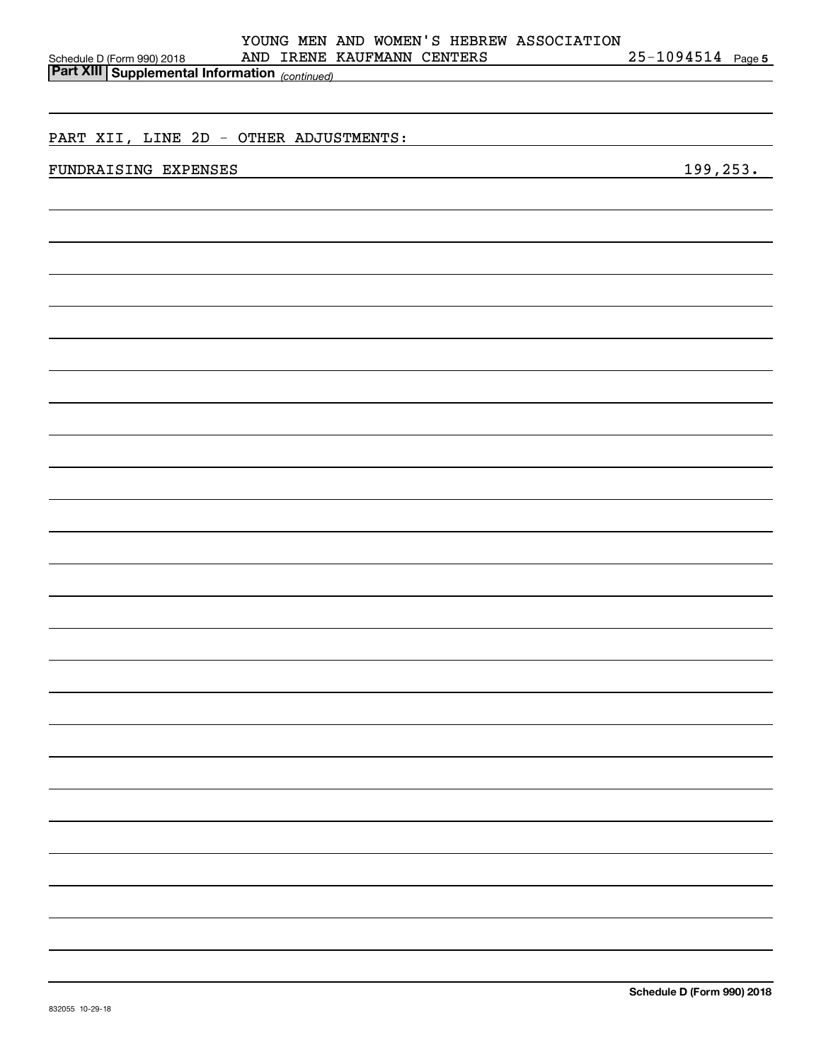| YOUNG MEN AND WOMEN'S HEBREW ASSOCIATION                                                                                                                                                                                                              |                   |
|-------------------------------------------------------------------------------------------------------------------------------------------------------------------------------------------------------------------------------------------------------|-------------------|
| AND IRENE KAUFMANN CENTERS<br>Schedule D (Form 990) 2018 AND IRENE 1<br>Part XIII Supplemental Information (continued)                                                                                                                                | 25-1094514 Page 5 |
|                                                                                                                                                                                                                                                       |                   |
|                                                                                                                                                                                                                                                       |                   |
| PART XII, LINE 2D - OTHER ADJUSTMENTS:                                                                                                                                                                                                                |                   |
| FUNDRAISING EXPENSES<br>the control of the control of the control of the control of the control of the control of the control of the control of the control of the control of the control of the control of the control of the control of the control | 199,253.          |
|                                                                                                                                                                                                                                                       |                   |
|                                                                                                                                                                                                                                                       |                   |
|                                                                                                                                                                                                                                                       |                   |
|                                                                                                                                                                                                                                                       |                   |
|                                                                                                                                                                                                                                                       |                   |
|                                                                                                                                                                                                                                                       |                   |
|                                                                                                                                                                                                                                                       |                   |
|                                                                                                                                                                                                                                                       |                   |
|                                                                                                                                                                                                                                                       |                   |
|                                                                                                                                                                                                                                                       |                   |
|                                                                                                                                                                                                                                                       |                   |
|                                                                                                                                                                                                                                                       |                   |
|                                                                                                                                                                                                                                                       |                   |
|                                                                                                                                                                                                                                                       |                   |
|                                                                                                                                                                                                                                                       |                   |
|                                                                                                                                                                                                                                                       |                   |
|                                                                                                                                                                                                                                                       |                   |
|                                                                                                                                                                                                                                                       |                   |
|                                                                                                                                                                                                                                                       |                   |
|                                                                                                                                                                                                                                                       |                   |
|                                                                                                                                                                                                                                                       |                   |
|                                                                                                                                                                                                                                                       |                   |
|                                                                                                                                                                                                                                                       |                   |
|                                                                                                                                                                                                                                                       |                   |
|                                                                                                                                                                                                                                                       |                   |
|                                                                                                                                                                                                                                                       |                   |
|                                                                                                                                                                                                                                                       |                   |
|                                                                                                                                                                                                                                                       |                   |
|                                                                                                                                                                                                                                                       |                   |
|                                                                                                                                                                                                                                                       |                   |
|                                                                                                                                                                                                                                                       |                   |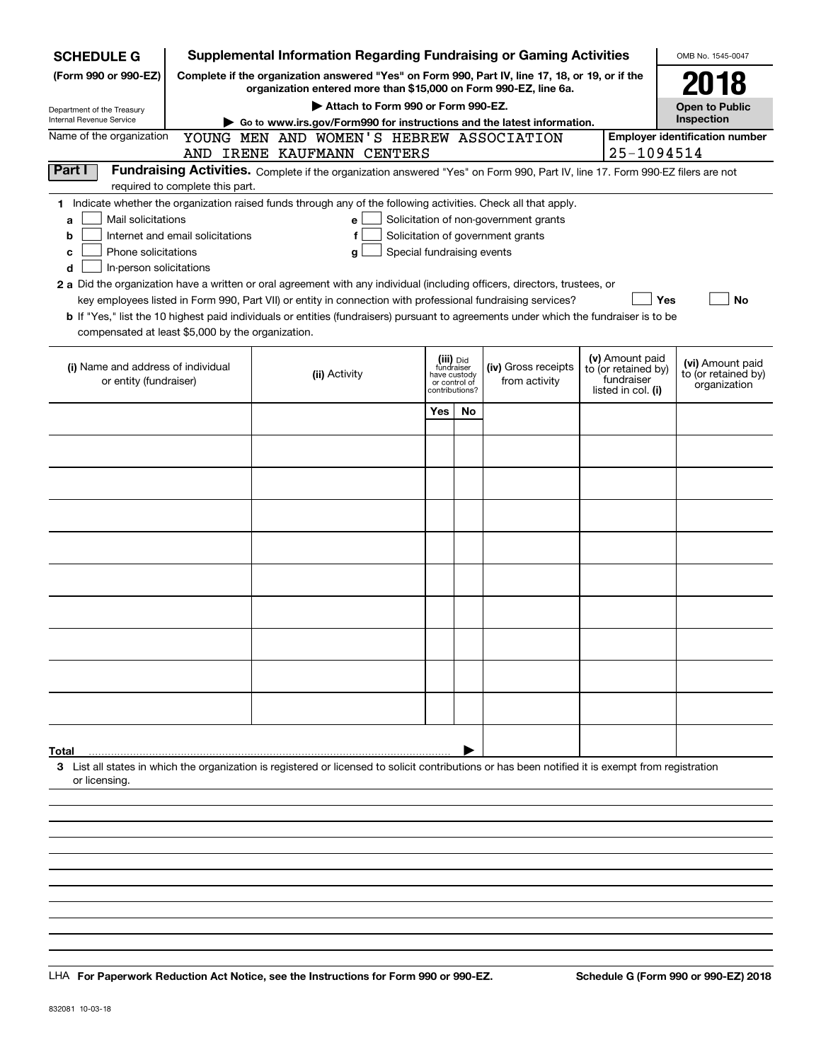| <b>SCHEDULE G</b>                                 |                                                                                   | <b>Supplemental Information Regarding Fundraising or Gaming Activities</b>                                                                                          |                            |                               |                                       |  |                                        | OMB No. 1545-0047                   |  |  |
|---------------------------------------------------|-----------------------------------------------------------------------------------|---------------------------------------------------------------------------------------------------------------------------------------------------------------------|----------------------------|-------------------------------|---------------------------------------|--|----------------------------------------|-------------------------------------|--|--|
| (Form 990 or 990-EZ)                              |                                                                                   | Complete if the organization answered "Yes" on Form 990, Part IV, line 17, 18, or 19, or if the<br>organization entered more than \$15,000 on Form 990-EZ, line 6a. |                            |                               |                                       |  |                                        | 2018                                |  |  |
| Department of the Treasury                        |                                                                                   | Attach to Form 990 or Form 990-EZ.                                                                                                                                  |                            |                               |                                       |  |                                        | <b>Open to Public</b>               |  |  |
| Internal Revenue Service                          | Go to www.irs.gov/Form990 for instructions and the latest information.            |                                                                                                                                                                     | Inspection                 |                               |                                       |  |                                        |                                     |  |  |
| Name of the organization                          | <b>Employer identification number</b><br>YOUNG MEN AND WOMEN'S HEBREW ASSOCIATION |                                                                                                                                                                     |                            |                               |                                       |  |                                        |                                     |  |  |
|                                                   |                                                                                   | AND IRENE KAUFMANN CENTERS                                                                                                                                          |                            |                               |                                       |  | 25-1094514                             |                                     |  |  |
| Part I                                            | required to complete this part.                                                   | Fundraising Activities. Complete if the organization answered "Yes" on Form 990, Part IV, line 17. Form 990-EZ filers are not                                       |                            |                               |                                       |  |                                        |                                     |  |  |
|                                                   |                                                                                   | 1 Indicate whether the organization raised funds through any of the following activities. Check all that apply.                                                     |                            |                               |                                       |  |                                        |                                     |  |  |
| Mail solicitations<br>a                           |                                                                                   | е                                                                                                                                                                   |                            |                               | Solicitation of non-government grants |  |                                        |                                     |  |  |
| b                                                 | Internet and email solicitations                                                  | f                                                                                                                                                                   |                            |                               | Solicitation of government grants     |  |                                        |                                     |  |  |
| Phone solicitations<br>c                          |                                                                                   | g                                                                                                                                                                   | Special fundraising events |                               |                                       |  |                                        |                                     |  |  |
| In-person solicitations<br>d                      |                                                                                   |                                                                                                                                                                     |                            |                               |                                       |  |                                        |                                     |  |  |
|                                                   |                                                                                   | 2 a Did the organization have a written or oral agreement with any individual (including officers, directors, trustees, or                                          |                            |                               |                                       |  |                                        |                                     |  |  |
|                                                   |                                                                                   | key employees listed in Form 990, Part VII) or entity in connection with professional fundraising services?                                                         |                            |                               |                                       |  | Yes                                    | No                                  |  |  |
|                                                   |                                                                                   | <b>b</b> If "Yes," list the 10 highest paid individuals or entities (fundraisers) pursuant to agreements under which the fundraiser is to be                        |                            |                               |                                       |  |                                        |                                     |  |  |
| compensated at least \$5,000 by the organization. |                                                                                   |                                                                                                                                                                     |                            |                               |                                       |  |                                        |                                     |  |  |
|                                                   |                                                                                   |                                                                                                                                                                     |                            |                               |                                       |  |                                        |                                     |  |  |
| (i) Name and address of individual                |                                                                                   |                                                                                                                                                                     |                            | (iii) Did<br>fundraiser       | (iv) Gross receipts                   |  | (v) Amount paid<br>to (or retained by) | (vi) Amount paid                    |  |  |
| or entity (fundraiser)                            |                                                                                   | (ii) Activity                                                                                                                                                       |                            | have custody<br>or control of | from activity                         |  | fundraiser                             | to (or retained by)<br>organization |  |  |
|                                                   |                                                                                   |                                                                                                                                                                     |                            | contributions?                |                                       |  | listed in col. (i)                     |                                     |  |  |
|                                                   |                                                                                   |                                                                                                                                                                     | Yes                        | <b>No</b>                     |                                       |  |                                        |                                     |  |  |
|                                                   |                                                                                   |                                                                                                                                                                     |                            |                               |                                       |  |                                        |                                     |  |  |
|                                                   |                                                                                   |                                                                                                                                                                     |                            |                               |                                       |  |                                        |                                     |  |  |
|                                                   |                                                                                   |                                                                                                                                                                     |                            |                               |                                       |  |                                        |                                     |  |  |
|                                                   |                                                                                   |                                                                                                                                                                     |                            |                               |                                       |  |                                        |                                     |  |  |
|                                                   |                                                                                   |                                                                                                                                                                     |                            |                               |                                       |  |                                        |                                     |  |  |
|                                                   |                                                                                   |                                                                                                                                                                     |                            |                               |                                       |  |                                        |                                     |  |  |
|                                                   |                                                                                   |                                                                                                                                                                     |                            |                               |                                       |  |                                        |                                     |  |  |
|                                                   |                                                                                   |                                                                                                                                                                     |                            |                               |                                       |  |                                        |                                     |  |  |
|                                                   |                                                                                   |                                                                                                                                                                     |                            |                               |                                       |  |                                        |                                     |  |  |
|                                                   |                                                                                   |                                                                                                                                                                     |                            |                               |                                       |  |                                        |                                     |  |  |
|                                                   |                                                                                   |                                                                                                                                                                     |                            |                               |                                       |  |                                        |                                     |  |  |
|                                                   |                                                                                   |                                                                                                                                                                     |                            |                               |                                       |  |                                        |                                     |  |  |
|                                                   |                                                                                   |                                                                                                                                                                     |                            |                               |                                       |  |                                        |                                     |  |  |
|                                                   |                                                                                   |                                                                                                                                                                     |                            |                               |                                       |  |                                        |                                     |  |  |
|                                                   |                                                                                   |                                                                                                                                                                     |                            |                               |                                       |  |                                        |                                     |  |  |
|                                                   |                                                                                   |                                                                                                                                                                     |                            |                               |                                       |  |                                        |                                     |  |  |
|                                                   |                                                                                   |                                                                                                                                                                     |                            |                               |                                       |  |                                        |                                     |  |  |
|                                                   |                                                                                   |                                                                                                                                                                     |                            |                               |                                       |  |                                        |                                     |  |  |
|                                                   |                                                                                   |                                                                                                                                                                     |                            |                               |                                       |  |                                        |                                     |  |  |
| Total                                             |                                                                                   |                                                                                                                                                                     |                            |                               |                                       |  |                                        |                                     |  |  |
| or licensing.                                     |                                                                                   | 3 List all states in which the organization is registered or licensed to solicit contributions or has been notified it is exempt from registration                  |                            |                               |                                       |  |                                        |                                     |  |  |
|                                                   |                                                                                   |                                                                                                                                                                     |                            |                               |                                       |  |                                        |                                     |  |  |
|                                                   |                                                                                   |                                                                                                                                                                     |                            |                               |                                       |  |                                        |                                     |  |  |
|                                                   |                                                                                   |                                                                                                                                                                     |                            |                               |                                       |  |                                        |                                     |  |  |
|                                                   |                                                                                   |                                                                                                                                                                     |                            |                               |                                       |  |                                        |                                     |  |  |
|                                                   |                                                                                   |                                                                                                                                                                     |                            |                               |                                       |  |                                        |                                     |  |  |

LHA For Paperwork Reduction Act Notice, see the Instructions for Form 990 or 990-EZ. Schedule G (Form 990 or 990-EZ) 2018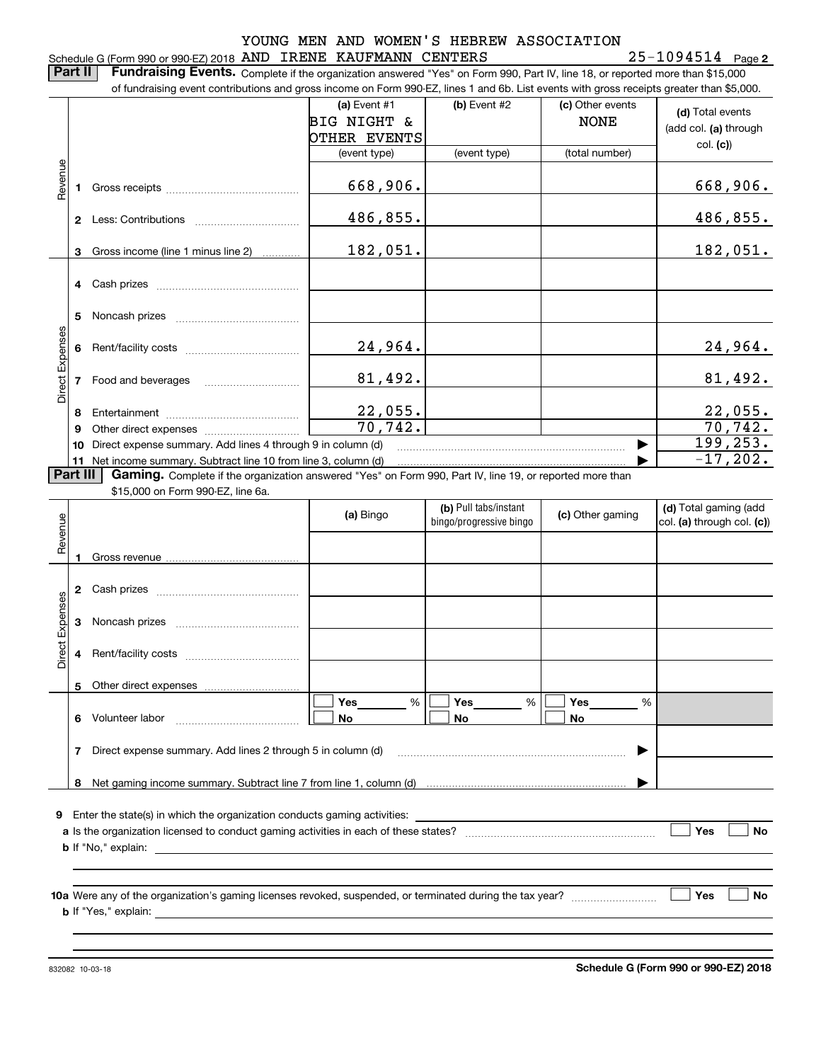#### Schedule G (Form 990 or 990-EZ) 2018 Page AND IRENE KAUFMANN CENTERS 25-1094514

**2**

**(d)**  Total events **(a) (a)** Event  $#1$  **(b)** Event  $#2$ **Part II** | Fundraising Events. Complete if the organization answered "Yes" on Form 990, Part IV, line 18, or reported more than \$15,000 of fundraising event contributions and gross income on Form 990-EZ, lines 1 and 6b. List events with gross receipts greater than \$5,000. (add col. **(a)** through (c) Other events BIG NIGHT & NONE

|                 |    |                                                                                        | OTHER EVENTS |              |                | (add col. (a) through |
|-----------------|----|----------------------------------------------------------------------------------------|--------------|--------------|----------------|-----------------------|
|                 |    |                                                                                        | (event type) | (event type) | (total number) | col. (c)              |
|                 |    |                                                                                        |              |              |                |                       |
| Revenue         |    |                                                                                        | 668,906.     |              |                | 668,906.              |
|                 |    | Less: Contributions                                                                    | 486,855.     |              |                | 486,855.              |
|                 | 3  | Gross income (line 1 minus line 2)                                                     | 182,051.     |              |                | 182,051.              |
|                 |    |                                                                                        |              |              |                |                       |
|                 |    |                                                                                        |              |              |                |                       |
|                 | 5  | Noncash prizes                                                                         |              |              |                |                       |
|                 |    |                                                                                        |              |              |                |                       |
|                 |    |                                                                                        | 24,964.      |              |                | 24,964.               |
| Direct Expenses |    | Food and beverages                                                                     | 81,492.      |              |                | 81,492.               |
|                 |    |                                                                                        |              |              |                |                       |
|                 | 8  |                                                                                        | 22,055.      |              |                | 22,055.               |
|                 |    | Other direct expenses <i>manually contained</i>                                        | 70, 742.     |              |                | 70, 742.              |
|                 | 10 | Direct expense summary. Add lines 4 through 9 in column (d)                            |              |              |                | 199, 253.             |
|                 |    | 11 Net income summary. Subtract line 10 from line 3, column (d)<br>$B - I$ III $A - I$ |              |              |                | $-17,202.$            |

**Part III | Gaming.** Complete if the organization answered "Yes" on Form 990, Part IV, line 19, or reported more than

\$15,000 on Form 990-EZ, line 6a.

|                 |              |                                                                                                                                   | (a) Bingo           | (b) Pull tabs/instant<br>bingo/progressive bingo | (c) Other gaming | (d) Total gaming (add<br>col. (a) through col. (c)) |
|-----------------|--------------|-----------------------------------------------------------------------------------------------------------------------------------|---------------------|--------------------------------------------------|------------------|-----------------------------------------------------|
| Revenue         |              |                                                                                                                                   |                     |                                                  |                  |                                                     |
|                 | $\mathbf{2}$ |                                                                                                                                   |                     |                                                  |                  |                                                     |
|                 | 3            |                                                                                                                                   |                     |                                                  |                  |                                                     |
| Direct Expenses | 4            |                                                                                                                                   |                     |                                                  |                  |                                                     |
|                 |              |                                                                                                                                   |                     |                                                  |                  |                                                     |
|                 | 6            |                                                                                                                                   | Yes________ %<br>No | $Yes$ %<br><b>No</b>                             | %<br><b>No</b>   |                                                     |
|                 | 7            | Direct expense summary. Add lines 2 through 5 in column (d) [11] manuscription continuum manuscription of Direct expense summary. |                     |                                                  |                  |                                                     |
|                 | 8            |                                                                                                                                   |                     |                                                  |                  |                                                     |
| 9               |              |                                                                                                                                   |                     |                                                  |                  |                                                     |
|                 |              |                                                                                                                                   |                     |                                                  |                  | Yes<br><b>No</b>                                    |
|                 |              |                                                                                                                                   |                     |                                                  |                  |                                                     |
|                 |              |                                                                                                                                   |                     |                                                  |                  | <b>No</b><br>Yes                                    |
|                 |              |                                                                                                                                   |                     |                                                  |                  |                                                     |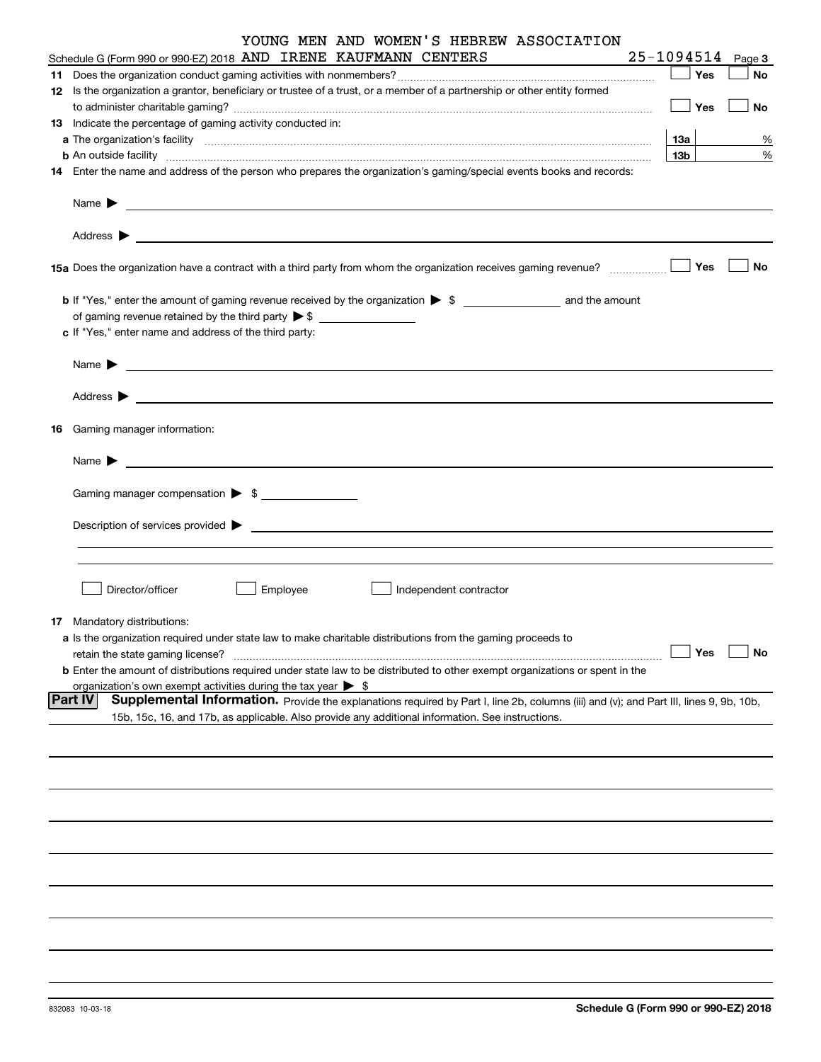| YOUNG MEN AND WOMEN'S HEBREW ASSOCIATION<br>Schedule G (Form 990 or 990-EZ) 2018 AND IRENE KAUFMANN CENTERS                                                                                                                                                                                                                                                       | 25-1094514      |     | Page 3 |
|-------------------------------------------------------------------------------------------------------------------------------------------------------------------------------------------------------------------------------------------------------------------------------------------------------------------------------------------------------------------|-----------------|-----|--------|
|                                                                                                                                                                                                                                                                                                                                                                   | $\Box$ Yes      |     | No     |
| 12 Is the organization a grantor, beneficiary or trustee of a trust, or a member of a partnership or other entity formed                                                                                                                                                                                                                                          |                 |     |        |
|                                                                                                                                                                                                                                                                                                                                                                   | $\Box$ Yes      |     | No     |
| 13 Indicate the percentage of gaming activity conducted in:                                                                                                                                                                                                                                                                                                       |                 |     |        |
|                                                                                                                                                                                                                                                                                                                                                                   | 13а             |     |        |
|                                                                                                                                                                                                                                                                                                                                                                   | 13 <sub>b</sub> |     | %<br>% |
| <b>b</b> An outside facility <b>contained a contract and a contract of the contract of the contract of the contract of the contract of the contract of the contract of the contract of the contract of the contract of the contract o</b><br>14 Enter the name and address of the person who prepares the organization's gaming/special events books and records: |                 |     |        |
|                                                                                                                                                                                                                                                                                                                                                                   |                 |     |        |
|                                                                                                                                                                                                                                                                                                                                                                   |                 |     |        |
|                                                                                                                                                                                                                                                                                                                                                                   |                 |     |        |
|                                                                                                                                                                                                                                                                                                                                                                   |                 |     | No     |
|                                                                                                                                                                                                                                                                                                                                                                   |                 |     |        |
|                                                                                                                                                                                                                                                                                                                                                                   |                 |     |        |
| c If "Yes," enter name and address of the third party:                                                                                                                                                                                                                                                                                                            |                 |     |        |
|                                                                                                                                                                                                                                                                                                                                                                   |                 |     |        |
|                                                                                                                                                                                                                                                                                                                                                                   |                 |     |        |
|                                                                                                                                                                                                                                                                                                                                                                   |                 |     |        |
| 16 Gaming manager information:                                                                                                                                                                                                                                                                                                                                    |                 |     |        |
|                                                                                                                                                                                                                                                                                                                                                                   |                 |     |        |
| <u> 1989 - Johann Barbara, martin amerikan basal dan berasal dan berasal dalam basal dan berasal dan berasal dan</u><br>Name $\blacktriangleright$                                                                                                                                                                                                                |                 |     |        |
| Gaming manager compensation > \$                                                                                                                                                                                                                                                                                                                                  |                 |     |        |
|                                                                                                                                                                                                                                                                                                                                                                   |                 |     |        |
| $Description of services provided$ $\triangleright$                                                                                                                                                                                                                                                                                                               |                 |     |        |
|                                                                                                                                                                                                                                                                                                                                                                   |                 |     |        |
|                                                                                                                                                                                                                                                                                                                                                                   |                 |     |        |
|                                                                                                                                                                                                                                                                                                                                                                   |                 |     |        |
| Director/officer<br>Employee<br>Independent contractor                                                                                                                                                                                                                                                                                                            |                 |     |        |
| <b>17</b> Mandatory distributions:                                                                                                                                                                                                                                                                                                                                |                 |     |        |
| a Is the organization required under state law to make charitable distributions from the gaming proceeds to                                                                                                                                                                                                                                                       |                 |     |        |
| retain the state gaming license?                                                                                                                                                                                                                                                                                                                                  |                 | Yes | No     |
| <b>b</b> Enter the amount of distributions required under state law to be distributed to other exempt organizations or spent in the                                                                                                                                                                                                                               |                 |     |        |
| organization's own exempt activities during the tax year $\triangleright$ \$                                                                                                                                                                                                                                                                                      |                 |     |        |
| <b>Part IV</b><br>Supplemental Information. Provide the explanations required by Part I, line 2b, columns (iii) and (v); and Part III, lines 9, 9b, 10b,                                                                                                                                                                                                          |                 |     |        |
| 15b, 15c, 16, and 17b, as applicable. Also provide any additional information. See instructions.                                                                                                                                                                                                                                                                  |                 |     |        |
|                                                                                                                                                                                                                                                                                                                                                                   |                 |     |        |
|                                                                                                                                                                                                                                                                                                                                                                   |                 |     |        |
|                                                                                                                                                                                                                                                                                                                                                                   |                 |     |        |
|                                                                                                                                                                                                                                                                                                                                                                   |                 |     |        |
|                                                                                                                                                                                                                                                                                                                                                                   |                 |     |        |
|                                                                                                                                                                                                                                                                                                                                                                   |                 |     |        |
|                                                                                                                                                                                                                                                                                                                                                                   |                 |     |        |
|                                                                                                                                                                                                                                                                                                                                                                   |                 |     |        |
|                                                                                                                                                                                                                                                                                                                                                                   |                 |     |        |
|                                                                                                                                                                                                                                                                                                                                                                   |                 |     |        |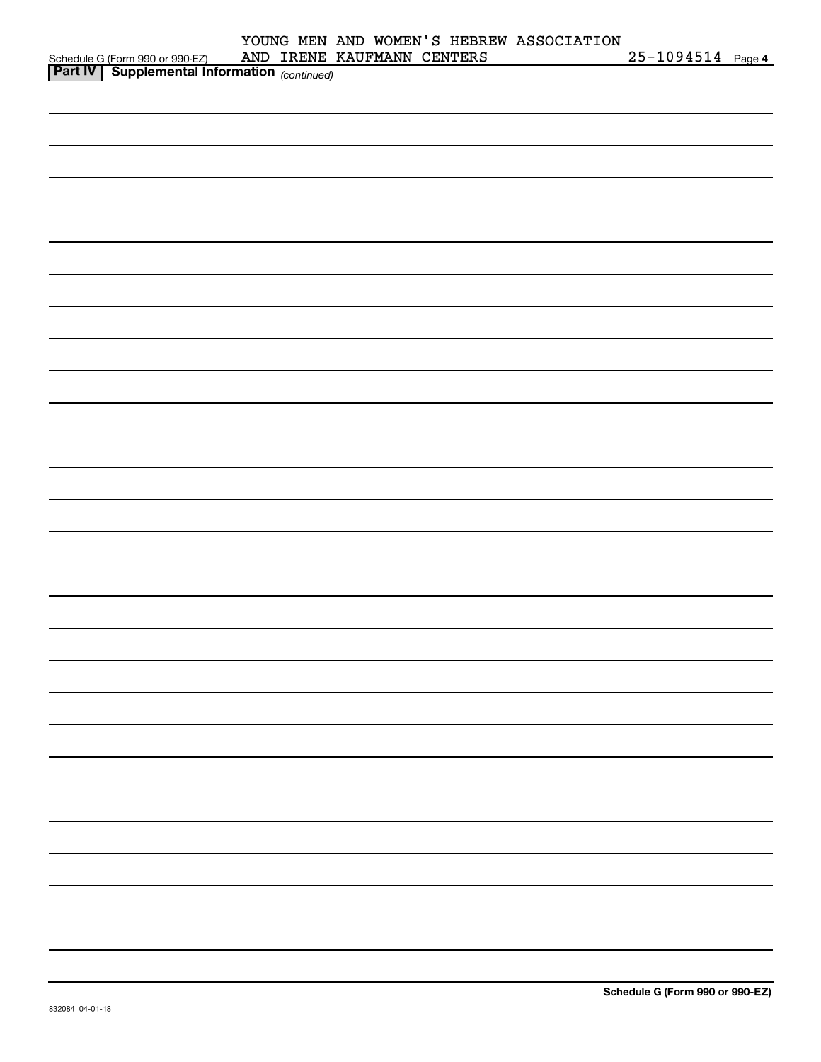|                                                                                                  | YOUNG MEN AND WOMEN'S HEBREW ASSOCIATION<br>AND IRENE KAUFMANN CENTERS | $25 - 1094514$ Page 4 |
|--------------------------------------------------------------------------------------------------|------------------------------------------------------------------------|-----------------------|
| Schedule G (Form 990 or 990-EZ) AND IRENE<br><b>Part IV</b> Supplemental Information (continued) |                                                                        |                       |
|                                                                                                  |                                                                        |                       |
|                                                                                                  |                                                                        |                       |
|                                                                                                  |                                                                        |                       |
|                                                                                                  |                                                                        |                       |
|                                                                                                  |                                                                        |                       |
|                                                                                                  |                                                                        |                       |
|                                                                                                  |                                                                        |                       |
|                                                                                                  |                                                                        |                       |
|                                                                                                  |                                                                        |                       |
|                                                                                                  |                                                                        |                       |
|                                                                                                  |                                                                        |                       |
|                                                                                                  |                                                                        |                       |
|                                                                                                  |                                                                        |                       |
|                                                                                                  |                                                                        |                       |
|                                                                                                  |                                                                        |                       |
|                                                                                                  |                                                                        |                       |
|                                                                                                  |                                                                        |                       |
|                                                                                                  |                                                                        |                       |
|                                                                                                  |                                                                        |                       |
|                                                                                                  |                                                                        |                       |
|                                                                                                  |                                                                        |                       |
|                                                                                                  |                                                                        |                       |
|                                                                                                  |                                                                        |                       |
|                                                                                                  |                                                                        |                       |
|                                                                                                  |                                                                        |                       |
|                                                                                                  |                                                                        |                       |
|                                                                                                  |                                                                        |                       |
|                                                                                                  |                                                                        |                       |
|                                                                                                  |                                                                        |                       |
|                                                                                                  |                                                                        |                       |
|                                                                                                  |                                                                        |                       |
|                                                                                                  |                                                                        |                       |
|                                                                                                  |                                                                        |                       |
|                                                                                                  |                                                                        |                       |
|                                                                                                  |                                                                        |                       |
|                                                                                                  |                                                                        |                       |
|                                                                                                  |                                                                        |                       |
|                                                                                                  |                                                                        |                       |
|                                                                                                  |                                                                        |                       |
|                                                                                                  |                                                                        |                       |
|                                                                                                  |                                                                        |                       |
|                                                                                                  |                                                                        |                       |
|                                                                                                  |                                                                        |                       |
|                                                                                                  |                                                                        |                       |
|                                                                                                  |                                                                        |                       |
|                                                                                                  |                                                                        |                       |
|                                                                                                  |                                                                        |                       |
|                                                                                                  |                                                                        |                       |
|                                                                                                  |                                                                        |                       |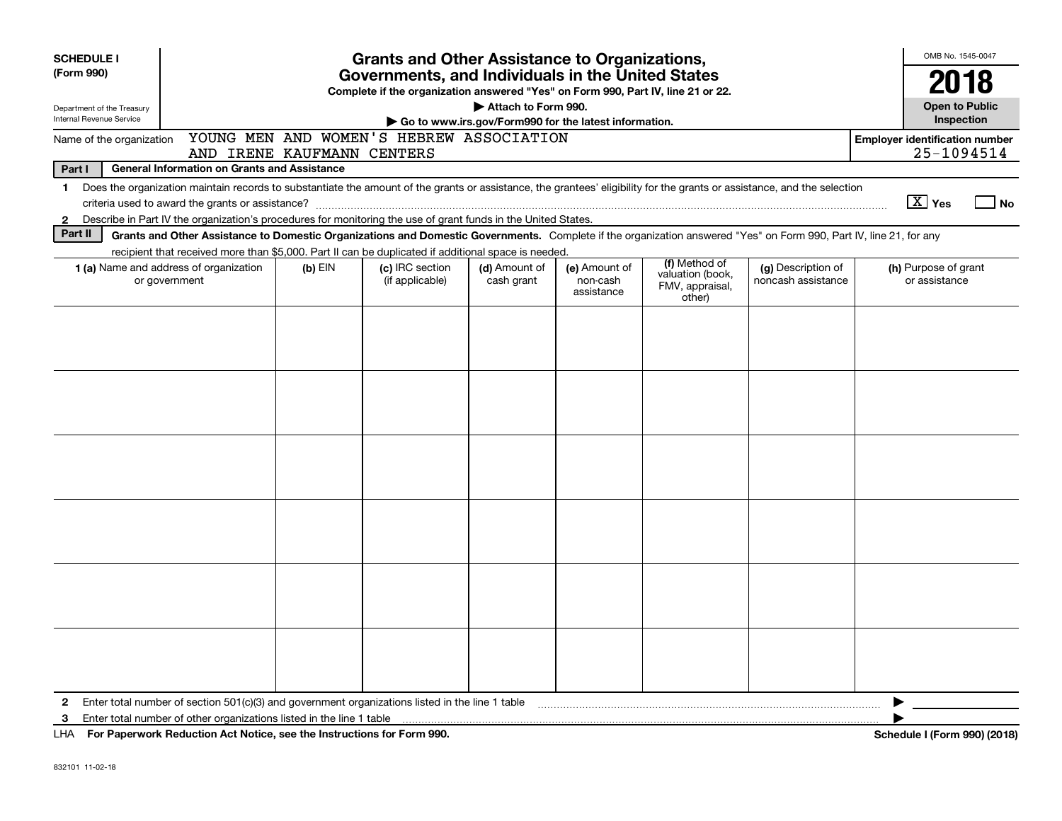| <b>SCHEDULE I</b>                                      |                                                                                                                                                                                                                                                                                                             |           | <b>Grants and Other Assistance to Organizations,</b> |                             |                                         |                                                                |                                          | OMB No. 1545-0047                                   |                                     |
|--------------------------------------------------------|-------------------------------------------------------------------------------------------------------------------------------------------------------------------------------------------------------------------------------------------------------------------------------------------------------------|-----------|------------------------------------------------------|-----------------------------|-----------------------------------------|----------------------------------------------------------------|------------------------------------------|-----------------------------------------------------|-------------------------------------|
| (Form 990)                                             |                                                                                                                                                                                                                                                                                                             |           | Governments, and Individuals in the United States    |                             |                                         |                                                                |                                          | 2018                                                |                                     |
| Department of the Treasury<br>Internal Revenue Service | Complete if the organization answered "Yes" on Form 990, Part IV, line 21 or 22.<br>Attach to Form 990.<br>Go to www.irs.gov/Form990 for the latest information.                                                                                                                                            |           |                                                      |                             |                                         |                                                                |                                          |                                                     | <b>Open to Public</b><br>Inspection |
| Name of the organization                               | AND IRENE KAUFMANN CENTERS                                                                                                                                                                                                                                                                                  |           | YOUNG MEN AND WOMEN'S HEBREW ASSOCIATION             |                             |                                         |                                                                |                                          | <b>Employer identification number</b><br>25-1094514 |                                     |
| Part I                                                 | <b>General Information on Grants and Assistance</b>                                                                                                                                                                                                                                                         |           |                                                      |                             |                                         |                                                                |                                          |                                                     |                                     |
| $\mathbf 1$<br>$\mathbf{2}$                            | Does the organization maintain records to substantiate the amount of the grants or assistance, the grantees' eligibility for the grants or assistance, and the selection<br>Describe in Part IV the organization's procedures for monitoring the use of grant funds in the United States.                   |           |                                                      |                             |                                         |                                                                |                                          | $\boxed{\text{X}}$ Yes                              | $\overline{\phantom{a}}$ No         |
| Part II                                                | Grants and Other Assistance to Domestic Organizations and Domestic Governments. Complete if the organization answered "Yes" on Form 990, Part IV, line 21, for any                                                                                                                                          |           |                                                      |                             |                                         |                                                                |                                          |                                                     |                                     |
|                                                        | recipient that received more than \$5,000. Part II can be duplicated if additional space is needed.<br><b>1 (a)</b> Name and address of organization<br>or government                                                                                                                                       | $(b)$ EIN | (c) IRC section<br>(if applicable)                   | (d) Amount of<br>cash grant | (e) Amount of<br>non-cash<br>assistance | (f) Method of<br>valuation (book,<br>FMV, appraisal,<br>other) | (g) Description of<br>noncash assistance | (h) Purpose of grant<br>or assistance               |                                     |
|                                                        |                                                                                                                                                                                                                                                                                                             |           |                                                      |                             |                                         |                                                                |                                          |                                                     |                                     |
|                                                        |                                                                                                                                                                                                                                                                                                             |           |                                                      |                             |                                         |                                                                |                                          |                                                     |                                     |
|                                                        |                                                                                                                                                                                                                                                                                                             |           |                                                      |                             |                                         |                                                                |                                          |                                                     |                                     |
|                                                        |                                                                                                                                                                                                                                                                                                             |           |                                                      |                             |                                         |                                                                |                                          |                                                     |                                     |
|                                                        |                                                                                                                                                                                                                                                                                                             |           |                                                      |                             |                                         |                                                                |                                          |                                                     |                                     |
|                                                        |                                                                                                                                                                                                                                                                                                             |           |                                                      |                             |                                         |                                                                |                                          |                                                     |                                     |
| 2<br>3                                                 | Enter total number of section 501(c)(3) and government organizations listed in the line 1 table manufactured in the manufactured in the state of the finance of section 501(c)(3) and government organizations listed in the l<br>For Boston of Bodie Hotel Act Matter and the first continue for Four 000. |           |                                                      |                             |                                         |                                                                |                                          |                                                     | 0.001(00.10)                        |

**For Paperwork Reduction Act Notice, see the Instructions for Form 990. Schedule I (Form 990) (2018)** LHA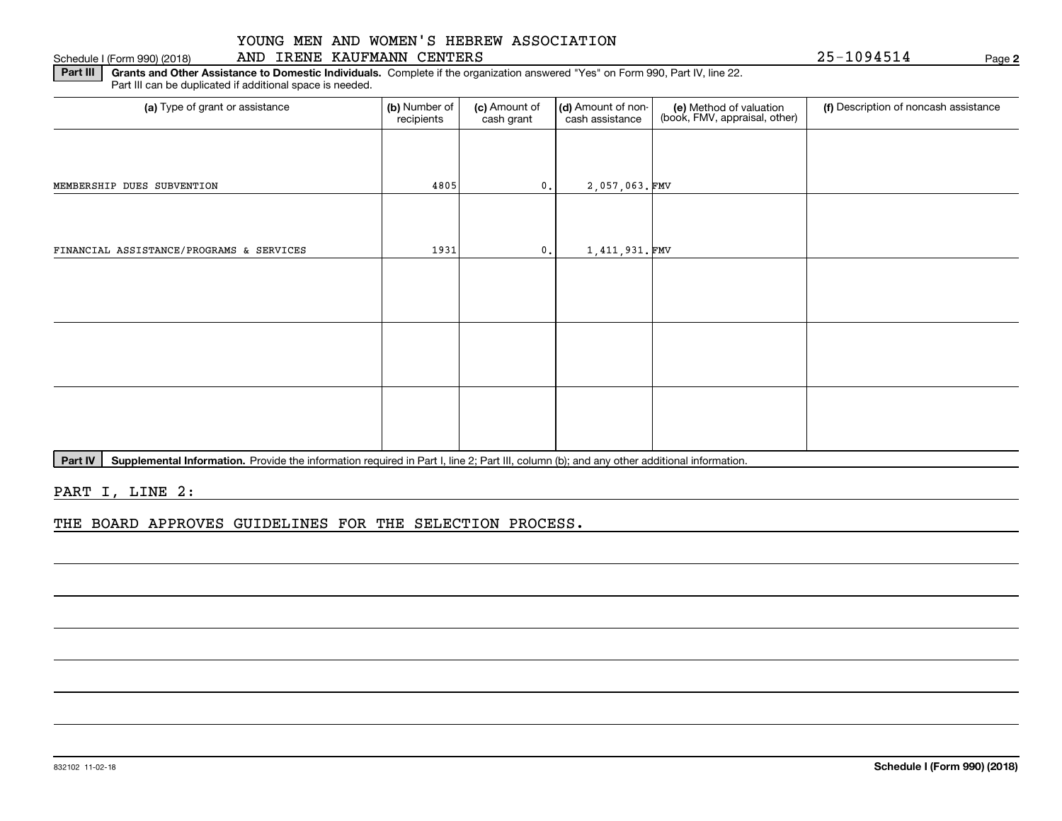#### Schedule I (Form 990) (2018) AND IRENE KAUFMANN CENTERS Page

**2**

**Part III | Grants and Other Assistance to Domestic Individuals. Complete if the organization answered "Yes" on Form 990, Part IV, line 22.** Part III can be duplicated if additional space is needed.

| (a) Type of grant or assistance          | (b) Number of<br>recipients | (c) Amount of<br>cash grant | (d) Amount of non-<br>cash assistance | (e) Method of valuation<br>(book, FMV, appraisal, other) | (f) Description of noncash assistance |
|------------------------------------------|-----------------------------|-----------------------------|---------------------------------------|----------------------------------------------------------|---------------------------------------|
|                                          |                             |                             |                                       |                                                          |                                       |
| MEMBERSHIP DUES SUBVENTION               | 4805                        | 0.                          | 2,057,063.FMV                         |                                                          |                                       |
|                                          |                             |                             |                                       |                                                          |                                       |
| FINANCIAL ASSISTANCE/PROGRAMS & SERVICES | 1931                        | 0.                          | 1,411,931.FMV                         |                                                          |                                       |
|                                          |                             |                             |                                       |                                                          |                                       |
|                                          |                             |                             |                                       |                                                          |                                       |
|                                          |                             |                             |                                       |                                                          |                                       |
|                                          |                             |                             |                                       |                                                          |                                       |
|                                          |                             |                             |                                       |                                                          |                                       |
|                                          |                             |                             |                                       |                                                          |                                       |

Part IV | Supplemental Information. Provide the information required in Part I, line 2; Part III, column (b); and any other additional information.

PART I, LINE 2:

THE BOARD APPROVES GUIDELINES FOR THE SELECTION PROCESS.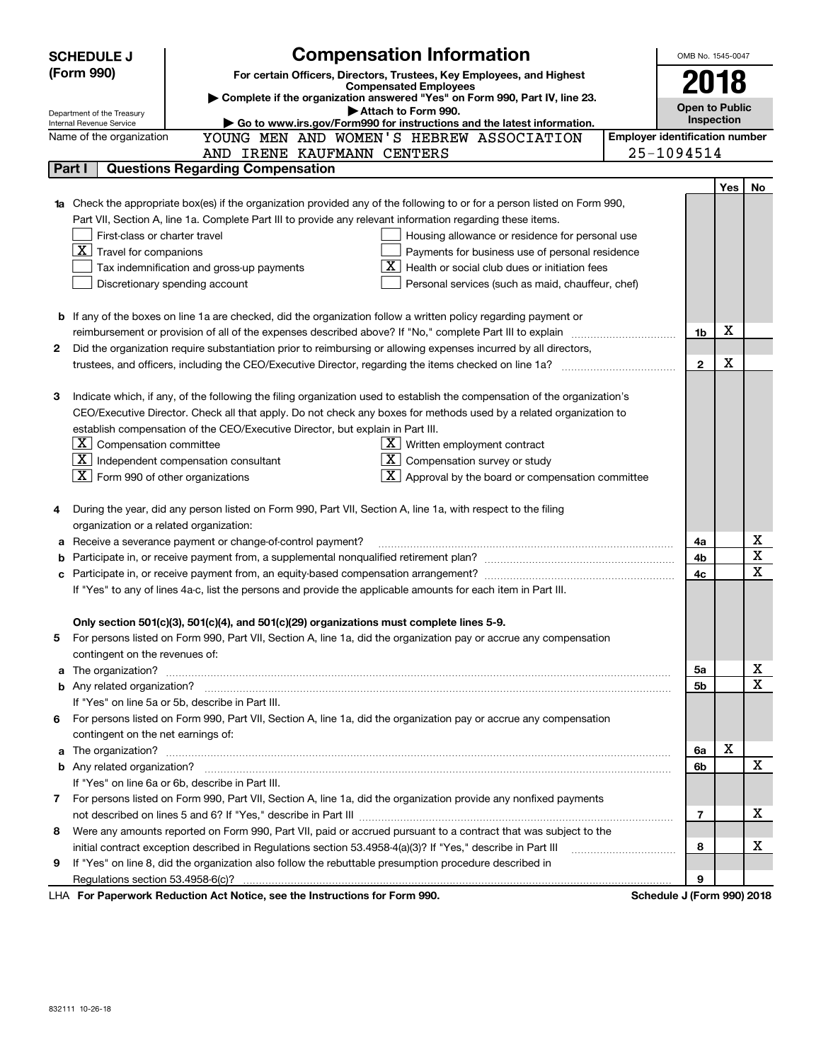|   | <b>SCHEDULE J</b>                                                                                                                | <b>Compensation Information</b>                                                                                           |                                       | OMB No. 1545-0047          |      |    |  |
|---|----------------------------------------------------------------------------------------------------------------------------------|---------------------------------------------------------------------------------------------------------------------------|---------------------------------------|----------------------------|------|----|--|
|   | (Form 990)                                                                                                                       | For certain Officers, Directors, Trustees, Key Employees, and Highest                                                     |                                       |                            | 2018 |    |  |
|   |                                                                                                                                  | <b>Compensated Employees</b>                                                                                              |                                       |                            |      |    |  |
|   |                                                                                                                                  | Complete if the organization answered "Yes" on Form 990, Part IV, line 23.<br>Attach to Form 990.                         |                                       | <b>Open to Public</b>      |      |    |  |
|   | Department of the Treasury<br>Go to www.irs.gov/Form990 for instructions and the latest information.<br>Internal Revenue Service |                                                                                                                           |                                       |                            |      |    |  |
|   | Name of the organization                                                                                                         | YOUNG MEN AND WOMEN'S HEBREW ASSOCIATION                                                                                  | <b>Employer identification number</b> |                            |      |    |  |
|   |                                                                                                                                  | AND IRENE KAUFMANN CENTERS                                                                                                |                                       | 25-1094514                 |      |    |  |
|   | Part I                                                                                                                           | <b>Questions Regarding Compensation</b>                                                                                   |                                       |                            |      |    |  |
|   |                                                                                                                                  |                                                                                                                           |                                       |                            | Yes  | No |  |
|   |                                                                                                                                  | Check the appropriate box(es) if the organization provided any of the following to or for a person listed on Form 990,    |                                       |                            |      |    |  |
|   |                                                                                                                                  | Part VII, Section A, line 1a. Complete Part III to provide any relevant information regarding these items.                |                                       |                            |      |    |  |
|   | First-class or charter travel                                                                                                    | Housing allowance or residence for personal use                                                                           |                                       |                            |      |    |  |
|   | $\boxed{\textbf{X}}$ Travel for companions                                                                                       | Payments for business use of personal residence                                                                           |                                       |                            |      |    |  |
|   |                                                                                                                                  | Health or social club dues or initiation fees<br>Tax indemnification and gross-up payments                                |                                       |                            |      |    |  |
|   |                                                                                                                                  | Discretionary spending account<br>Personal services (such as maid, chauffeur, chef)                                       |                                       |                            |      |    |  |
|   |                                                                                                                                  |                                                                                                                           |                                       |                            |      |    |  |
|   |                                                                                                                                  | <b>b</b> If any of the boxes on line 1a are checked, did the organization follow a written policy regarding payment or    |                                       |                            |      |    |  |
|   |                                                                                                                                  |                                                                                                                           |                                       | 1b                         | х    |    |  |
| 2 |                                                                                                                                  | Did the organization require substantiation prior to reimbursing or allowing expenses incurred by all directors,          |                                       |                            |      |    |  |
|   |                                                                                                                                  |                                                                                                                           |                                       | $\mathbf{2}$               | X    |    |  |
|   |                                                                                                                                  |                                                                                                                           |                                       |                            |      |    |  |
| З |                                                                                                                                  | Indicate which, if any, of the following the filing organization used to establish the compensation of the organization's |                                       |                            |      |    |  |
|   |                                                                                                                                  | CEO/Executive Director. Check all that apply. Do not check any boxes for methods used by a related organization to        |                                       |                            |      |    |  |
|   |                                                                                                                                  | establish compensation of the CEO/Executive Director, but explain in Part III.                                            |                                       |                            |      |    |  |
|   | $\lfloor \texttt{X} \rfloor$ Compensation committee                                                                              | $X$ Written employment contract                                                                                           |                                       |                            |      |    |  |
|   |                                                                                                                                  | $\boxed{\textbf{X}}$ Independent compensation consultant<br>$\overline{X}$ Compensation survey or study                   |                                       |                            |      |    |  |
|   | $\boxed{\textbf{X}}$ Form 990 of other organizations                                                                             | $\boxed{\textbf{X}}$ Approval by the board or compensation committee                                                      |                                       |                            |      |    |  |
|   |                                                                                                                                  |                                                                                                                           |                                       |                            |      |    |  |
| 4 |                                                                                                                                  | During the year, did any person listed on Form 990, Part VII, Section A, line 1a, with respect to the filing              |                                       |                            |      |    |  |
|   | organization or a related organization:                                                                                          |                                                                                                                           |                                       |                            |      |    |  |
| а |                                                                                                                                  | Receive a severance payment or change-of-control payment?                                                                 |                                       | 4a                         |      | х  |  |
| b |                                                                                                                                  |                                                                                                                           |                                       | 4b                         |      | х  |  |
| c |                                                                                                                                  |                                                                                                                           |                                       | 4c                         |      | х  |  |
|   |                                                                                                                                  | If "Yes" to any of lines 4a-c, list the persons and provide the applicable amounts for each item in Part III.             |                                       |                            |      |    |  |
|   |                                                                                                                                  |                                                                                                                           |                                       |                            |      |    |  |
|   |                                                                                                                                  | Only section 501(c)(3), 501(c)(4), and 501(c)(29) organizations must complete lines 5-9.                                  |                                       |                            |      |    |  |
| 5 |                                                                                                                                  | For persons listed on Form 990, Part VII, Section A, line 1a, did the organization pay or accrue any compensation         |                                       |                            |      |    |  |
|   | contingent on the revenues of:                                                                                                   |                                                                                                                           |                                       |                            |      |    |  |
| a |                                                                                                                                  |                                                                                                                           |                                       | 5a                         |      | х  |  |
|   |                                                                                                                                  |                                                                                                                           |                                       | 5b                         |      | X  |  |
|   |                                                                                                                                  | If "Yes" on line 5a or 5b, describe in Part III.                                                                          |                                       |                            |      |    |  |
|   |                                                                                                                                  | 6 For persons listed on Form 990, Part VII, Section A, line 1a, did the organization pay or accrue any compensation       |                                       |                            |      |    |  |
|   | contingent on the net earnings of:                                                                                               |                                                                                                                           |                                       |                            |      |    |  |
| a |                                                                                                                                  |                                                                                                                           |                                       | 6a                         | X    |    |  |
|   |                                                                                                                                  |                                                                                                                           |                                       | 6b                         |      | х  |  |
|   |                                                                                                                                  | If "Yes" on line 6a or 6b, describe in Part III.                                                                          |                                       |                            |      |    |  |
|   |                                                                                                                                  | 7 For persons listed on Form 990, Part VII, Section A, line 1a, did the organization provide any nonfixed payments        |                                       |                            |      |    |  |
|   |                                                                                                                                  |                                                                                                                           |                                       | 7                          |      | х  |  |
| 8 |                                                                                                                                  | Were any amounts reported on Form 990, Part VII, paid or accrued pursuant to a contract that was subject to the           |                                       |                            |      |    |  |
|   |                                                                                                                                  | initial contract exception described in Regulations section 53.4958-4(a)(3)? If "Yes," describe in Part III               |                                       | 8                          |      | х  |  |
| 9 |                                                                                                                                  | If "Yes" on line 8, did the organization also follow the rebuttable presumption procedure described in                    |                                       |                            |      |    |  |
|   |                                                                                                                                  |                                                                                                                           |                                       | 9                          |      |    |  |
|   |                                                                                                                                  | Department Reduction Act Notice, see the Instructions for Form 000                                                        |                                       | Cahadule, L(Carm 000) 0010 |      |    |  |

LHA For Paperwork Reduction Act Notice, see the Instructions for Form 990. Schedule J (Form 990) 2018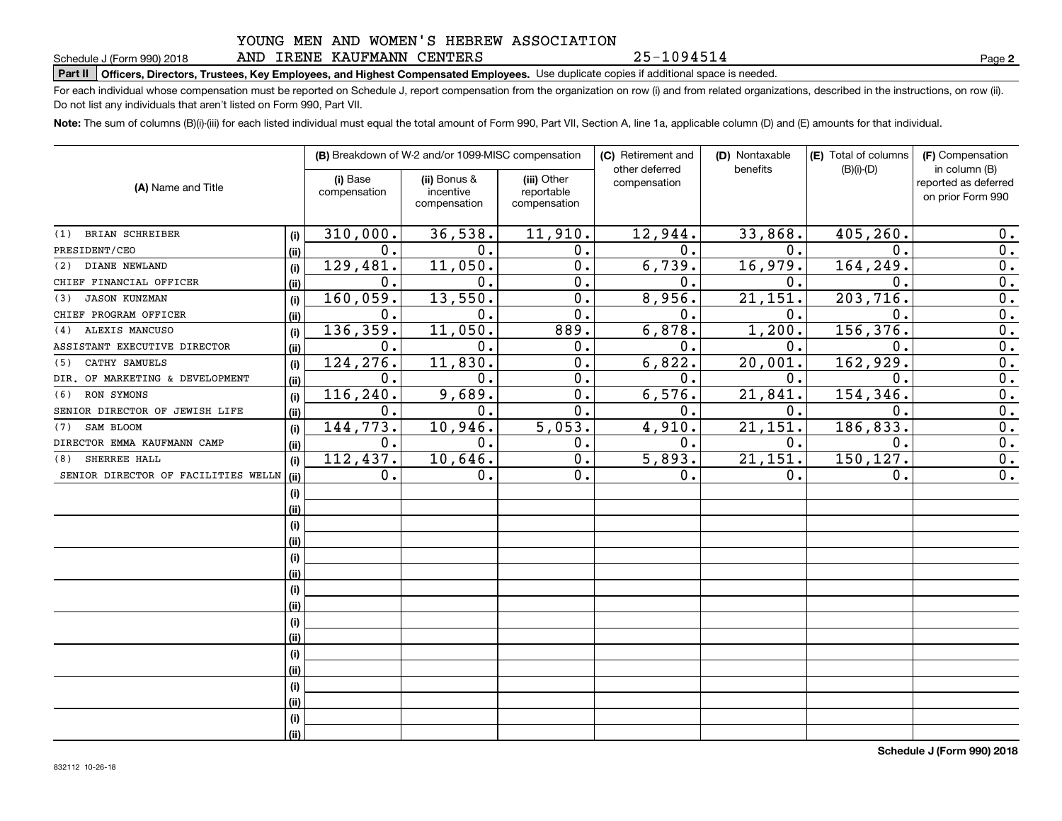AND IRENE KAUFMANN CENTERS

**Part II Officers, Directors, Trustees, Key Employees, and Highest Compensated Employees.**  Schedule J (Form 990) 2018 Page Use duplicate copies if additional space is needed.

For each individual whose compensation must be reported on Schedule J, report compensation from the organization on row (i) and from related organizations, described in the instructions, on row (ii). Do not list any individuals that aren't listed on Form 990, Part VII.

**Note:**  The sum of columns (B)(i)-(iii) for each listed individual must equal the total amount of Form 990, Part VII, Section A, line 1a, applicable column (D) and (E) amounts for that individual.

| (A) Name and Title                  |      |                          | (B) Breakdown of W-2 and/or 1099-MISC compensation |                                           | (C) Retirement and<br>other deferred | (D) Nontaxable<br>benefits | (E) Total of columns<br>$(B)(i)-(D)$ | (F) Compensation<br>in column (B)         |
|-------------------------------------|------|--------------------------|----------------------------------------------------|-------------------------------------------|--------------------------------------|----------------------------|--------------------------------------|-------------------------------------------|
|                                     |      | (i) Base<br>compensation | (ii) Bonus &<br>incentive<br>compensation          | (iii) Other<br>reportable<br>compensation | compensation                         |                            |                                      | reported as deferred<br>on prior Form 990 |
| <b>BRIAN SCHREIBER</b><br>(1)       | (i)  | 310,000.                 | 36,538.                                            | 11,910.                                   | 12,944.                              | 33,868.                    | 405,260.                             | $0$ .                                     |
| PRESIDENT/CEO                       | (ii) | $\mathbf 0$ .            | $0$ .                                              | 0.                                        | $\mathbf 0$ .                        | 0.                         | 0.                                   | 0.                                        |
| DIANE NEWLAND<br>(2)                | (i)  | 129,481.                 | 11,050.                                            | 0.                                        | 6,739.                               | 16,979.                    | 164, 249.                            | 0.                                        |
| CHIEF FINANCIAL OFFICER             | (i)  | $\mathbf 0$ .            | 0.                                                 | 0.                                        | 0.                                   | 0.                         | 0.                                   | 0.                                        |
| <b>JASON KUNZMAN</b><br>(3)         | (i)  | 160,059.                 | 13,550.                                            | 0.                                        | 8,956.                               | 21,151.                    | 203,716.                             | 0.                                        |
| CHIEF PROGRAM OFFICER               | (ii) | 0.                       | 0.                                                 | 0.                                        | 0.                                   | 0.                         | 0.                                   | 0.                                        |
| ALEXIS MANCUSO<br>(4)               | (i)  | 136,359.                 | 11,050.                                            | 889.                                      | 6,878.                               | 1,200.                     | 156,376.                             | 0.                                        |
| ASSISTANT EXECUTIVE DIRECTOR        | (ii) | 0.                       | 0.                                                 | 0.                                        | 0.                                   | 0.                         | 0.                                   | 0.                                        |
| CATHY SAMUELS<br>(5)                | (i)  | 124,276.                 | 11,830.                                            | 0.                                        | 6,822.                               | 20,001.                    | 162,929.                             | 0.                                        |
| DIR. OF MARKETING & DEVELOPMENT     | (ii) | 0.                       | 0.                                                 | 0.                                        | 0.                                   | 0.                         | 0.                                   | 0.                                        |
| RON SYMONS<br>(6)                   | (i)  | 116,240.                 | 9,689.                                             | 0.                                        | 6,576.                               | 21,841.                    | 154,346.                             | 0.                                        |
| SENIOR DIRECTOR OF JEWISH LIFE      | (ii) | 0.                       | 0.                                                 | 0.                                        | 0.                                   | 0.                         | 0.                                   | 0.                                        |
| SAM BLOOM<br>(7)                    | (i)  | 144, 773.                | 10,946.                                            | 5,053.                                    | 4,910.                               | 21, 151.                   | 186,833.                             | 0.                                        |
| DIRECTOR EMMA KAUFMANN CAMP         | (ii) | 0.                       | 0.                                                 | 0.                                        | 0.                                   | 0.                         | 0.                                   | 0.                                        |
| SHERREE HALL<br>(8)                 | (i)  | 112,437.                 | 10,646.                                            | 0.                                        | 5,893.                               | 21, 151.                   | 150,127.                             | 0.                                        |
| SENIOR DIRECTOR OF FACILITIES WELLN | (ii) | 0.                       | 0.                                                 | 0.                                        | 0.                                   | 0.                         | 0.                                   | 0.                                        |
|                                     | (i)  |                          |                                                    |                                           |                                      |                            |                                      |                                           |
|                                     | (ii) |                          |                                                    |                                           |                                      |                            |                                      |                                           |
|                                     | (i)  |                          |                                                    |                                           |                                      |                            |                                      |                                           |
|                                     | (i)  |                          |                                                    |                                           |                                      |                            |                                      |                                           |
|                                     | (i)  |                          |                                                    |                                           |                                      |                            |                                      |                                           |
|                                     | (i)  |                          |                                                    |                                           |                                      |                            |                                      |                                           |
|                                     | (i)  |                          |                                                    |                                           |                                      |                            |                                      |                                           |
|                                     | (i)  |                          |                                                    |                                           |                                      |                            |                                      |                                           |
|                                     | (i)  |                          |                                                    |                                           |                                      |                            |                                      |                                           |
|                                     | (i)  |                          |                                                    |                                           |                                      |                            |                                      |                                           |
|                                     | (i)  |                          |                                                    |                                           |                                      |                            |                                      |                                           |
|                                     | (i)  |                          |                                                    |                                           |                                      |                            |                                      |                                           |
|                                     | (i)  |                          |                                                    |                                           |                                      |                            |                                      |                                           |
|                                     | (i)  |                          |                                                    |                                           |                                      |                            |                                      |                                           |
|                                     | (i)  |                          |                                                    |                                           |                                      |                            |                                      |                                           |
|                                     | (ii) |                          |                                                    |                                           |                                      |                            |                                      |                                           |

**2**

25-1094514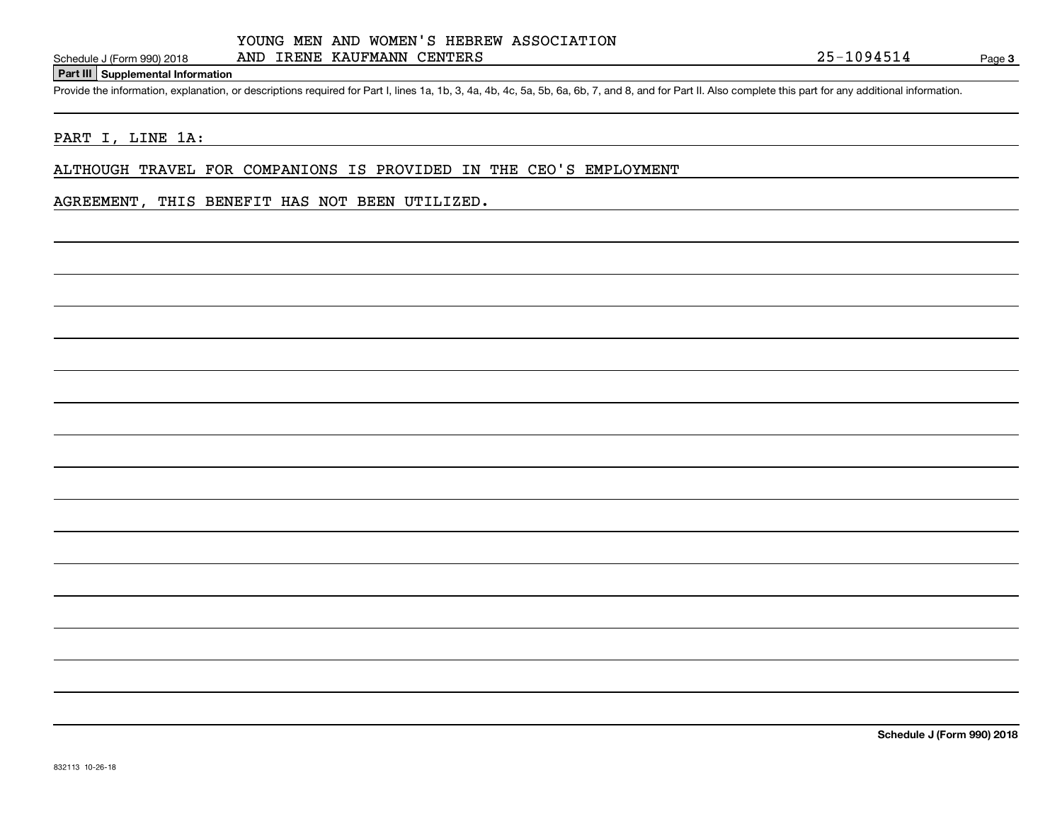#### **Part III Supplemental Information**

Schedule J (Form 990) 2018 AND IRENE KAUFMANN CENTERS<br>Part III Supplemental Information<br>Provide the information, explanation, or descriptions required for Part I, lines 1a, 1b, 3, 4a, 4b, 4c, 5a, 5b, 6a, 6b, 7, and 8, and

### PART I, LINE 1A:

ALTHOUGH TRAVEL FOR COMPANIONS IS PROVIDED IN THE CEO'S EMPLOYMENT

#### AGREEMENT, THIS BENEFIT HAS NOT BEEN UTILIZED.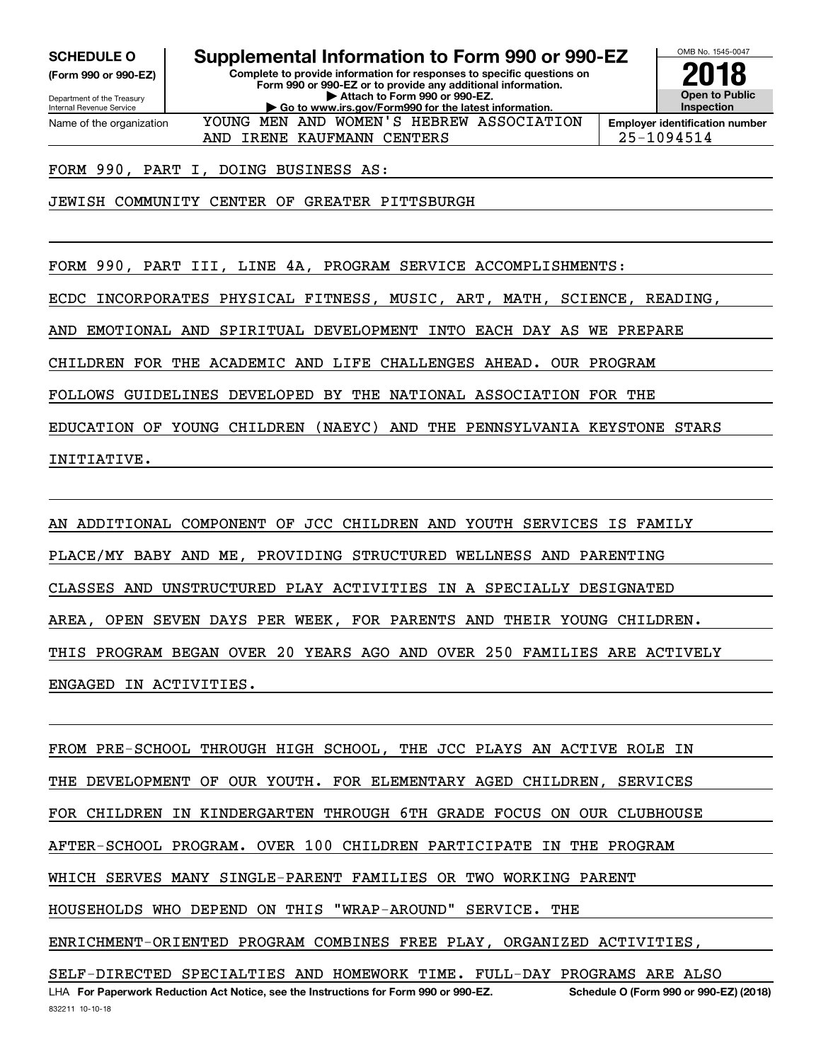**(Form 990 or 990-EZ)**

Department of the Treasury Internal Revenue Service Name of the organization

**SCHEDULE O Supplemental Information to Form 990 or 990-EZ**

**Complete to provide information for responses to specific questions on Form 990 or 990-EZ or to provide any additional information. | Attach to Form 990 or 990-EZ. | Go to www.irs.gov/Form990 for the latest information.** YOUNG MEN AND WOMEN'S HEBREW ASSOCIATION



AND IRENE KAUFMANN CENTERS 25-1094514

FORM 990, PART I, DOING BUSINESS AS:

JEWISH COMMUNITY CENTER OF GREATER PITTSBURGH

FORM 990, PART III, LINE 4A, PROGRAM SERVICE ACCOMPLISHMENTS:

ECDC INCORPORATES PHYSICAL FITNESS, MUSIC, ART, MATH, SCIENCE, READING,

AND EMOTIONAL AND SPIRITUAL DEVELOPMENT INTO EACH DAY AS WE PREPARE

CHILDREN FOR THE ACADEMIC AND LIFE CHALLENGES AHEAD. OUR PROGRAM

FOLLOWS GUIDELINES DEVELOPED BY THE NATIONAL ASSOCIATION FOR THE

EDUCATION OF YOUNG CHILDREN (NAEYC) AND THE PENNSYLVANIA KEYSTONE STARS INITIATIVE.

AN ADDITIONAL COMPONENT OF JCC CHILDREN AND YOUTH SERVICES IS FAMILY PLACE/MY BABY AND ME, PROVIDING STRUCTURED WELLNESS AND PARENTING CLASSES AND UNSTRUCTURED PLAY ACTIVITIES IN A SPECIALLY DESIGNATED AREA, OPEN SEVEN DAYS PER WEEK, FOR PARENTS AND THEIR YOUNG CHILDREN. THIS PROGRAM BEGAN OVER 20 YEARS AGO AND OVER 250 FAMILIES ARE ACTIVELY ENGAGED IN ACTIVITIES.

LHA For Paperwork Reduction Act Notice, see the Instructions for Form 990 or 990-EZ. Schedule O (Form 990 or 990-EZ) (2018) FROM PRE-SCHOOL THROUGH HIGH SCHOOL, THE JCC PLAYS AN ACTIVE ROLE IN THE DEVELOPMENT OF OUR YOUTH. FOR ELEMENTARY AGED CHILDREN, SERVICES FOR CHILDREN IN KINDERGARTEN THROUGH 6TH GRADE FOCUS ON OUR CLUBHOUSE AFTER-SCHOOL PROGRAM. OVER 100 CHILDREN PARTICIPATE IN THE PROGRAM WHICH SERVES MANY SINGLE-PARENT FAMILIES OR TWO WORKING PARENT HOUSEHOLDS WHO DEPEND ON THIS "WRAP-AROUND" SERVICE. THE ENRICHMENT-ORIENTED PROGRAM COMBINES FREE PLAY, ORGANIZED ACTIVITIES, SELF-DIRECTED SPECIALTIES AND HOMEWORK TIME. FULL-DAY PROGRAMS ARE ALSO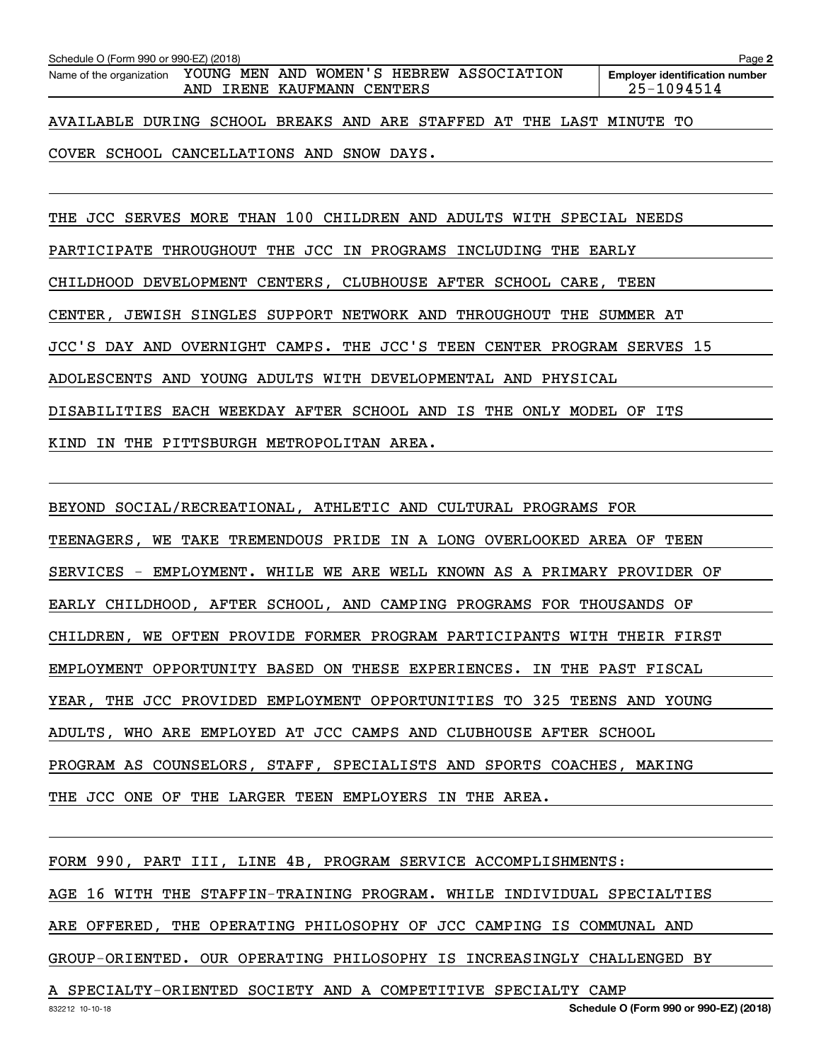| Schedule O (Form 990 or 990-EZ) (2018)                                                          |  |  |  |                                                     |  |  |  | Page 2 |
|-------------------------------------------------------------------------------------------------|--|--|--|-----------------------------------------------------|--|--|--|--------|
| Name of the organization YOUNG MEN AND WOMEN'S HEBREW ASSOCIATION<br>AND IRENE KAUFMANN CENTERS |  |  |  | <b>Employer identification number</b><br>25-1094514 |  |  |  |        |
| AVAILABLE DURING SCHOOL BREAKS AND ARE STAFFED AT THE LAST MINUTE TO                            |  |  |  |                                                     |  |  |  |        |
| COVER SCHOOL CANCELLATIONS AND SNOW DAYS.                                                       |  |  |  |                                                     |  |  |  |        |

THE JCC SERVES MORE THAN 100 CHILDREN AND ADULTS WITH SPECIAL NEEDS PARTICIPATE THROUGHOUT THE JCC IN PROGRAMS INCLUDING THE EARLY CHILDHOOD DEVELOPMENT CENTERS, CLUBHOUSE AFTER SCHOOL CARE, TEEN CENTER, JEWISH SINGLES SUPPORT NETWORK AND THROUGHOUT THE SUMMER AT JCC'S DAY AND OVERNIGHT CAMPS. THE JCC'S TEEN CENTER PROGRAM SERVES 15 ADOLESCENTS AND YOUNG ADULTS WITH DEVELOPMENTAL AND PHYSICAL DISABILITIES EACH WEEKDAY AFTER SCHOOL AND IS THE ONLY MODEL OF ITS KIND IN THE PITTSBURGH METROPOLITAN AREA.

BEYOND SOCIAL/RECREATIONAL, ATHLETIC AND CULTURAL PROGRAMS FOR TEENAGERS, WE TAKE TREMENDOUS PRIDE IN A LONG OVERLOOKED AREA OF TEEN SERVICES - EMPLOYMENT. WHILE WE ARE WELL KNOWN AS A PRIMARY PROVIDER OF EARLY CHILDHOOD, AFTER SCHOOL, AND CAMPING PROGRAMS FOR THOUSANDS OF CHILDREN, WE OFTEN PROVIDE FORMER PROGRAM PARTICIPANTS WITH THEIR FIRST EMPLOYMENT OPPORTUNITY BASED ON THESE EXPERIENCES. IN THE PAST FISCAL YEAR, THE JCC PROVIDED EMPLOYMENT OPPORTUNITIES TO 325 TEENS AND YOUNG ADULTS, WHO ARE EMPLOYED AT JCC CAMPS AND CLUBHOUSE AFTER SCHOOL PROGRAM AS COUNSELORS, STAFF, SPECIALISTS AND SPORTS COACHES, MAKING THE JCC ONE OF THE LARGER TEEN EMPLOYERS IN THE AREA.

FORM 990, PART III, LINE 4B, PROGRAM SERVICE ACCOMPLISHMENTS: AGE 16 WITH THE STAFFIN-TRAINING PROGRAM. WHILE INDIVIDUAL SPECIALTIES ARE OFFERED, THE OPERATING PHILOSOPHY OF JCC CAMPING IS COMMUNAL AND GROUP-ORIENTED. OUR OPERATING PHILOSOPHY IS INCREASINGLY CHALLENGED BY

A SPECIALTY-ORIENTED SOCIETY AND A COMPETITIVE SPECIALTY CAMP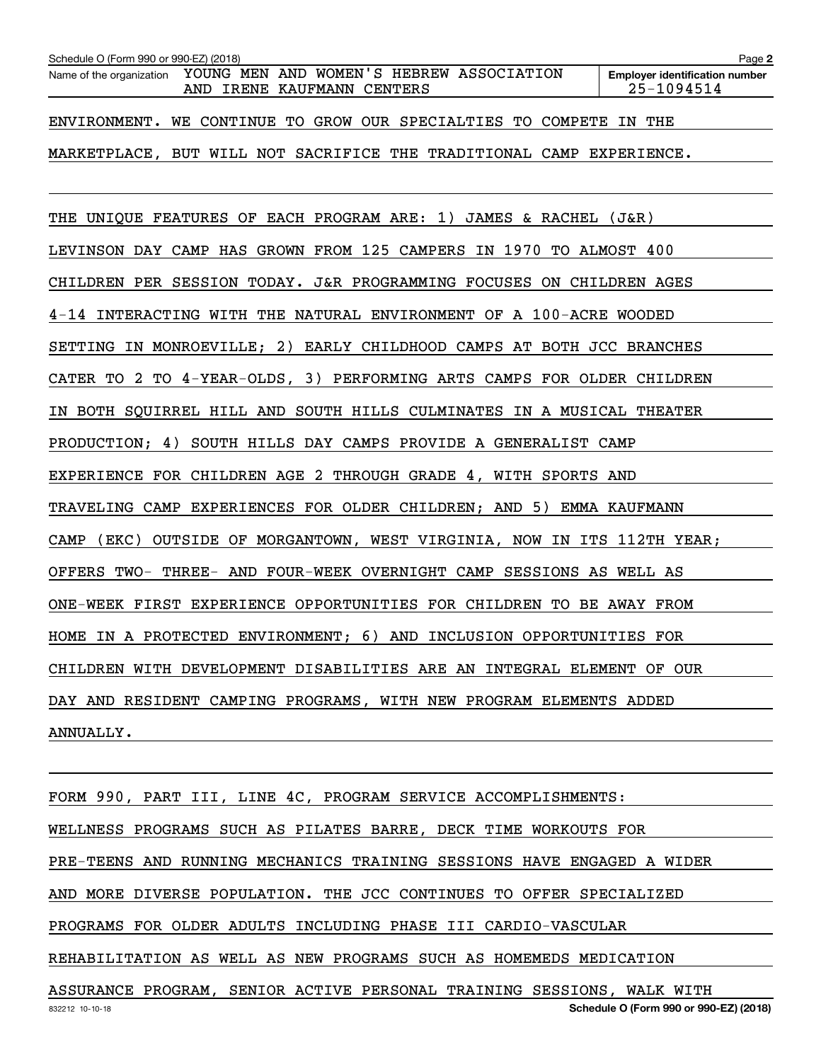| Schedule O (Form 990 or 990-EZ) (2018)                                                          | Page 2                                              |
|-------------------------------------------------------------------------------------------------|-----------------------------------------------------|
| Name of the organization YOUNG MEN AND WOMEN'S HEBREW ASSOCIATION<br>AND IRENE KAUFMANN CENTERS | <b>Employer identification number</b><br>25-1094514 |
| ENVIRONMENT. WE CONTINUE TO GROW OUR SPECIALTIES TO COMPETE IN THE                              |                                                     |
| MARKETPLACE, BUT WILL NOT SACRIFICE THE TRADITIONAL CAMP EXPERIENCE.                            |                                                     |
| THE UNIQUE FEATURES OF EACH PROGRAM ARE: 1) JAMES & RACHEL (J&R)                                |                                                     |
| LEVINSON DAY CAMP HAS GROWN FROM 125 CAMPERS IN 1970 TO ALMOST 400                              |                                                     |
| CHILDREN PER SESSION TODAY. J&R PROGRAMMING FOCUSES ON CHILDREN AGES                            |                                                     |
| 4-14 INTERACTING WITH THE NATURAL ENVIRONMENT OF A 100-ACRE WOODED                              |                                                     |
| SETTING IN MONROEVILLE; 2) EARLY CHILDHOOD CAMPS AT BOTH JCC BRANCHES                           |                                                     |
| CATER TO 2 TO 4-YEAR-OLDS, 3) PERFORMING ARTS CAMPS FOR OLDER CHILDREN                          |                                                     |
| IN BOTH SQUIRREL HILL AND SOUTH HILLS CULMINATES IN A MUSICAL THEATER                           |                                                     |
| PRODUCTION; 4) SOUTH HILLS DAY CAMPS PROVIDE A GENERALIST CAMP                                  |                                                     |
| EXPERIENCE FOR CHILDREN AGE 2 THROUGH GRADE 4, WITH SPORTS AND                                  |                                                     |
| TRAVELING CAMP EXPERIENCES FOR OLDER CHILDREN; AND 5) EMMA KAUFMANN                             |                                                     |
| (EKC) OUTSIDE OF MORGANTOWN, WEST VIRGINIA, NOW IN ITS 112TH YEAR;<br>CAMP                      |                                                     |
| OFFERS TWO- THREE- AND FOUR-WEEK OVERNIGHT CAMP SESSIONS AS WELL AS                             |                                                     |
| ONE-WEEK FIRST EXPERIENCE OPPORTUNITIES FOR CHILDREN TO BE AWAY FROM                            |                                                     |
| HOME IN A PROTECTED ENVIRONMENT; 6) AND INCLUSION OPPORTUNITIES FOR                             |                                                     |
| CHILDREN WITH DEVELOPMENT DISABILITIES ARE AN INTEGRAL ELEMENT OF OUR                           |                                                     |
| DAY AND RESIDENT CAMPING PROGRAMS, WITH NEW PROGRAM ELEMENTS ADDED                              |                                                     |
| ANNUALLY.                                                                                       |                                                     |
|                                                                                                 |                                                     |

832212 10-10-18 **Schedule O (Form 990 or 990-EZ) (2018)** FORM 990, PART III, LINE 4C, PROGRAM SERVICE ACCOMPLISHMENTS: WELLNESS PROGRAMS SUCH AS PILATES BARRE, DECK TIME WORKOUTS FOR PRE-TEENS AND RUNNING MECHANICS TRAINING SESSIONS HAVE ENGAGED A WIDER AND MORE DIVERSE POPULATION. THE JCC CONTINUES TO OFFER SPECIALIZED PROGRAMS FOR OLDER ADULTS INCLUDING PHASE III CARDIO-VASCULAR REHABILITATION AS WELL AS NEW PROGRAMS SUCH AS HOMEMEDS MEDICATION ASSURANCE PROGRAM, SENIOR ACTIVE PERSONAL TRAINING SESSIONS, WALK WITH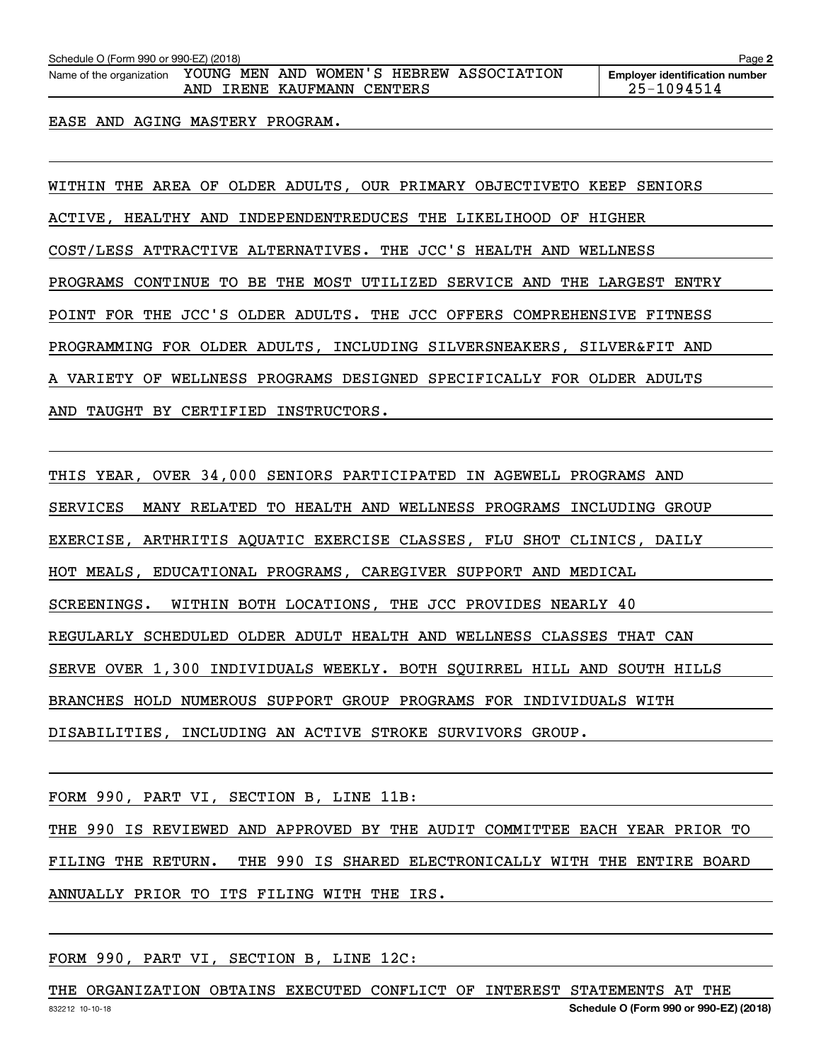Schedule O (Form 990 or 990-EZ) (2018)<br>Name of the organization YOUNG MEN AND WOMEN'S HEBREW ASSOCIATION Employer identification number AND IRENE KAUFMANN CENTERS 25-1094514

**Employer identification number**

EASE AND AGING MASTERY PROGRAM.

WITHIN THE AREA OF OLDER ADULTS, OUR PRIMARY OBJECTIVETO KEEP SENIORS ACTIVE, HEALTHY AND INDEPENDENTREDUCES THE LIKELIHOOD OF HIGHER COST/LESS ATTRACTIVE ALTERNATIVES. THE JCC'S HEALTH AND WELLNESS PROGRAMS CONTINUE TO BE THE MOST UTILIZED SERVICE AND THE LARGEST ENTRY POINT FOR THE JCC'S OLDER ADULTS. THE JCC OFFERS COMPREHENSIVE FITNESS PROGRAMMING FOR OLDER ADULTS, INCLUDING SILVERSNEAKERS, SILVER&FIT AND A VARIETY OF WELLNESS PROGRAMS DESIGNED SPECIFICALLY FOR OLDER ADULTS AND TAUGHT BY CERTIFIED INSTRUCTORS.

THIS YEAR, OVER 34,000 SENIORS PARTICIPATED IN AGEWELL PROGRAMS AND SERVICES MANY RELATED TO HEALTH AND WELLNESS PROGRAMS INCLUDING GROUP EXERCISE, ARTHRITIS AQUATIC EXERCISE CLASSES, FLU SHOT CLINICS, DAILY HOT MEALS, EDUCATIONAL PROGRAMS, CAREGIVER SUPPORT AND MEDICAL SCREENINGS. WITHIN BOTH LOCATIONS, THE JCC PROVIDES NEARLY 40 REGULARLY SCHEDULED OLDER ADULT HEALTH AND WELLNESS CLASSES THAT CAN SERVE OVER 1,300 INDIVIDUALS WEEKLY. BOTH SQUIRREL HILL AND SOUTH HILLS BRANCHES HOLD NUMEROUS SUPPORT GROUP PROGRAMS FOR INDIVIDUALS WITH DISABILITIES, INCLUDING AN ACTIVE STROKE SURVIVORS GROUP.

FORM 990, PART VI, SECTION B, LINE 11B:

THE 990 IS REVIEWED AND APPROVED BY THE AUDIT COMMITTEE EACH YEAR PRIOR TO

FILING THE RETURN. THE 990 IS SHARED ELECTRONICALLY WITH THE ENTIRE BOARD

ANNUALLY PRIOR TO ITS FILING WITH THE IRS.

FORM 990, PART VI, SECTION B, LINE 12C:

832212 10-10-18 **Schedule O (Form 990 or 990-EZ) (2018)** THE ORGANIZATION OBTAINS EXECUTED CONFLICT OF INTEREST STATEMENTS AT THE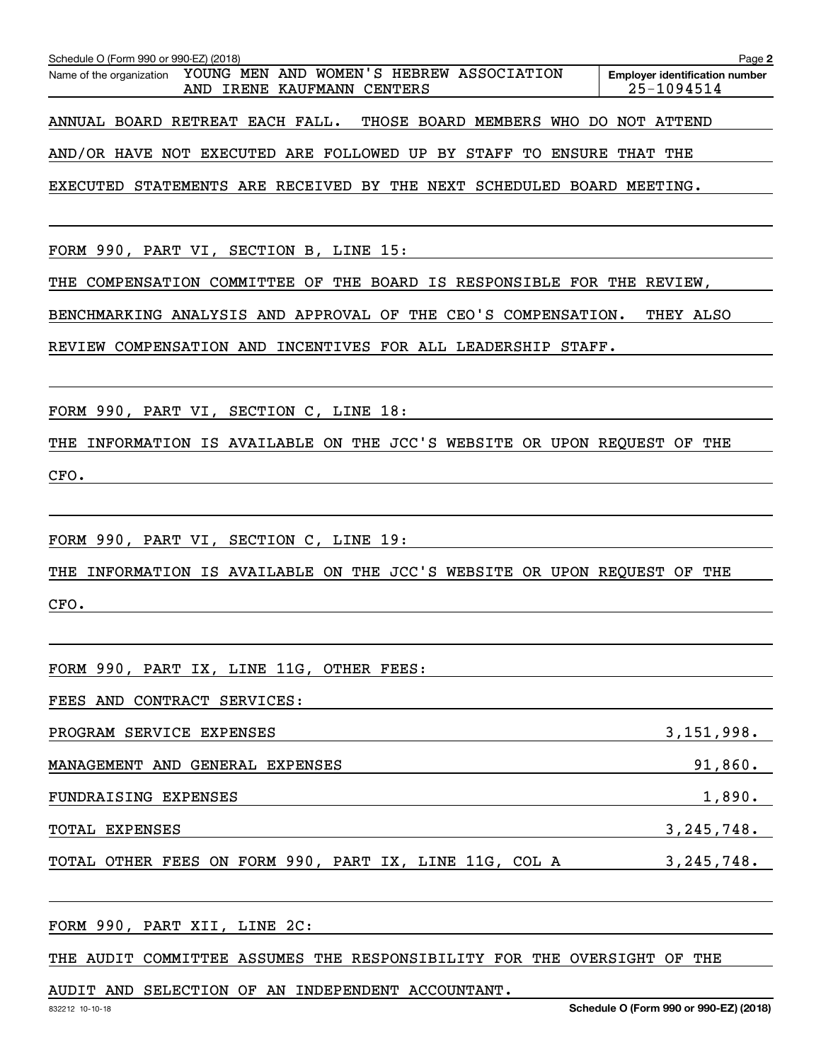| Schedule O (Form 990 or 990-EZ) (2018)                                                             | Page 2                                              |
|----------------------------------------------------------------------------------------------------|-----------------------------------------------------|
| YOUNG MEN AND WOMEN'S HEBREW ASSOCIATION<br>Name of the organization<br>AND IRENE KAUFMANN CENTERS | <b>Employer identification number</b><br>25-1094514 |
| ANNUAL BOARD RETREAT EACH FALL.<br>THOSE BOARD MEMBERS<br>WHO<br>DO.                               | NOT ATTEND                                          |
| AND/OR HAVE NOT EXECUTED ARE FOLLOWED UP BY STAFF TO<br><b>ENSURE</b>                              | THAT<br>THE                                         |
| EXECUTED STATEMENTS ARE RECEIVED BY THE NEXT SCHEDULED BOARD MEETING.                              |                                                     |
| FORM 990, PART VI, SECTION B, LINE 15:                                                             |                                                     |
| COMPENSATION COMMITTEE OF THE BOARD IS RESPONSIBLE FOR THE REVIEW,<br>THE                          |                                                     |
| BENCHMARKING ANALYSIS AND APPROVAL OF THE CEO'S COMPENSATION.                                      | THEY ALSO                                           |
| REVIEW COMPENSATION AND<br>INCENTIVES FOR ALL LEADERSHIP STAFF.                                    |                                                     |
| FORM 990, PART VI, SECTION C, LINE 18:                                                             |                                                     |
| INFORMATION IS AVAILABLE ON THE JCC'S WEBSITE OR UPON REQUEST OF THE<br>THE                        |                                                     |
| CFO.                                                                                               |                                                     |
|                                                                                                    |                                                     |
| FORM 990, PART VI, SECTION C, LINE 19:                                                             |                                                     |
| INFORMATION IS AVAILABLE ON THE JCC'S WEBSITE OR UPON REQUEST OF<br>THE                            | THE                                                 |
| CFO.                                                                                               |                                                     |
|                                                                                                    |                                                     |
| FORM 990, PART IX, LINE 11G, OTHER FEES:                                                           |                                                     |
| FEES AND CONTRACT SERVICES:                                                                        |                                                     |
| PROGRAM SERVICE EXPENSES                                                                           | 3,151,998.                                          |
| MANAGEMENT AND GENERAL EXPENSES                                                                    | 91,860.                                             |
| FUNDRAISING EXPENSES                                                                               | 1,890.                                              |
| TOTAL EXPENSES                                                                                     | $3, 245, 748$ .                                     |
| TOTAL OTHER FEES ON FORM 990, PART IX, LINE 11G, COL A                                             | $3, 245, 748$ .                                     |

FORM 990, PART XII, LINE 2C:

THE AUDIT COMMITTEE ASSUMES THE RESPONSIBILITY FOR THE OVERSIGHT OF THE

AUDIT AND SELECTION OF AN INDEPENDENT ACCOUNTANT.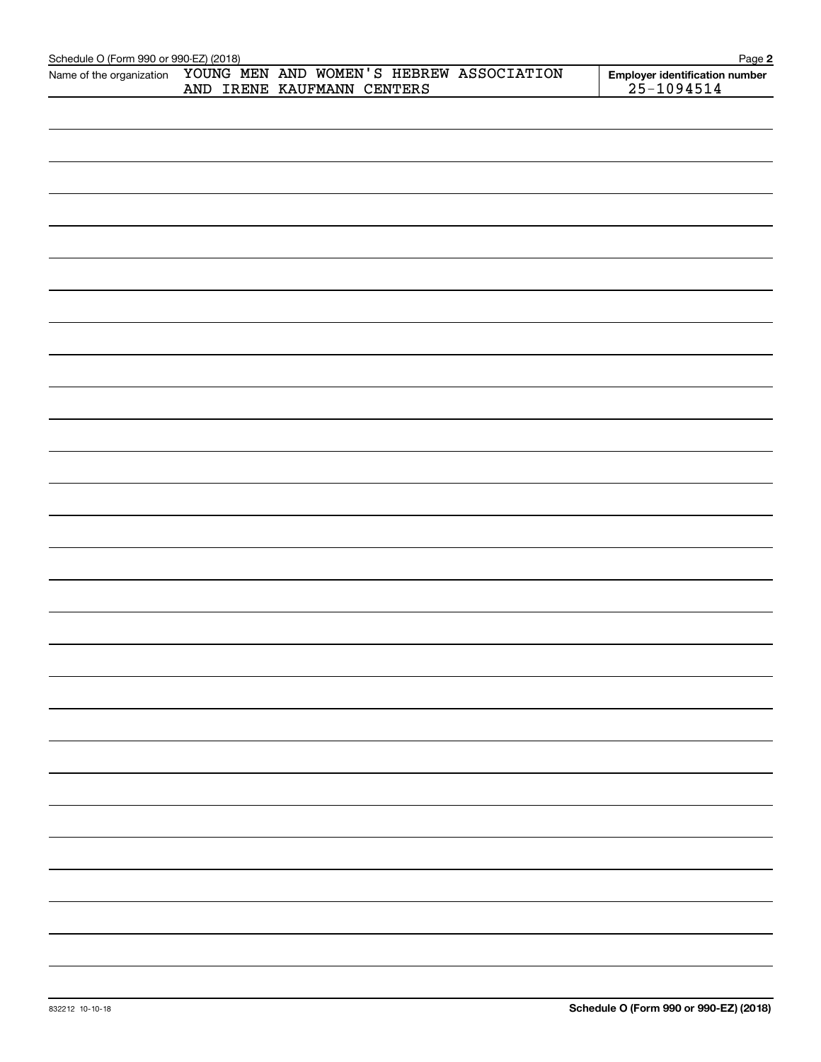| Schedule O (Form 990 or 990-EZ) (2018)<br>Page 2 |  |                                          |                                                  |  |  |  |
|--------------------------------------------------|--|------------------------------------------|--------------------------------------------------|--|--|--|
| Name of the organization                         |  | YOUNG MEN AND WOMEN'S HEBREW ASSOCIATION | Employer identification number<br>$25 - 1094514$ |  |  |  |
|                                                  |  | AND IRENE KAUFMANN CENTERS               |                                                  |  |  |  |
|                                                  |  |                                          |                                                  |  |  |  |
|                                                  |  |                                          |                                                  |  |  |  |
|                                                  |  |                                          |                                                  |  |  |  |
|                                                  |  |                                          |                                                  |  |  |  |
|                                                  |  |                                          |                                                  |  |  |  |
|                                                  |  |                                          |                                                  |  |  |  |
|                                                  |  |                                          |                                                  |  |  |  |
|                                                  |  |                                          |                                                  |  |  |  |
|                                                  |  |                                          |                                                  |  |  |  |
|                                                  |  |                                          |                                                  |  |  |  |
|                                                  |  |                                          |                                                  |  |  |  |
|                                                  |  |                                          |                                                  |  |  |  |
|                                                  |  |                                          |                                                  |  |  |  |
|                                                  |  |                                          |                                                  |  |  |  |
|                                                  |  |                                          |                                                  |  |  |  |
|                                                  |  |                                          |                                                  |  |  |  |
|                                                  |  |                                          |                                                  |  |  |  |
|                                                  |  |                                          |                                                  |  |  |  |
|                                                  |  |                                          |                                                  |  |  |  |
|                                                  |  |                                          |                                                  |  |  |  |
|                                                  |  |                                          |                                                  |  |  |  |
|                                                  |  |                                          |                                                  |  |  |  |
|                                                  |  |                                          |                                                  |  |  |  |
|                                                  |  |                                          |                                                  |  |  |  |
|                                                  |  |                                          |                                                  |  |  |  |
|                                                  |  |                                          |                                                  |  |  |  |
|                                                  |  |                                          |                                                  |  |  |  |
|                                                  |  |                                          |                                                  |  |  |  |
|                                                  |  |                                          |                                                  |  |  |  |
|                                                  |  |                                          |                                                  |  |  |  |
|                                                  |  |                                          |                                                  |  |  |  |
|                                                  |  |                                          |                                                  |  |  |  |
|                                                  |  |                                          |                                                  |  |  |  |
|                                                  |  |                                          |                                                  |  |  |  |
|                                                  |  |                                          |                                                  |  |  |  |
|                                                  |  |                                          |                                                  |  |  |  |
|                                                  |  |                                          |                                                  |  |  |  |
|                                                  |  |                                          |                                                  |  |  |  |
|                                                  |  |                                          |                                                  |  |  |  |
|                                                  |  |                                          |                                                  |  |  |  |
|                                                  |  |                                          |                                                  |  |  |  |
|                                                  |  |                                          |                                                  |  |  |  |
|                                                  |  |                                          |                                                  |  |  |  |
|                                                  |  |                                          |                                                  |  |  |  |
|                                                  |  |                                          |                                                  |  |  |  |
|                                                  |  |                                          |                                                  |  |  |  |
|                                                  |  |                                          |                                                  |  |  |  |